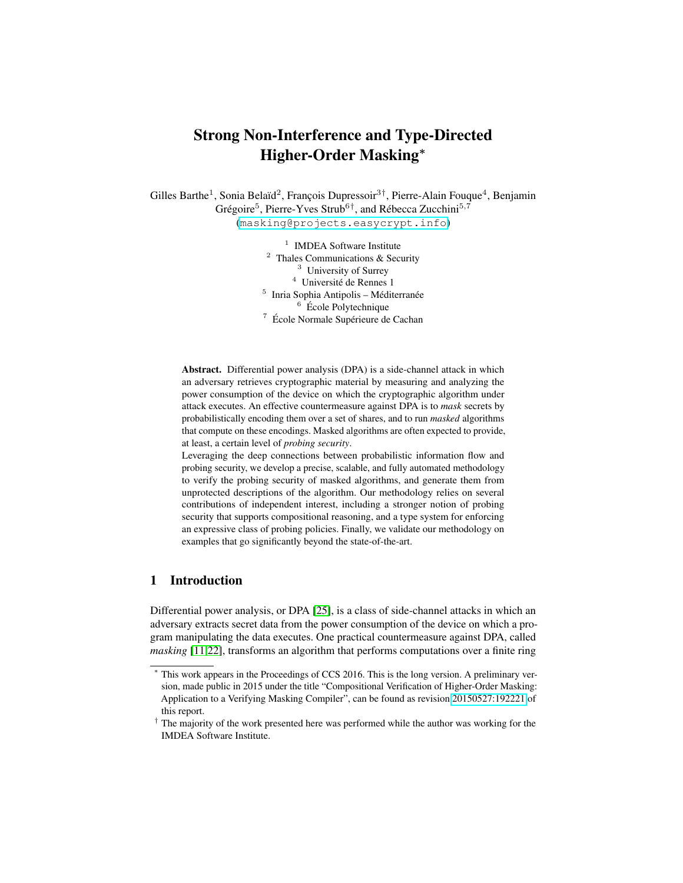# Strong Non-Interference and Type-Directed Higher-Order Masking<sup>∗</sup>

Gilles Barthe<sup>1</sup>, Sonia Belaïd<sup>2</sup>, François Dupressoir<sup>3†</sup>, Pierre-Alain Fouque<sup>4</sup>, Benjamin Grégoire<sup>5</sup>, Pierre-Yves Strub<sup>6†</sup>, and Rébecca Zucchini<sup>5,7</sup> (<masking@projects.easycrypt.info>)

> <sup>1</sup> IMDEA Software Institute <sup>2</sup> Thales Communications & Security <sup>3</sup> University of Surrey <sup>4</sup> Université de Rennes 1 <sup>5</sup> Inria Sophia Antipolis - Méditerranée  $6$  École Polytechnique <sup>7</sup> École Normale Supérieure de Cachan

Abstract. Differential power analysis (DPA) is a side-channel attack in which an adversary retrieves cryptographic material by measuring and analyzing the power consumption of the device on which the cryptographic algorithm under attack executes. An effective countermeasure against DPA is to *mask* secrets by probabilistically encoding them over a set of shares, and to run *masked* algorithms that compute on these encodings. Masked algorithms are often expected to provide, at least, a certain level of *probing security*.

Leveraging the deep connections between probabilistic information flow and probing security, we develop a precise, scalable, and fully automated methodology to verify the probing security of masked algorithms, and generate them from unprotected descriptions of the algorithm. Our methodology relies on several contributions of independent interest, including a stronger notion of probing security that supports compositional reasoning, and a type system for enforcing an expressive class of probing policies. Finally, we validate our methodology on examples that go significantly beyond the state-of-the-art.

# 1 Introduction

Differential power analysis, or DPA [\[25\]](#page-27-0), is a class of side-channel attacks in which an adversary extracts secret data from the power consumption of the device on which a program manipulating the data executes. One practical countermeasure against DPA, called *masking* [\[11,](#page-26-0)[22\]](#page-27-1), transforms an algorithm that performs computations over a finite ring

<sup>∗</sup> This work appears in the Proceedings of CCS 2016. This is the long version. A preliminary version, made public in 2015 under the title "Compositional Verification of Higher-Order Masking: Application to a Verifying Masking Compiler", can be found as revision [20150527:192221](https://eprint.iacr.org/2015/506/20150527:192221) of this report.

<sup>†</sup> The majority of the work presented here was performed while the author was working for the IMDEA Software Institute.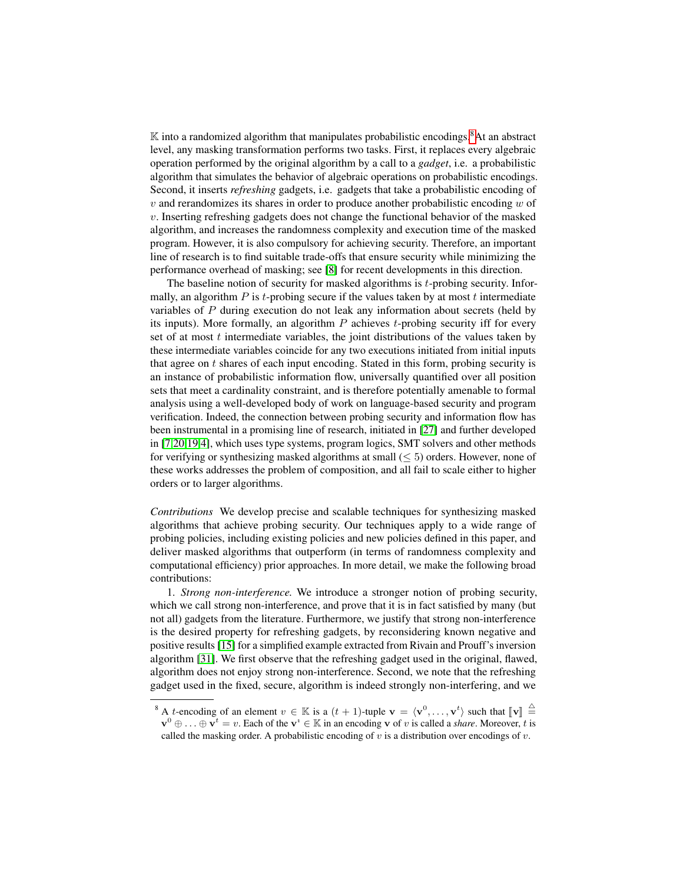$\mathbb K$  into a randomized algorithm that manipulates probabilistic encodings.<sup>[8](#page-1-0)</sup>At an abstract level, any masking transformation performs two tasks. First, it replaces every algebraic operation performed by the original algorithm by a call to a *gadget*, i.e. a probabilistic algorithm that simulates the behavior of algebraic operations on probabilistic encodings. Second, it inserts *refreshing* gadgets, i.e. gadgets that take a probabilistic encoding of  $v$  and rerandomizes its shares in order to produce another probabilistic encoding  $w$  of  $v$ . Inserting refreshing gadgets does not change the functional behavior of the masked algorithm, and increases the randomness complexity and execution time of the masked program. However, it is also compulsory for achieving security. Therefore, an important line of research is to find suitable trade-offs that ensure security while minimizing the performance overhead of masking; see [\[8\]](#page-26-1) for recent developments in this direction.

The baseline notion of security for masked algorithms is t-probing security. Informally, an algorithm  $P$  is t-probing secure if the values taken by at most t intermediate variables of P during execution do not leak any information about secrets (held by its inputs). More formally, an algorithm  $P$  achieves t-probing security iff for every set of at most  $t$  intermediate variables, the joint distributions of the values taken by these intermediate variables coincide for any two executions initiated from initial inputs that agree on  $t$  shares of each input encoding. Stated in this form, probing security is an instance of probabilistic information flow, universally quantified over all position sets that meet a cardinality constraint, and is therefore potentially amenable to formal analysis using a well-developed body of work on language-based security and program verification. Indeed, the connection between probing security and information flow has been instrumental in a promising line of research, initiated in [\[27\]](#page-27-2) and further developed in [\[7](#page-26-2)[,20](#page-26-3)[,19,](#page-26-4)[4\]](#page-25-0), which uses type systems, program logics, SMT solvers and other methods for verifying or synthesizing masked algorithms at small  $(\leq 5)$  orders. However, none of these works addresses the problem of composition, and all fail to scale either to higher orders or to larger algorithms.

*Contributions* We develop precise and scalable techniques for synthesizing masked algorithms that achieve probing security. Our techniques apply to a wide range of probing policies, including existing policies and new policies defined in this paper, and deliver masked algorithms that outperform (in terms of randomness complexity and computational efficiency) prior approaches. In more detail, we make the following broad contributions:

1. *Strong non-interference.* We introduce a stronger notion of probing security, which we call strong non-interference, and prove that it is in fact satisfied by many (but not all) gadgets from the literature. Furthermore, we justify that strong non-interference is the desired property for refreshing gadgets, by reconsidering known negative and positive results [\[15\]](#page-26-5) for a simplified example extracted from Rivain and Prouff's inversion algorithm [\[31\]](#page-27-3). We first observe that the refreshing gadget used in the original, flawed, algorithm does not enjoy strong non-interference. Second, we note that the refreshing gadget used in the fixed, secure, algorithm is indeed strongly non-interfering, and we

<span id="page-1-0"></span><sup>&</sup>lt;sup>8</sup> A *t*-encoding of an element  $v \in \mathbb{K}$  is a  $(t + 1)$ -tuple  $\mathbf{v} = \langle \mathbf{v}^0, \dots, \mathbf{v}^t \rangle$  such that  $[\![\mathbf{v}]\!] \triangleq$  $\mathbf{v}^0 \oplus \ldots \oplus \mathbf{v}^t = v$ . Each of the  $\mathbf{v}^i \in \mathbb{K}$  in an encoding v of v is called a *share*. Moreover, t is called the masking order. A probabilistic encoding of v is a distribution over encodings of v.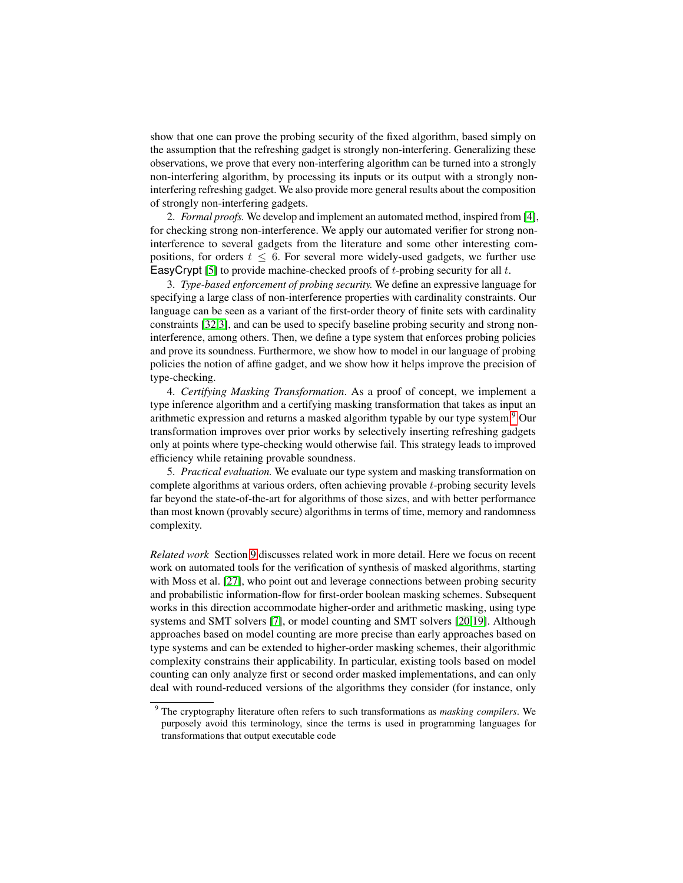show that one can prove the probing security of the fixed algorithm, based simply on the assumption that the refreshing gadget is strongly non-interfering. Generalizing these observations, we prove that every non-interfering algorithm can be turned into a strongly non-interfering algorithm, by processing its inputs or its output with a strongly noninterfering refreshing gadget. We also provide more general results about the composition of strongly non-interfering gadgets.

2. *Formal proofs.* We develop and implement an automated method, inspired from [\[4\]](#page-25-0), for checking strong non-interference. We apply our automated verifier for strong noninterference to several gadgets from the literature and some other interesting compositions, for orders  $t \leq 6$ . For several more widely-used gadgets, we further use EasyCrypt [\[5\]](#page-25-1) to provide machine-checked proofs of  $t$ -probing security for all  $t$ .

3. *Type-based enforcement of probing security.* We define an expressive language for specifying a large class of non-interference properties with cardinality constraints. Our language can be seen as a variant of the first-order theory of finite sets with cardinality constraints [\[32,](#page-27-4)[3\]](#page-25-2), and can be used to specify baseline probing security and strong noninterference, among others. Then, we define a type system that enforces probing policies and prove its soundness. Furthermore, we show how to model in our language of probing policies the notion of affine gadget, and we show how it helps improve the precision of type-checking.

4. *Certifying Masking Transformation*. As a proof of concept, we implement a type inference algorithm and a certifying masking transformation that takes as input an arithmetic expression and returns a masked algorithm typable by our type system.[9](#page-2-0) Our transformation improves over prior works by selectively inserting refreshing gadgets only at points where type-checking would otherwise fail. This strategy leads to improved efficiency while retaining provable soundness.

5. *Practical evaluation.* We evaluate our type system and masking transformation on complete algorithms at various orders, often achieving provable t-probing security levels far beyond the state-of-the-art for algorithms of those sizes, and with better performance than most known (provably secure) algorithms in terms of time, memory and randomness complexity.

*Related work* Section [9](#page-22-0) discusses related work in more detail. Here we focus on recent work on automated tools for the verification of synthesis of masked algorithms, starting with Moss et al. [\[27\]](#page-27-2), who point out and leverage connections between probing security and probabilistic information-flow for first-order boolean masking schemes. Subsequent works in this direction accommodate higher-order and arithmetic masking, using type systems and SMT solvers [\[7\]](#page-26-2), or model counting and SMT solvers [\[20,](#page-26-3)[19\]](#page-26-4). Although approaches based on model counting are more precise than early approaches based on type systems and can be extended to higher-order masking schemes, their algorithmic complexity constrains their applicability. In particular, existing tools based on model counting can only analyze first or second order masked implementations, and can only deal with round-reduced versions of the algorithms they consider (for instance, only

<span id="page-2-0"></span><sup>9</sup> The cryptography literature often refers to such transformations as *masking compilers*. We purposely avoid this terminology, since the terms is used in programming languages for transformations that output executable code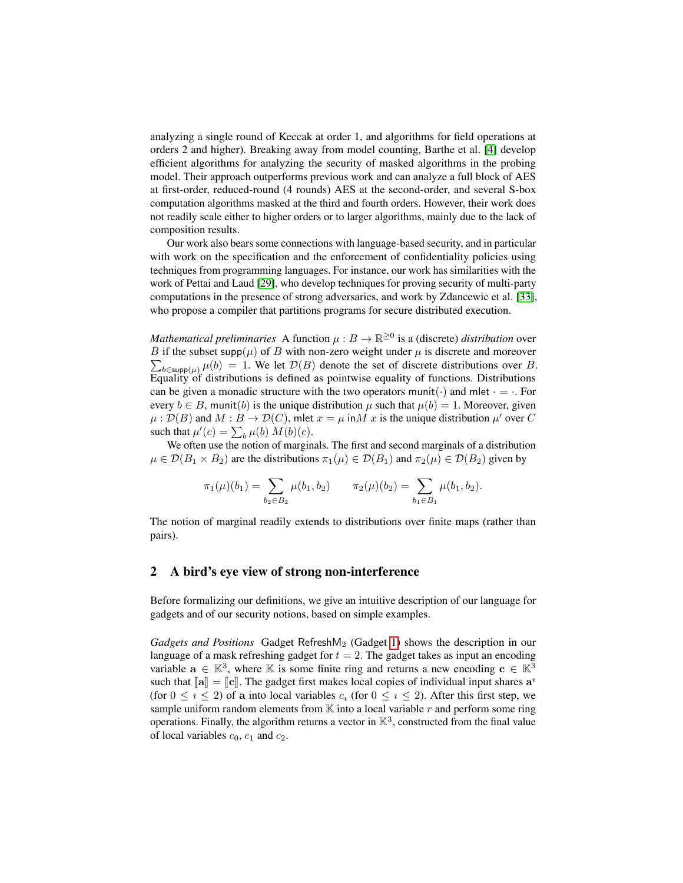analyzing a single round of Keccak at order 1, and algorithms for field operations at orders 2 and higher). Breaking away from model counting, Barthe et al. [\[4\]](#page-25-0) develop efficient algorithms for analyzing the security of masked algorithms in the probing model. Their approach outperforms previous work and can analyze a full block of AES at first-order, reduced-round (4 rounds) AES at the second-order, and several S-box computation algorithms masked at the third and fourth orders. However, their work does not readily scale either to higher orders or to larger algorithms, mainly due to the lack of composition results.

Our work also bears some connections with language-based security, and in particular with work on the specification and the enforcement of confidentiality policies using techniques from programming languages. For instance, our work has similarities with the work of Pettai and Laud [\[29\]](#page-27-5), who develop techniques for proving security of multi-party computations in the presence of strong adversaries, and work by Zdancewic et al. [\[33\]](#page-27-6), who propose a compiler that partitions programs for secure distributed execution.

*Mathematical preliminaries* A function  $\mu : B \to \mathbb{R}^{\geq 0}$  is a (discrete) *distribution* over B if the subset supp( $\mu$ ) of B with non-zero weight under  $\mu$  is discrete and moreover  $\sum_{b \in \text{supp}(\mu)} \mu(b) = 1$ . We let  $\mathcal{D}(B)$  denote the set of discrete distributions over B. Equality of distributions is defined as pointwise equality of functions. Distributions can be given a monadic structure with the two operators munit( $\cdot$ ) and mlet  $\cdot = \cdot$ . For every  $b \in B$ , munit(b) is the unique distribution  $\mu$  such that  $\mu(b) = 1$ . Moreover, given  $\mu : \mathcal{D}(B)$  and  $M : B \to \mathcal{D}(C)$ , mlet  $x = \mu$  in  $M x$  is the unique distribution  $\mu'$  over C such that  $\mu'(c) = \sum_b \mu(b) M(b)(c)$ .

We often use the notion of marginals. The first and second marginals of a distribution  $\mu \in \mathcal{D}(B_1 \times B_2)$  are the distributions  $\pi_1(\mu) \in \mathcal{D}(B_1)$  and  $\pi_2(\mu) \in \mathcal{D}(B_2)$  given by

$$
\pi_1(\mu)(b_1) = \sum_{b_2 \in B_2} \mu(b_1, b_2) \qquad \pi_2(\mu)(b_2) = \sum_{b_1 \in B_1} \mu(b_1, b_2).
$$

The notion of marginal readily extends to distributions over finite maps (rather than pairs).

## <span id="page-3-0"></span>2 A bird's eye view of strong non-interference

Before formalizing our definitions, we give an intuitive description of our language for gadgets and of our security notions, based on simple examples.

Gadgets and Positions Gadget RefreshM<sub>2</sub> (Gadget [1\)](#page-4-0) shows the description in our language of a mask refreshing gadget for  $t = 2$ . The gadget takes as input an encoding variable  $a \in \mathbb{K}^3$ , where K is some finite ring and returns a new encoding  $c \in \mathbb{K}^3$ such that  $[\![a]\!] = [\![c]\!]$ . The gadget first makes local copies of individual input shares  $a^i$ <br>(for  $0 \le a \le 2$ ) of a into local variables  $a_i$  (for  $0 \le a \le 2$ ). After this first stap, we (for  $0 \leq i \leq 2$ ) of a into local variables  $c_i$  (for  $0 \leq i \leq 2$ ). After this first step, we sample uniform random elements from  $\mathbb K$  into a local variable r and perform some ring operations. Finally, the algorithm returns a vector in  $\mathbb{K}^3$ , constructed from the final value of local variables  $c_0$ ,  $c_1$  and  $c_2$ .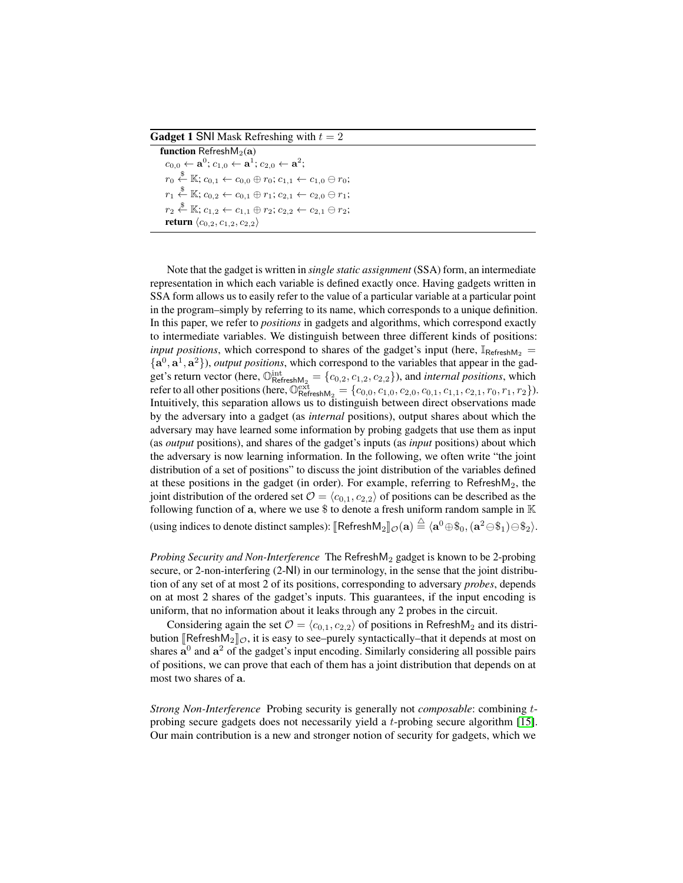<span id="page-4-0"></span>**Gadget 1 SNI Mask Refreshing with**  $t = 2$ 

function Refresh $M_2(a)$  $c_{0,0} \leftarrow \mathbf{a}^0; c_{1,0} \leftarrow \mathbf{a}^1; c_{2,0} \leftarrow \mathbf{a}^2;$  $r_0\overset{\$}{\leftarrow} \mathbb{K}; c_{0,1}\leftarrow c_{0,0}\oplus r_0; c_{1,1}\leftarrow c_{1,0}\ominus r_0;$  $r_1\overset{\$}{\leftarrow} \mathbb{K}; c_{0,2} \leftarrow c_{0,1} \oplus r_1; c_{2,1} \leftarrow c_{2,0} \ominus r_1;$  $r_2 \overset{\$}{\leftarrow} \mathbb{K}; c_{1,2} \leftarrow c_{1,1} \oplus r_2; c_{2,2} \leftarrow c_{2,1} \ominus r_2;$ return  $\langle c_{0,2}, c_{1,2}, c_{2,2}\rangle$ 

Note that the gadget is written in *single static assignment* (SSA) form, an intermediate representation in which each variable is defined exactly once. Having gadgets written in SSA form allows us to easily refer to the value of a particular variable at a particular point in the program–simply by referring to its name, which corresponds to a unique definition. In this paper, we refer to *positions* in gadgets and algorithms, which correspond exactly to intermediate variables. We distinguish between three different kinds of positions: *input positions*, which correspond to shares of the gadget's input (here,  $\mathbb{I}_{\text{RefreshM}_2}$  =  $\{a^0, a^1, a^2\}$ , *output positions*, which correspond to the variables that appear in the gadget's return vector (here,  $\mathbb{O}_{\text{RefreshM}_2}^{\text{int}} = \{c_{0,2}, c_{1,2}, c_{2,2}\}\)$ , and *internal positions*, which refer to all other positions (here,  $\mathbb{O}_{\mathsf{RefreshM_2}}^{\mathsf{ext}} = \{c_{0,0}, c_{1,0}, c_{2,0}, c_{0,1}, c_{1,1}, c_{2,1}, r_0, r_1, r_2\}.$ Intuitively, this separation allows us to distinguish between direct observations made by the adversary into a gadget (as *internal* positions), output shares about which the adversary may have learned some information by probing gadgets that use them as input (as *output* positions), and shares of the gadget's inputs (as *input* positions) about which the adversary is now learning information. In the following, we often write "the joint distribution of a set of positions" to discuss the joint distribution of the variables defined at these positions in the gadget (in order). For example, referring to Refresh $M_2$ , the joint distribution of the ordered set  $\mathcal{O} = \langle c_{0,1}, c_{2,2} \rangle$  of positions can be described as the following function of a, where we use  $\$$  to denote a fresh uniform random sample in  $K$ (using indices to denote distinct samples):  $\llbracket \mathsf{RefreshM}_2 \rrbracket_{\mathcal{O}}(\mathbf{a}) \stackrel{\triangle}{=} \langle \mathbf{a}^0 \oplus \$_0, (\mathbf{a}^2 \ominus \$_1) \ominus \$_2 \rangle.$ 

*Probing Security and Non-Interference* The RefreshM<sub>2</sub> gadget is known to be 2-probing secure, or 2-non-interfering (2-NI) in our terminology, in the sense that the joint distribution of any set of at most 2 of its positions, corresponding to adversary *probes*, depends on at most 2 shares of the gadget's inputs. This guarantees, if the input encoding is uniform, that no information about it leaks through any 2 probes in the circuit.

Considering again the set  $\mathcal{O} = \langle c_{0,1}, c_{2,2} \rangle$  of positions in RefreshM<sub>2</sub> and its distribution  $\left[\mathsf{RefreshM}_2\right]_O$ , it is easy to see–purely syntactically–that it depends at most on shares  $a^0$  and  $a^2$  of the gadget's input encoding. Similarly considering all possible pairs of positions, we can prove that each of them has a joint distribution that depends on at most two shares of a.

*Strong Non-Interference* Probing security is generally not *composable*: combining tprobing secure gadgets does not necessarily yield a t-probing secure algorithm [\[15\]](#page-26-5). Our main contribution is a new and stronger notion of security for gadgets, which we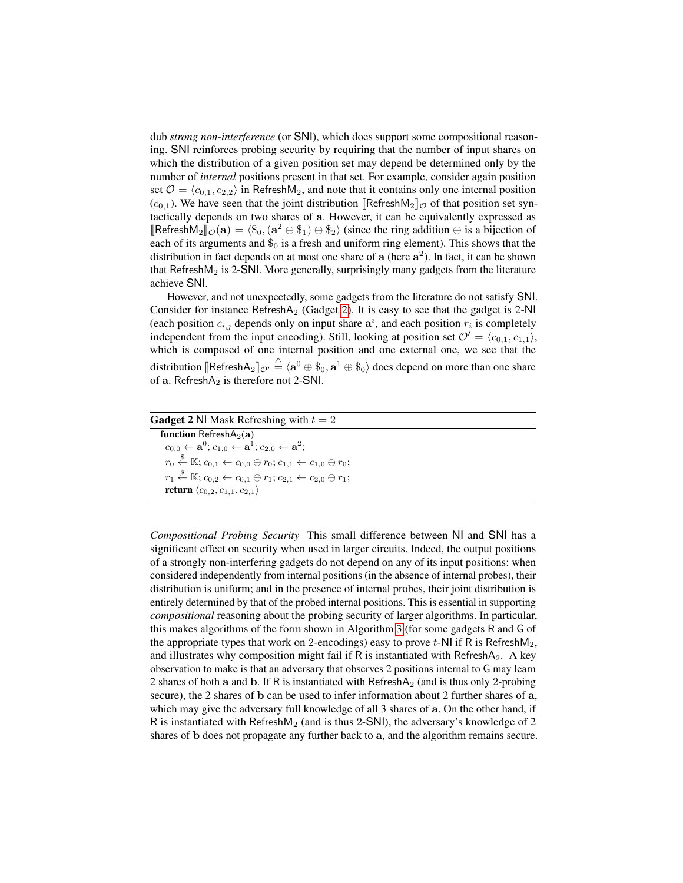dub *strong non-interference* (or SNI), which does support some compositional reasoning. SNI reinforces probing security by requiring that the number of input shares on which the distribution of a given position set may depend be determined only by the number of *internal* positions present in that set. For example, consider again position set  $\mathcal{O} = \langle c_{0,1}, c_{2,2} \rangle$  in RefreshM<sub>2</sub>, and note that it contains only one internal position  $(c_{0,1})$ . We have seen that the joint distribution  $\left[\text{RefreshM}_2\right]_{\mathcal{O}}$  of that position set syntactically depends on two shares of a. However, it can be equivalently expressed as [RefreshM<sub>2</sub>]<sub>*O*</sub>(**a**) =  $\langle$ §<sub>0</sub>,(**a**<sup>2</sup>  $\oplus$  \$<sub>1</sub>)  $\oplus$  \$<sub>2</sub>) (since the ring addition  $\oplus$  is a bijection of each of its arguments and  $\mathcal{S}_0$  is a fresh and uniform ring element). This shows that the distribution in fact depends on at most one share of  $a$  (here  $a^2$ ). In fact, it can be shown that Refresh $M_2$  is 2-SNI. More generally, surprisingly many gadgets from the literature achieve SNI.

However, and not unexpectedly, some gadgets from the literature do not satisfy SNI. Consider for instance Refresh $A_2$  (Gadget [2\)](#page-5-0). It is easy to see that the gadget is 2-NI (each position  $c_{i,j}$  depends only on input share  $a^i$ , and each position  $r_i$  is completely independent from the input encoding). Still, looking at position set  $\mathcal{O}' = \langle c_{0,1}, c_{1,1} \rangle$ , which is composed of one internal position and one external one, we see that the distribution  $[\text{References} \mathbf{A}_2]_{\mathcal{O}'} \stackrel{\Delta}{=} \langle \mathbf{a}^0 \oplus \mathbf{\$}_0, \mathbf{a}^1 \oplus \mathbf{\$}_0 \rangle$  does depend on more than one share of a. Refresh $A_2$  is therefore not 2-SNI.

<span id="page-5-0"></span>

| <b>Gadget 2 NI</b> Mask Refreshing with $t = 2$                                                                            |  |
|----------------------------------------------------------------------------------------------------------------------------|--|
| <b>function</b> Refresh $A_2(a)$                                                                                           |  |
| $c_{0,0} \leftarrow \mathbf{a}^0$ ; $c_{1,0} \leftarrow \mathbf{a}^1$ ; $c_{2,0} \leftarrow \mathbf{a}^2$ ;                |  |
| $r_0 \stackrel{\$}{\leftarrow} \mathbb{K}; c_{0,1} \leftarrow c_{0,0} \oplus r_0; c_{1,1} \leftarrow c_{1,0} \ominus r_0;$ |  |
| $r_1 \stackrel{\$}{\leftarrow} \mathbb{K}; c_{0,2} \leftarrow c_{0,1} \oplus r_1; c_{2,1} \leftarrow c_{2,0} \ominus r_1;$ |  |
| <b>return</b> $\langle c_{0,2}, c_{1,1}, c_{2,1} \rangle$                                                                  |  |

*Compositional Probing Security* This small difference between NI and SNI has a significant effect on security when used in larger circuits. Indeed, the output positions of a strongly non-interfering gadgets do not depend on any of its input positions: when considered independently from internal positions (in the absence of internal probes), their distribution is uniform; and in the presence of internal probes, their joint distribution is entirely determined by that of the probed internal positions. This is essential in supporting *compositional* reasoning about the probing security of larger algorithms. In particular, this makes algorithms of the form shown in Algorithm [3](#page-6-0) (for some gadgets R and G of the appropriate types that work on 2-encodings) easy to prove t-NI if R is Refresh $M_2$ , and illustrates why composition might fail if R is instantiated with Refresh $A_2$ . A key observation to make is that an adversary that observes 2 positions internal to G may learn 2 shares of both a and b. If R is instantiated with RefreshA<sub>2</sub> (and is thus only 2-probing secure), the 2 shares of b can be used to infer information about 2 further shares of a, which may give the adversary full knowledge of all 3 shares of a. On the other hand, if R is instantiated with  $\mathsf{RefreshM}_2$  (and is thus 2-SNI), the adversary's knowledge of 2 shares of b does not propagate any further back to a, and the algorithm remains secure.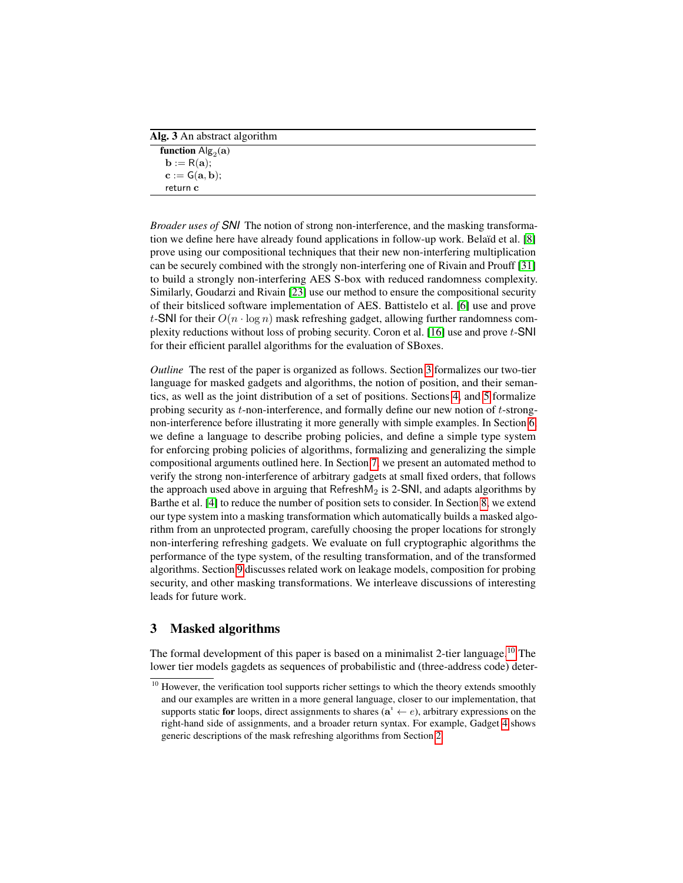<span id="page-6-0"></span>Alg. 3 An abstract algorithm

| <b>function</b> $\text{Alg}_2(\mathbf{a})$          |  |  |  |  |
|-----------------------------------------------------|--|--|--|--|
| $\mathbf{b} := \mathsf{R}(\mathbf{a});$             |  |  |  |  |
| $\mathbf{c} := \mathsf{G}(\mathbf{a}, \mathbf{b});$ |  |  |  |  |
| return c                                            |  |  |  |  |

*Broader uses of SNI* The notion of strong non-interference, and the masking transforma-tion we define here have already found applications in follow-up work. Belaïd et al. [\[8\]](#page-26-1) prove using our compositional techniques that their new non-interfering multiplication can be securely combined with the strongly non-interfering one of Rivain and Prouff [\[31\]](#page-27-3) to build a strongly non-interfering AES S-box with reduced randomness complexity. Similarly, Goudarzi and Rivain [\[23\]](#page-27-7) use our method to ensure the compositional security of their bitsliced software implementation of AES. Battistelo et al. [\[6\]](#page-26-6) use and prove t-SNI for their  $O(n \cdot \log n)$  mask refreshing gadget, allowing further randomness complexity reductions without loss of probing security. Coron et al. [\[16\]](#page-26-7) use and prove t-SNI for their efficient parallel algorithms for the evaluation of SBoxes.

*Outline* The rest of the paper is organized as follows. Section [3](#page-6-1) formalizes our two-tier language for masked gadgets and algorithms, the notion of position, and their semantics, as well as the joint distribution of a set of positions. Sections [4,](#page-9-0) and [5](#page-10-0) formalize probing security as t-non-interference, and formally define our new notion of t-strongnon-interference before illustrating it more generally with simple examples. In Section [6,](#page-12-0) we define a language to describe probing policies, and define a simple type system for enforcing probing policies of algorithms, formalizing and generalizing the simple compositional arguments outlined here. In Section [7,](#page-16-0) we present an automated method to verify the strong non-interference of arbitrary gadgets at small fixed orders, that follows the approach used above in arguing that  $\mathsf{References}\mathsf{hM}_2$  is 2-SNI, and adapts algorithms by Barthe et al. [\[4\]](#page-25-0) to reduce the number of position sets to consider. In Section [8,](#page-18-0) we extend our type system into a masking transformation which automatically builds a masked algorithm from an unprotected program, carefully choosing the proper locations for strongly non-interfering refreshing gadgets. We evaluate on full cryptographic algorithms the performance of the type system, of the resulting transformation, and of the transformed algorithms. Section [9](#page-22-0) discusses related work on leakage models, composition for probing security, and other masking transformations. We interleave discussions of interesting leads for future work.

# <span id="page-6-1"></span>3 Masked algorithms

The formal development of this paper is based on a minimalist 2-tier language.<sup>[10](#page-6-2)</sup> The lower tier models gagdets as sequences of probabilistic and (three-address code) deter-

<span id="page-6-2"></span><sup>&</sup>lt;sup>10</sup> However, the verification tool supports richer settings to which the theory extends smoothly and our examples are written in a more general language, closer to our implementation, that supports static for loops, direct assignments to shares ( $a^i \leftarrow e$ ), arbitrary expressions on the right-hand side of assignments, and a broader return syntax. For example, Gadget [4](#page-11-0) shows generic descriptions of the mask refreshing algorithms from Section [2.](#page-3-0)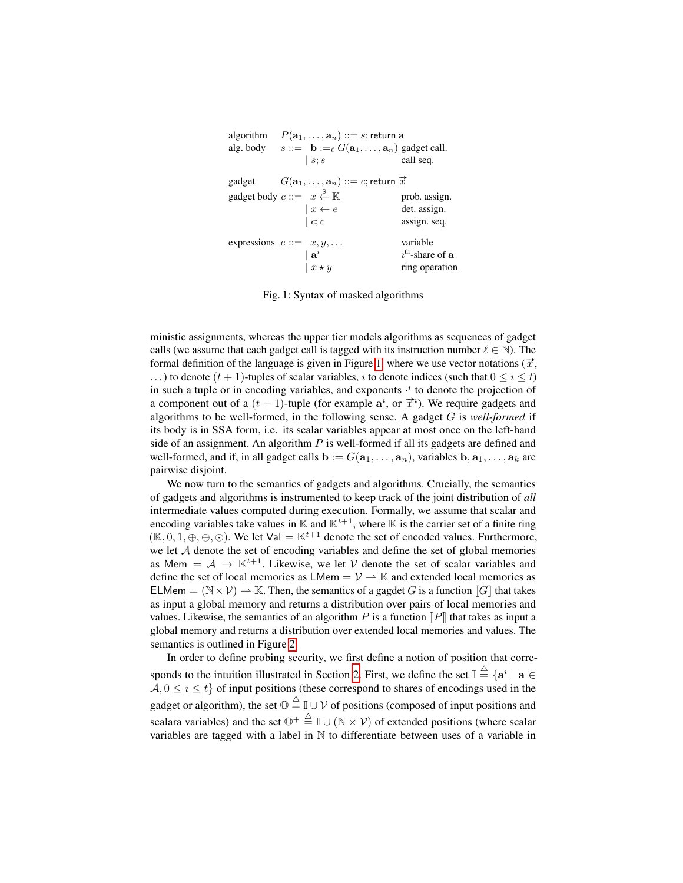<span id="page-7-0"></span>

| algorithm                                                  | $P(\mathbf{a}_1,\ldots,\mathbf{a}_n) ::= s;$ return $\mathbf{a}_1$                  |                                                           |
|------------------------------------------------------------|-------------------------------------------------------------------------------------|-----------------------------------------------------------|
|                                                            | alg. body $s ::= \mathbf{b} :=_{\ell} G(\mathbf{a}_1, , \mathbf{a}_n)$ gadget call. |                                                           |
|                                                            | s;s                                                                                 | call seq.                                                 |
|                                                            | gadget $G(\mathbf{a}_1,\ldots,\mathbf{a}_n) ::= c;$ return $\vec{x}$                |                                                           |
| gadget body $c ::= x \stackrel{\$}{\leftarrow} \mathbb{K}$ |                                                                                     | prob. assign.                                             |
|                                                            | $x \leftarrow e$                                                                    | det. assign.                                              |
|                                                            | $\mid c;c \mid$                                                                     | assign. seq.                                              |
| expressions $e ::= x, y, \ldots$                           | $\begin{array}{c} \n\mid \mathbf{a}^i \\ \n\mid x \star y \n\end{array}$            | variable<br>$i^{\text{th}}$ -share of a<br>ring operation |
|                                                            |                                                                                     |                                                           |

Fig. 1: Syntax of masked algorithms

ministic assignments, whereas the upper tier models algorithms as sequences of gadget calls (we assume that each gadget call is tagged with its instruction number  $\ell \in \mathbb{N}$ ). The formal definition of the language is given in Figure [1,](#page-7-0) where we use vector notations  $(\vec{x}, \vec{x})$ ...) to denote  $(t + 1)$ -tuples of scalar variables, *i* to denote indices (such that  $0 \leq i \leq t$ ) in such a tuple or in encoding variables, and exponents  $\cdot^i$  to denote the projection of a component out of a  $(t + 1)$ -tuple (for example  $a^i$ , or  $\vec{x}^i$ ). We require gadgets and algorithms to be well-formed, in the following sense. A gadget G is *well-formed* if its body is in SSA form, i.e. its scalar variables appear at most once on the left-hand side of an assignment. An algorithm  $P$  is well-formed if all its gadgets are defined and well-formed, and if, in all gadget calls  $\mathbf{b} := G(\mathbf{a}_1, \dots, \mathbf{a}_n)$ , variables  $\mathbf{b}, \mathbf{a}_1, \dots, \mathbf{a}_k$  are pairwise disjoint.

We now turn to the semantics of gadgets and algorithms. Crucially, the semantics of gadgets and algorithms is instrumented to keep track of the joint distribution of *all* intermediate values computed during execution. Formally, we assume that scalar and encoding variables take values in  $\mathbb{K}$  and  $\mathbb{K}^{t+1}$ , where  $\mathbb{K}$  is the carrier set of a finite ring  $(K, 0, 1, \oplus, \ominus, \odot)$ . We let Val =  $K^{t+1}$  denote the set of encoded values. Furthermore, we let A denote the set of encoding variables and define the set of global memories as Mem =  $A \rightarrow \mathbb{K}^{t+1}$ . Likewise, we let V denote the set of scalar variables and define the set of local memories as  $LMem = \mathcal{V} \rightarrow \mathbb{K}$  and extended local memories as ELMem  $= (\mathbb{N} \times \mathcal{V}) \rightarrow \mathbb{K}$ . Then, the semantics of a gagdet G is a function  $\llbracket G \rrbracket$  that takes as input a global memory and returns a distribution over pairs of local memories and values. Likewise, the semantics of an algorithm P is a function  $\llbracket P \rrbracket$  that takes as input a global memory and returns a distribution over extended local memories and values. The semantics is outlined in Figure [2.](#page-8-0)

In order to define probing security, we first define a notion of position that corre-sponds to the intuition illustrated in Section [2.](#page-3-0) First, we define the set  $\mathbb{I} \stackrel{\triangle}{=} \{a^i \mid a \in$  $\overline{\mathcal{A}}$ ,  $0 \leq i \leq t$  of input positions (these correspond to shares of encodings used in the gadget or algorithm), the set  $\mathbb{O} \stackrel{\triangle}{=} \mathbb{I} \cup \mathcal{V}$  of positions (composed of input positions and scalara variables) and the set  $\mathbb{O}^+\stackrel{\triangle}{=}\mathbb{I}\cup(\mathbb{N}\times\mathcal{V})$  of extended positions (where scalar variables are tagged with a label in N to differentiate between uses of a variable in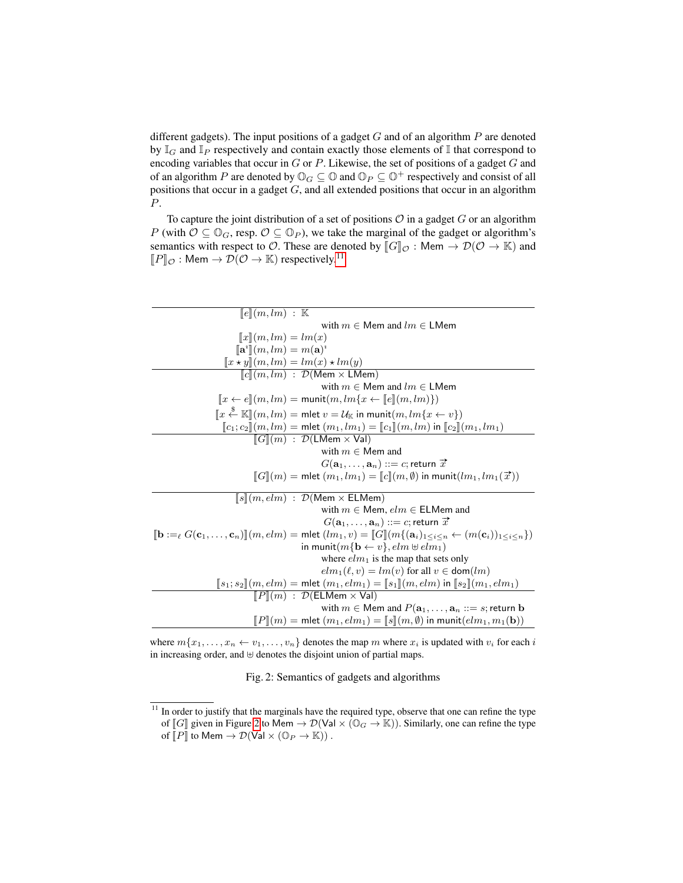different gadgets). The input positions of a gadget  $G$  and of an algorithm  $P$  are denoted by  $\mathbb{I}_G$  and  $\mathbb{I}_P$  respectively and contain exactly those elements of  $\mathbb I$  that correspond to encoding variables that occur in  $G$  or  $P$ . Likewise, the set of positions of a gadget  $G$  and of an algorithm P are denoted by  $\mathbb{O}_G \subseteq \mathbb{O}$  and  $\mathbb{O}_P \subseteq \mathbb{O}^+$  respectively and consist of all positions that occur in a gadget  $G$ , and all extended positions that occur in an algorithm P.

To capture the joint distribution of a set of positions  $\mathcal O$  in a gadget  $G$  or an algorithm P (with  $\mathcal{O} \subseteq \mathbb{O}_G$ , resp.  $\mathcal{O} \subseteq \mathbb{O}_P$ ), we take the marginal of the gadget or algorithm's semantics with respect to  $\mathcal{O}$ . These are denoted by  $\llbracket G \rrbracket_{\mathcal{O}}$  : Mem  $\rightarrow \mathcal{D}(\mathcal{O} \rightarrow \mathbb{K})$  and  $\llbracket P \rrbracket_{\mathcal{O}} : \mathsf{Mem} \to \mathcal{D}(\mathcal{O} \to \mathbb{K})$  respectively.<sup>[11](#page-8-1)</sup>

<span id="page-8-0"></span>

| $\llbracket e \rrbracket(m,lm) : \mathbb{K}$                                                                                                                                                         |
|------------------------------------------------------------------------------------------------------------------------------------------------------------------------------------------------------|
| with $m \in \mathsf{Mem}$ and $lm \in \mathsf{LMem}$                                                                                                                                                 |
| $[x](m,lm) = lm(x)$                                                                                                                                                                                  |
| $\llbracket \mathbf{a}^i \rrbracket(m,lm) = m(\mathbf{a})^i$                                                                                                                                         |
| $[x \star y](m, lm) = lm(x) \star lm(y)$                                                                                                                                                             |
| $\llbracket c \rrbracket(m, lm) : \mathcal{D}(\mathsf{Mem} \times \mathsf{LMem})$                                                                                                                    |
| with $m \in M$ em and $lm \in LM$ em                                                                                                                                                                 |
| $[x \leftarrow e](m, lm) = \text{munit}(m, lm\{x \leftarrow [e](m, lm)\})$                                                                                                                           |
| $\lbrack\!\lbrack x\stackrel{\$}{\leftarrow}\mathbb{K}\rbrack\!\rbrack(m,lm)=$ mlet $v=\mathcal{U}_{\mathbb{K}}$ in munit $(m,lm\{x\leftarrow v\})$                                                  |
| $\llbracket c_1;c_2\rrbracket(m,lm) = \mathsf{mlet}\ (m_1,lm_1) = \llbracket c_1\rrbracket(m,lm)$ in $\llbracket c_2\rrbracket(m_1,lm_1)$                                                            |
| $\llbracket G \rrbracket(m) : \mathcal{D}(\mathsf{LMem} \times \mathsf{Val})$                                                                                                                        |
| with $m \in M$ em and                                                                                                                                                                                |
| $G(\mathbf{a}_1,\ldots,\mathbf{a}_n) ::= c;$ return $\vec{x}$                                                                                                                                        |
| $\llbracket G \rrbracket(m) = \mathsf{mlet}\ (m_1, lm_1) = \llbracket c \rrbracket(m, \emptyset)$ in $\mathsf{munit}(lm_1, lm_1(\vec{x}))$                                                           |
| $\llbracket s \rrbracket(m,elm) : \mathcal{D}(\mathsf{Mem} \times \mathsf{ELMem})$                                                                                                                   |
| with $m \in \mathsf{Mem}, \text{elm} \in \mathsf{ELMem}$ and                                                                                                                                         |
| $G(\mathbf{a}_1,\ldots,\mathbf{a}_n) ::= c;$ return $\vec{x}$                                                                                                                                        |
| $[\mathbf{b} :=_{\ell} G(\mathbf{c}_1, \dots, \mathbf{c}_n)]   (m, e/m) = \mathsf{m}$ let $(lm_1, v) = [G]   (m\{(\mathbf{a}_i)_{1 \leq i \leq n} \leftarrow (m(\mathbf{c}_i))_{1 \leq i \leq n}\})$ |
| in munit $(m\{\mathbf{b} \leftarrow v\}, e l m \oplus e l m_1)$                                                                                                                                      |
| where $elm_1$ is the map that sets only                                                                                                                                                              |
| $elm_1(\ell, v) = lm(v)$ for all $v \in \text{dom}(lm)$                                                                                                                                              |
| $[s_1; s_2](m,elm) =$ mlet $(m_1,elm_1) = [s_1](m,elm)$ in $[s_2](m_1,elm_1)$                                                                                                                        |
| $[$ [P] $(m)$ : $\mathcal{D}$ (ELMem $\times$ Val)                                                                                                                                                   |
| with $m \in \mathsf{Mem}$ and $P(\mathbf{a}_1, \ldots, \mathbf{a}_n ::= s;$ return b                                                                                                                 |
| $[ P   (m) =$ mlet $(m_1, elm_1) = [s] (m, \emptyset)$ in munit $(elm_1, m_1(b))$                                                                                                                    |
|                                                                                                                                                                                                      |

where  $m\{x_1, \ldots, x_n \leftarrow v_1, \ldots, v_n\}$  denotes the map m where  $x_i$  is updated with  $v_i$  for each i in increasing order, and  $\uplus$  denotes the disjoint union of partial maps.

Fig. 2: Semantics of gadgets and algorithms

<span id="page-8-1"></span><sup>&</sup>lt;sup>11</sup> In order to justify that the marginals have the required type, observe that one can refine the type of  $\llbracket G \rrbracket$  given in Figure [2](#page-8-0) to Mem  $\rightarrow \mathcal{D}(\text{Val} \times (\mathbb{O}_G \rightarrow \mathbb{K}))$ . Similarly, one can refine the type of  $[P]$  to Mem  $\rightarrow \mathcal{D}(\textsf{Val} \times (\mathbb{O}_P \rightarrow \mathbb{K}))$ .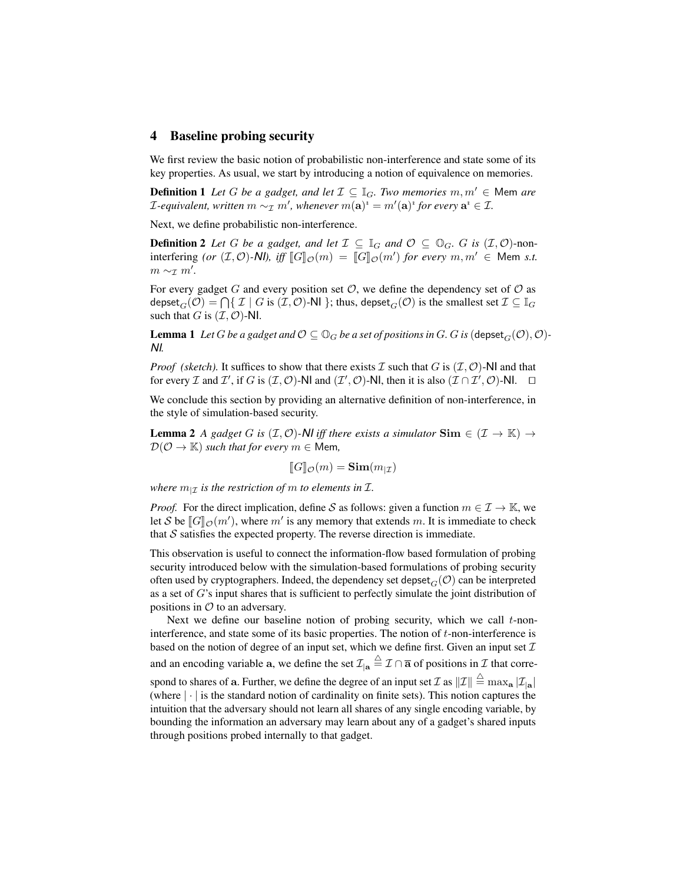# <span id="page-9-0"></span>4 Baseline probing security

We first review the basic notion of probabilistic non-interference and state some of its key properties. As usual, we start by introducing a notion of equivalence on memories.

**Definition 1** *Let* G *be a gadget, and let*  $\mathcal{I} \subseteq \mathbb{I}_G$ *. Two memories*  $m, m' \in \mathbb{M}$ em *are*  $\mathcal{I}$ -equivalent, written  $m \sim_{\mathcal{I}} m',$  whenever  $m(\mathbf{a})^i = m'(\mathbf{a})^i$  for every  $\mathbf{a}^i \in \mathcal{I}$ .

Next, we define probabilistic non-interference.

**Definition 2** Let G be a gadget, and let  $\mathcal{I} \subseteq \mathbb{I}_G$  and  $\mathcal{O} \subseteq \mathbb{O}_G$ . G is  $(\mathcal{I}, \mathcal{O})$ -noninterfering *(or*  $(\mathcal{I}, \mathcal{O})$ *-NI), iff*  $[\![G]\!]_{\mathcal{O}}(m) = [\![G]\!]_{\mathcal{O}}(m')$  *for every*  $m, m' \in \mathsf{Mem}$  *s.t.*<br> $m \in \mathbb{R}^d$  $m \sim_{\mathcal{I}} m'.$ 

For every gadget G and every position set  $\mathcal{O}$ , we define the dependency set of  $\mathcal O$  as depset $_G(\mathcal{O}) = \bigcap \{ | \mathcal{I} | \ G \text{ is } (\mathcal{I}, \mathcal{O})\text{-}\mathsf{NI} | \}$ ; thus, depset $_G(\mathcal{O})$  is the smallest set  $\mathcal{I} \subseteq \mathbb{I}_G$ such that G is  $(\mathcal{I}, \mathcal{O})$ -NI.

**Lemma 1** Let G be a gadget and  $\mathcal{O} \subseteq \mathbb{O}_G$  be a set of positions in G. G is (depset<sub>G</sub>( $\mathcal{O}$ ),  $\mathcal{O}$ )-*NI.*

*Proof* (sketch). It suffices to show that there exists  $\mathcal I$  such that  $G$  is  $(\mathcal I, \mathcal O)$ -NI and that for every  $\mathcal I$  and  $\mathcal I'$ , if  $G$  is  $(\mathcal I, \mathcal O)$ -NI and  $(\mathcal I', \mathcal O)$ -NI, then it is also  $(\mathcal I \cap \mathcal I', \mathcal O)$ -NI.  $\Box$ 

We conclude this section by providing an alternative definition of non-interference, in the style of simulation-based security.

<span id="page-9-1"></span>**Lemma 2** *A gadget G is* ( $I$ , $O$ )- $N$ *l iff there exists a simulator*  $\textbf{Sim} \in (I \rightarrow \mathbb{K}) \rightarrow$  $\mathcal{D}(\mathcal{O} \to \mathbb{K})$  *such that for every*  $m \in \mathsf{Mem}$ ,

$$
[\![G]\!]_{\mathcal{O}}(m) = \mathbf{Sim}(m_{|\mathcal{I}})
$$

*where*  $m_{\vert \mathcal{I}}$  *is the restriction of m to elements in*  $\mathcal{I}$ *.* 

*Proof.* For the direct implication, define S as follows: given a function  $m \in \mathcal{I} \to \mathbb{K}$ , we let S be  $\llbracket G \rrbracket_{\mathcal{O}}(m')$ , where m' is any memory that extends m. It is immediate to check<br>that S satisfies the expected property. The reverse direction is immediate. that  $S$  satisfies the expected property. The reverse direction is immediate.

This observation is useful to connect the information-flow based formulation of probing security introduced below with the simulation-based formulations of probing security often used by cryptographers. Indeed, the dependency set depset $_G(\mathcal{O})$  can be interpreted as a set of G's input shares that is sufficient to perfectly simulate the joint distribution of positions in  $\mathcal O$  to an adversary.

Next we define our baseline notion of probing security, which we call  $t$ -noninterference, and state some of its basic properties. The notion of t-non-interference is based on the notion of degree of an input set, which we define first. Given an input set  $\mathcal I$ and an encoding variable **a**, we define the set  $\mathcal{I}_{|\mathbf{a}} \stackrel{\triangle}{=} \mathcal{I} \cap \overline{\mathbf{a}}$  of positions in  $\mathcal{I}$  that correspond to shares of **a**. Further, we define the degree of an input set  $\mathcal I$  as  $\|\mathcal I\|\stackrel{\triangle}{=} \max_{\bf a} |\mathcal I_{|\bf a}|$ (where  $|\cdot|$  is the standard notion of cardinality on finite sets). This notion captures the intuition that the adversary should not learn all shares of any single encoding variable, by bounding the information an adversary may learn about any of a gadget's shared inputs through positions probed internally to that gadget.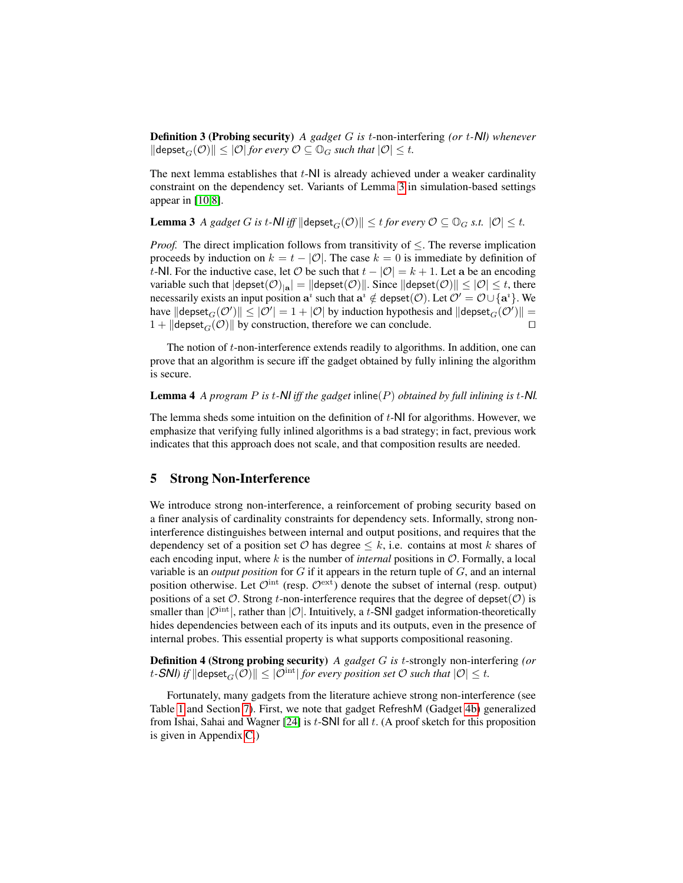Definition 3 (Probing security) *A gadget* G *is* t-non-interfering *(or* t*-NI) whenever*  $\|\text{deposit}_{G}(\mathcal{O})\| \leq |\mathcal{O}|$  *for every*  $\mathcal{O} \subseteq \mathbb{O}_G$  *such that*  $|\mathcal{O}| \leq t$ *.* 

<span id="page-10-1"></span>The next lemma establishes that  $t$ -NI is already achieved under a weaker cardinality constraint on the dependency set. Variants of Lemma [3](#page-10-1) in simulation-based settings appear in [\[10](#page-26-8)[,8\]](#page-26-1).

**Lemma 3** *A gadget* G *is* t-*NI iff*  $\|\$ depset<sub> $G$ </sub>( $\mathcal{O}\$ ) $\|$  < t *for every*  $\mathcal{O} \subset \mathbb{O}_G$  *s.t.*  $|\mathcal{O}| \leq t$ .

*Proof.* The direct implication follows from transitivity of  $\leq$ . The reverse implication proceeds by induction on  $k = t - |\mathcal{O}|$ . The case  $k = 0$  is immediate by definition of t-NI. For the inductive case, let  $\mathcal O$  be such that  $t - |\mathcal O| = k + 1$ . Let a be an encoding variable such that  $| \text{deposit}(\mathcal{O})_{\text{la}} | = | \text{deposit}(\mathcal{O}) |$ . Since  $| \text{deposit}(\mathcal{O}) | \leq |\mathcal{O}| \leq t$ , there necessarily exists an input position  $a^i$  such that  $a^i \notin \text{deposit}(\mathcal{O})$ . Let  $\mathcal{O}' = \mathcal{O} \cup \{a^i\}$ . We have  $\|\mathsf{deposit}_G(\mathcal{O}')\|\le |\mathcal{O}'|=1+|\mathcal{O}|$  by induction hypothesis and  $\|\mathsf{deposit}_G(\mathcal{O}')\|=$  $1 + ||\text{deposit}_G(\mathcal{O})||$  by construction, therefore we can conclude.  $\square$ 

The notion of  $t$ -non-interference extends readily to algorithms. In addition, one can prove that an algorithm is secure iff the gadget obtained by fully inlining the algorithm is secure.

**Lemma 4** A program P is t-NI iff the gadget inline(P) obtained by full inlining is t-NI.

The lemma sheds some intuition on the definition of  $t$ -NI for algorithms. However, we emphasize that verifying fully inlined algorithms is a bad strategy; in fact, previous work indicates that this approach does not scale, and that composition results are needed.

# <span id="page-10-0"></span>5 Strong Non-Interference

We introduce strong non-interference, a reinforcement of probing security based on a finer analysis of cardinality constraints for dependency sets. Informally, strong noninterference distinguishes between internal and output positions, and requires that the dependency set of a position set  $\mathcal O$  has degree  $\leq k$ , i.e. contains at most k shares of each encoding input, where  $k$  is the number of *internal* positions in  $\mathcal{O}$ . Formally, a local variable is an *output position* for G if it appears in the return tuple of G, and an internal position otherwise. Let  $\mathcal{O}^{\text{int}}$  (resp.  $\mathcal{O}^{\text{ext}}$ ) denote the subset of internal (resp. output) positions of a set  $\mathcal O$ . Strong t-non-interference requires that the degree of depset $(\mathcal O)$  is smaller than  $|\mathcal{O}^{\text{int}}|$ , rather than  $|\mathcal{O}|$ . Intuitively, a t-SNI gadget information-theoretically hides dependencies between each of its inputs and its outputs, even in the presence of internal probes. This essential property is what supports compositional reasoning.

Definition 4 (Strong probing security) *A gadget* G *is* t-strongly non-interfering *(or t*-*SNI*) if  $\|\text{deposit}_G(\mathcal{O})\| \leq |\mathcal{O}^{\text{int}}|$  *for every position set*  $\mathcal O$  *such that*  $|\mathcal{O}| \leq t$ *.* 

<span id="page-10-2"></span>Fortunately, many gadgets from the literature achieve strong non-interference (see Table [1](#page-18-1) and Section [7\)](#page-16-0). First, we note that gadget RefreshM (Gadget [4b\)](#page-11-1) generalized from Ishai, Sahai and Wagner  $[24]$  is t-SNI for all t. (A proof sketch for this proposition is given in Appendix [C.](#page-31-0))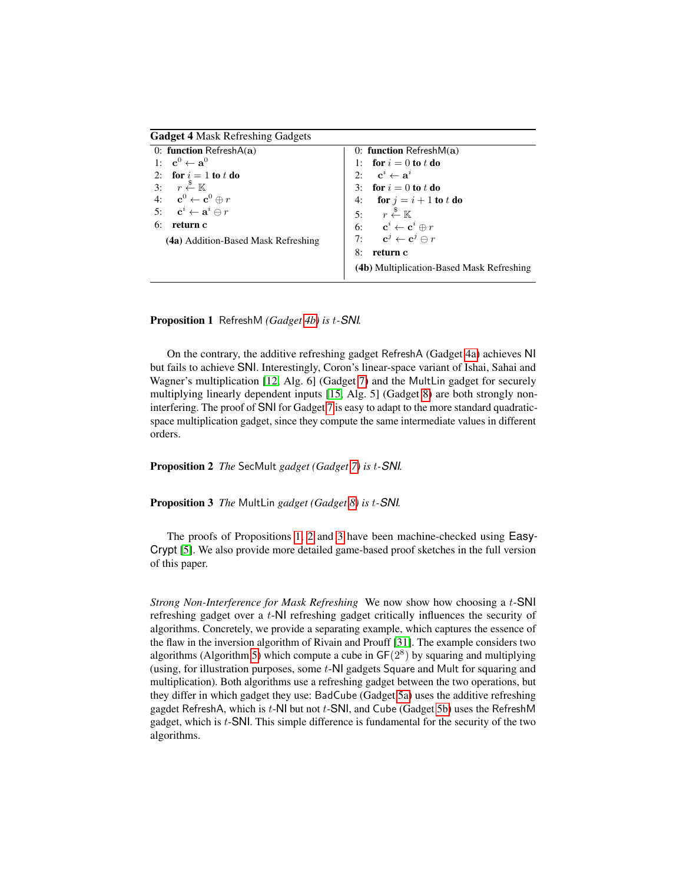<span id="page-11-0"></span>Gadget 4 Mask Refreshing Gadgets

| 0: function Refresh $A(a)$                          | 0: function Refresh $M(a)$                          |
|-----------------------------------------------------|-----------------------------------------------------|
| 1: $\mathbf{c}^0 \leftarrow \mathbf{a}^0$           | 1: for $i=0$ to t do                                |
| 2: for $i=1$ to t do                                | 2: $\mathbf{c}^i \leftarrow \mathbf{a}^i$           |
| 3: $r \stackrel{\$}{\leftarrow} \mathbb{K}$         | 3: for $i=0$ to t do                                |
| 4: $\mathbf{c}^0 \leftarrow \mathbf{c}^0 \oplus r$  | 4: for $i = i + 1$ to t do                          |
| 5: $\mathbf{c}^i \leftarrow \mathbf{a}^i \ominus r$ | 5: $r \stackrel{\$}{\leftarrow} \mathbb{K}$         |
| 6:<br>return c                                      | 6: $\mathbf{c}^i \leftarrow \mathbf{c}^i \oplus r$  |
| (4a) Addition-Based Mask Refreshing                 | 7: $\mathbf{c}^j \leftarrow \mathbf{c}^j \ominus r$ |
|                                                     | return c<br>8:                                      |
|                                                     | (4b) Multiplication-Based Mask Refreshing           |
|                                                     |                                                     |

<span id="page-11-2"></span><span id="page-11-1"></span>Proposition 1 RefreshM *(Gadget [4b\)](#page-11-1) is* t*-SNI.*

On the contrary, the additive refreshing gadget RefreshA (Gadget [4a\)](#page-11-2) achieves NI but fails to achieve SNI. Interestingly, Coron's linear-space variant of Ishai, Sahai and Wagner's multiplication [\[12,](#page-26-9) Alg. 6] (Gadget [7\)](#page-28-0) and the MultLin gadget for securely multiplying linearly dependent inputs [\[15,](#page-26-5) Alg. 5] (Gadget [8\)](#page-28-1) are both strongly noninterfering. The proof of SNI for Gadget [7](#page-28-0) is easy to adapt to the more standard quadraticspace multiplication gadget, since they compute the same intermediate values in different orders.

<span id="page-11-3"></span>Proposition 2 *The* SecMult *gadget (Gadget [7\)](#page-28-0) is* t*-SNI.*

<span id="page-11-4"></span>Proposition 3 *The* MultLin *gadget (Gadget [8\)](#page-28-1) is* t*-SNI.*

The proofs of Propositions [1,](#page-10-2) [2](#page-11-3) and [3](#page-11-4) have been machine-checked using Easy-Crypt [\[5\]](#page-25-1). We also provide more detailed game-based proof sketches in the full version of this paper.

*Strong Non-Interference for Mask Refreshing* We now show how choosing a t-SNI refreshing gadget over a t-NI refreshing gadget critically influences the security of algorithms. Concretely, we provide a separating example, which captures the essence of the flaw in the inversion algorithm of Rivain and Prouff [\[31\]](#page-27-3). The example considers two algorithms (Algorithm [5\)](#page-12-1) which compute a cube in  $GF(2^8)$  by squaring and multiplying (using, for illustration purposes, some t-NI gadgets Square and Mult for squaring and multiplication). Both algorithms use a refreshing gadget between the two operations, but they differ in which gadget they use: BadCube (Gadget [5a\)](#page-12-2) uses the additive refreshing gagdet RefreshA, which is t-NI but not t-SNI, and Cube (Gadget [5b\)](#page-12-3) uses the RefreshM gadget, which is  $t$ -SNI. This simple difference is fundamental for the security of the two algorithms.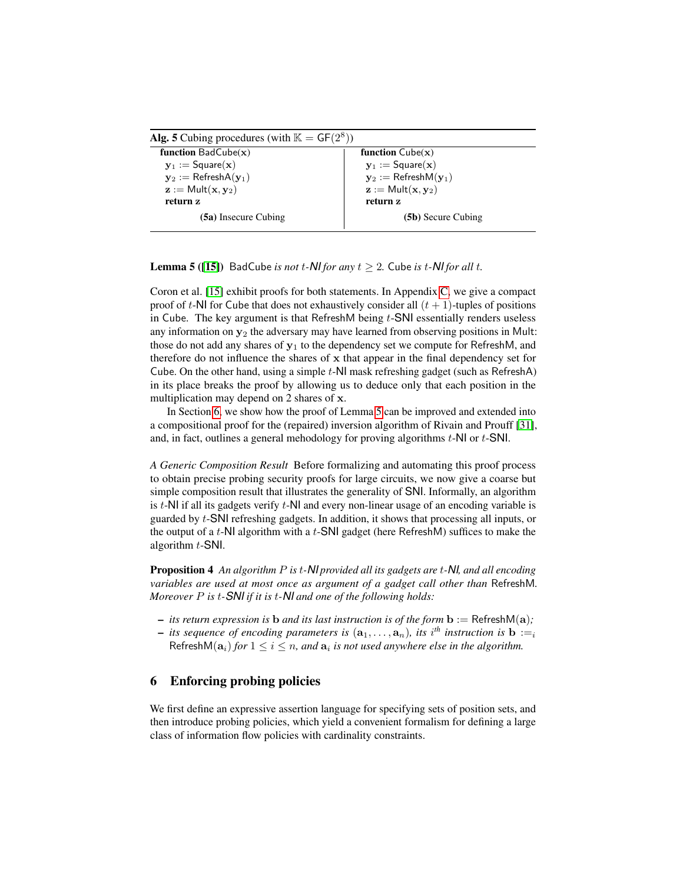<span id="page-12-1"></span>Alg. 5 Cubing procedures (with  $\mathbb{K} = \mathsf{GF}(2^8)$ )

<span id="page-12-3"></span>

| function $Cube(x)$                                      |
|---------------------------------------------------------|
| $y_1 := Square(x)$                                      |
| $y_2 := \mathsf{RefreshM}(y_1)$                         |
| $\mathbf{z} := \mathsf{Mult}(\mathbf{x}, \mathbf{y}_2)$ |
| return z                                                |
| (5b) Secure Cubing                                      |
|                                                         |

<span id="page-12-4"></span><span id="page-12-2"></span>**Lemma 5** ([\[15\]](#page-26-5)) BadCube *is not*  $t$ -*NI for any*  $t \geq 2$ . Cube *is*  $t$ -*NI for all*  $t$ .

Coron et al. [\[15\]](#page-26-5) exhibit proofs for both statements. In Appendix [C,](#page-31-0) we give a compact proof of t-NI for Cube that does not exhaustively consider all  $(t + 1)$ -tuples of positions in Cube. The key argument is that RefreshM being  $t$ -SNI essentially renders useless any information on  $y_2$  the adversary may have learned from observing positions in Mult: those do not add any shares of  $y_1$  to the dependency set we compute for RefreshM, and therefore do not influence the shares of  $x$  that appear in the final dependency set for Cube. On the other hand, using a simple  $t$ -NI mask refreshing gadget (such as RefreshA) in its place breaks the proof by allowing us to deduce only that each position in the multiplication may depend on 2 shares of x.

In Section [6,](#page-12-0) we show how the proof of Lemma [5](#page-12-4) can be improved and extended into a compositional proof for the (repaired) inversion algorithm of Rivain and Prouff [\[31\]](#page-27-3), and, in fact, outlines a general mehodology for proving algorithms  $t$ -NI or  $t$ -SNI.

*A Generic Composition Result* Before formalizing and automating this proof process to obtain precise probing security proofs for large circuits, we now give a coarse but simple composition result that illustrates the generality of SNI. Informally, an algorithm is  $t$ -NI if all its gadgets verify  $t$ -NI and every non-linear usage of an encoding variable is guarded by t-SNI refreshing gadgets. In addition, it shows that processing all inputs, or the output of a t-NI algorithm with a t-SNI gadget (here RefreshM) suffices to make the algorithm  $t$ -SNI.

<span id="page-12-5"></span>Proposition 4 *An algorithm* P *is* t*-NI provided all its gadgets are* t*-NI, and all encoding variables are used at most once as argument of a gadget call other than* RefreshM*. Moreover* P *is* t*-SNI if it is* t*-NI and one of the following holds:*

- $-$  *its return expression is* **b** *and its last instruction is of the form* **b** := RefreshM(a);
- $-$  *its sequence of encoding parameters is*  $(a_1, \ldots, a_n)$ *, its i*<sup>th</sup> instruction is  $b :=_i$ Refresh $M(\mathbf{a}_i)$  *for*  $1 \leq i \leq n$ , and  $\mathbf{a}_i$  *is not used anywhere else in the algorithm.*

# <span id="page-12-0"></span>6 Enforcing probing policies

We first define an expressive assertion language for specifying sets of position sets, and then introduce probing policies, which yield a convenient formalism for defining a large class of information flow policies with cardinality constraints.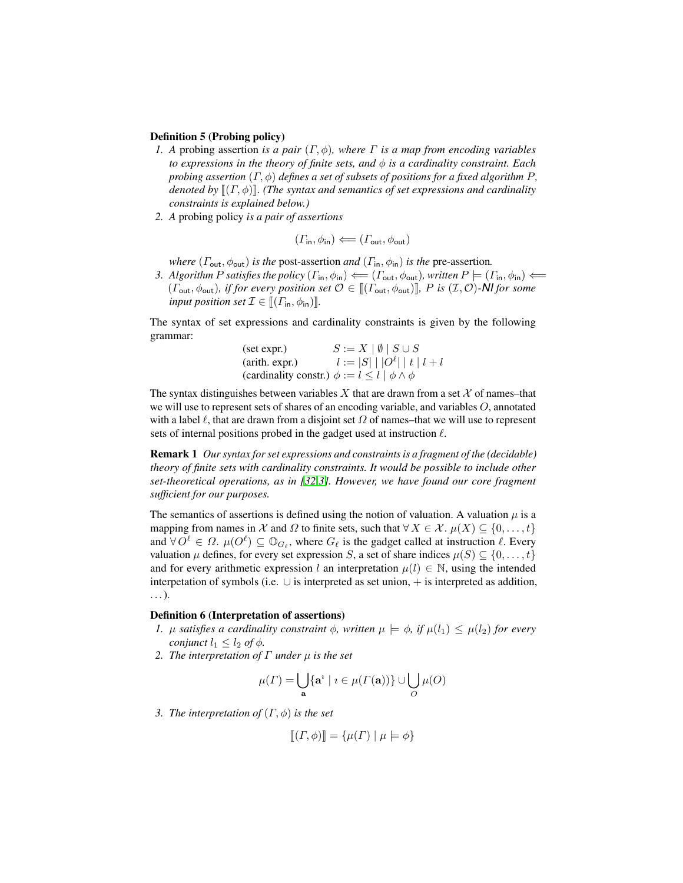#### Definition 5 (Probing policy)

- *1. A* probing assertion *is a pair* (Γ, φ)*, where* Γ *is a map from encoding variables to expressions in the theory of finite sets, and* φ *is a cardinality constraint. Each probing assertion* (Γ, φ) *defines a set of subsets of positions for a fixed algorithm* P*, denoted by*  $\lbrack\! \lbrack(\Gamma,\phi)\rbrack\! \rbrack$ . (The syntax and semantics of set expressions and cardinality *constraints is explained below.)*
- *2. A* probing policy *is a pair of assertions*

$$
(\varGamma_{\mathrm{in}},\phi_{\mathrm{in}}) \Longleftarrow (\varGamma_{\mathrm{out}},\phi_{\mathrm{out}})
$$

*where*  $(\Gamma_{\text{out}}, \phi_{\text{out}})$  *is the* post-assertion *and*  $(\Gamma_{\text{in}}, \phi_{\text{in}})$  *is the* pre-assertion.

*3. Algorithm P satisfies the policy*  $(\Gamma_{\text{in}}, \phi_{\text{in}}) \leftarrow (\Gamma_{\text{out}}, \phi_{\text{out}})$ *, written*  $P \models (\Gamma_{\text{in}}, \phi_{\text{in}}) \leftarrow$  $(T_{\text{out}}, \phi_{\text{out}})$ *, if for every position set*  $\mathcal{O} \in [[(T_{\text{out}}, \phi_{\text{out}})$ *, P is*  $(\mathcal{I}, \mathcal{O})$ *-NI for some input position set*  $\mathcal{I} \in [(T_{\text{in}}, \phi_{\text{in}})]$ *.* 

The syntax of set expressions and cardinality constraints is given by the following grammar:

| (set expr.)                                                   | $S := X \mid \emptyset \mid S \cup S$ |
|---------------------------------------------------------------|---------------------------------------|
| $(\text{arith.} \text{expr.})$                                | $l :=  S     O^{\ell}    t   l + l$   |
| (cardinality constr.) $\phi := l \leq l \mid \phi \land \phi$ |                                       |

The syntax distinguishes between variables X that are drawn from a set  $X$  of names–that we will use to represent sets of shares of an encoding variable, and variables O, annotated with a label  $\ell$ , that are drawn from a disjoint set  $\Omega$  of names–that we will use to represent sets of internal positions probed in the gadget used at instruction  $\ell$ .

Remark 1 *Our syntax for set expressions and constraints is a fragment of the (decidable) theory of finite sets with cardinality constraints. It would be possible to include other set-theoretical operations, as in [\[32](#page-27-4)[,3\]](#page-25-2). However, we have found our core fragment sufficient for our purposes.*

The semantics of assertions is defined using the notion of valuation. A valuation  $\mu$  is a mapping from names in X and  $\Omega$  to finite sets, such that  $\forall X \in \mathcal{X}$ .  $\mu(X) \subseteq \{0, \ldots, t\}$ and  $\forall O^{\ell} \in \Omega$ .  $\mu(O^{\ell}) \subseteq \mathbb{O}_{G_{\ell}}$ , where  $G_{\ell}$  is the gadget called at instruction  $\ell$ . Every valuation  $\mu$  defines, for every set expression S, a set of share indices  $\mu(S) \subseteq \{0, \ldots, t\}$ and for every arithmetic expression l an interpretation  $\mu(l) \in \mathbb{N}$ , using the intended interpetation of symbols (i.e.  $\cup$  is interpreted as set union,  $+$  is interpreted as addition, . . . ).

#### Definition 6 (Interpretation of assertions)

- *1.*  $\mu$  *satisfies a cardinality constraint*  $\phi$ *, written*  $\mu \models \phi$ *, if*  $\mu(l_1) \leq \mu(l_2)$  *for every conjunct*  $l_1 \leq l_2$  *of*  $\phi$ *.*
- *2. The interpretation of* Γ *under* µ *is the set*

$$
\mu(\Gamma) = \bigcup_{\mathbf{a}} \{\mathbf{a}^i \mid i \in \mu(\Gamma(\mathbf{a}))\} \cup \bigcup_{O} \mu(O)
$$

*3. The interpretation of* (Γ, φ) *is the set*

$$
[\![ ( \Gamma, \phi ) ]\!] = \{ \mu (\Gamma) \mid \mu \models \phi \}
$$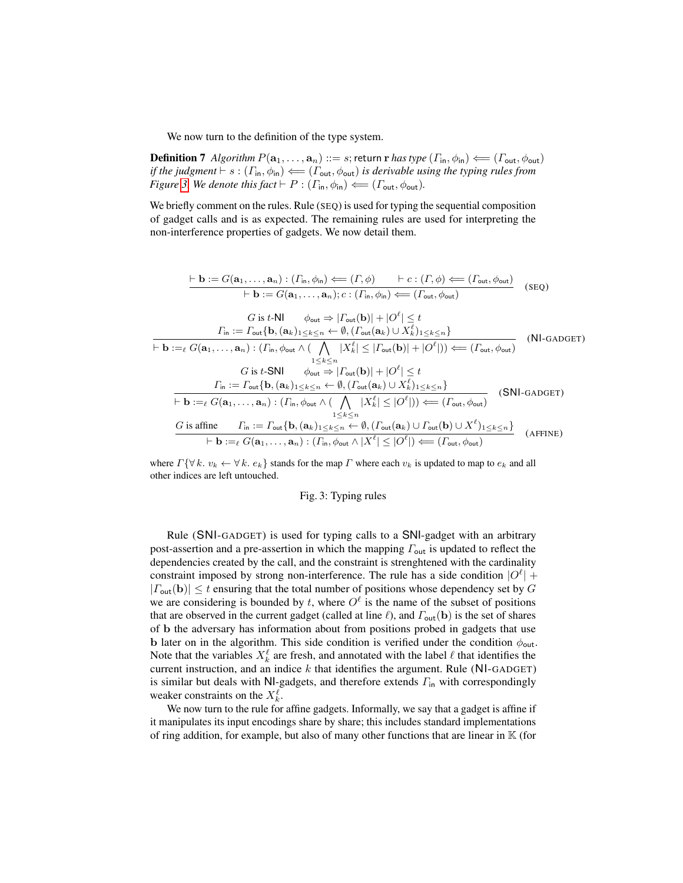We now turn to the definition of the type system.

**Definition 7** *Algorithm*  $P(\mathbf{a}_1, ..., \mathbf{a}_n) ::= s$ ; return r *has type*  $(\Gamma_{\text{in}}, \phi_{\text{in}}) \Longleftarrow (\Gamma_{\text{out}}, \phi_{\text{out}})$ *if the judgment*  $\vdash s : (F_{\text{in}}, \phi_{\text{in}}) \Longleftarrow (F_{\text{out}}, \phi_{\text{out}})$  *is derivable using the typing rules from Figure* [3.](#page-14-0) We denote this fact  $\vdash P : (\Gamma_{\text{in}}, \phi_{\text{in}}) \Longleftarrow (\Gamma_{\text{out}}, \phi_{\text{out}})$ .

We briefly comment on the rules. Rule (SEQ) is used for typing the sequential composition of gadget calls and is as expected. The remaining rules are used for interpreting the non-interference properties of gadgets. We now detail them.

<span id="page-14-0"></span>
$$
\frac{\vdash \mathbf{b} := G(\mathbf{a}_{1},..., \mathbf{a}_{n}) : (T_{\text{in}}, \phi_{\text{in}}) \Leftarrow (T, \phi) \qquad \vdash c : (T, \phi) \Leftarrow (T_{\text{out}}, \phi_{\text{out}})}{\vdash \mathbf{b} := G(\mathbf{a}_{1},..., \mathbf{a}_{n}); c : (T_{\text{in}}, \phi_{\text{in}}) \Leftarrow (T_{\text{out}}, \phi_{\text{out}})} \quad \text{(SEQ)}
$$
\n
$$
G \text{ is } t.\mathbf{N}|\qquad \phi_{\text{out}} \Rightarrow |T_{\text{out}}(\mathbf{b})| + |O^{\ell}| \leq t
$$
\n
$$
T_{\text{in}} := T_{\text{out}}\{\mathbf{b}, (\mathbf{a}_{k})_{1 \leq k \leq n} \leftarrow \emptyset, (T_{\text{out}}(\mathbf{a}_{k}) \cup X_{k}^{\ell})_{1 \leq k \leq n}\}
$$
\n
$$
\vdash \mathbf{b} :=_{\ell} G(\mathbf{a}_{1},..., \mathbf{a}_{n}) : (T_{\text{in}}, \phi_{\text{out}} \wedge (\bigwedge_{1 \leq k \leq n} |X_{k}^{\ell}| \leq |T_{\text{out}}(\mathbf{b})| + |O^{\ell}|)) \leftarrow (T_{\text{out}}, \phi_{\text{out}})
$$
\n
$$
\qquad \qquad (Nl \text{-GADGET})
$$
\n
$$
T_{\text{in}} := T_{\text{out}}\{\mathbf{b}, (\mathbf{a}_{k})_{1 \leq k \leq n} \leftarrow \emptyset, (T_{\text{out}}(\mathbf{a}_{k}) \cup X_{k}^{\ell})_{1 \leq k \leq n}\}
$$
\n
$$
\vdash \mathbf{b} :=_{\ell} G(\mathbf{a}_{1},..., \mathbf{a}_{n}) : (T_{\text{in}}, \phi_{\text{out}} \wedge (\bigwedge_{1 \leq k \leq n} |X_{k}^{\ell}| \leq |O^{\ell}|)) \leftarrow (T_{\text{out}}, \phi_{\text{out}})
$$
\n
$$
\qquad \qquad (SNl \text{-GADGET})
$$
\n
$$
T_{\text{in}} := T_{\text{out}}\{\mathbf{b}, (\mathbf{a}_{k})_{1 \leq k \leq n
$$

where  $\Gamma\{\forall k.\ v_k \leftarrow \forall k.\ e_k\}$  stands for the map  $\Gamma$  where each  $v_k$  is updated to map to  $e_k$  and all other indices are left untouched.

# Fig. 3: Typing rules

Rule (SNI-GADGET) is used for typing calls to a SNI-gadget with an arbitrary post-assertion and a pre-assertion in which the mapping  $\Gamma_{\text{out}}$  is updated to reflect the dependencies created by the call, and the constraint is strenghtened with the cardinality constraint imposed by strong non-interference. The rule has a side condition  $|O^\ell|$  +  $|F_{\text{out}}(\mathbf{b})| \leq t$  ensuring that the total number of positions whose dependency set by G we are considering is bounded by t, where  $O^{\ell}$  is the name of the subset of positions that are observed in the current gadget (called at line  $\ell$ ), and  $\Gamma_{\text{out}}(\mathbf{b})$  is the set of shares of b the adversary has information about from positions probed in gadgets that use b later on in the algorithm. This side condition is verified under the condition  $\phi_{\text{out}}$ . Note that the variables  $X_k^{\ell}$  are fresh, and annotated with the label  $\ell$  that identifies the current instruction, and an indice  $k$  that identifies the argument. Rule (NI-GADGET) is similar but deals with NI-gadgets, and therefore extends  $\Gamma_{\text{in}}$  with correspondingly weaker constraints on the  $X_k^{\ell}$ .

We now turn to the rule for affine gadgets. Informally, we say that a gadget is affine if it manipulates its input encodings share by share; this includes standard implementations of ring addition, for example, but also of many other functions that are linear in  $K$  (for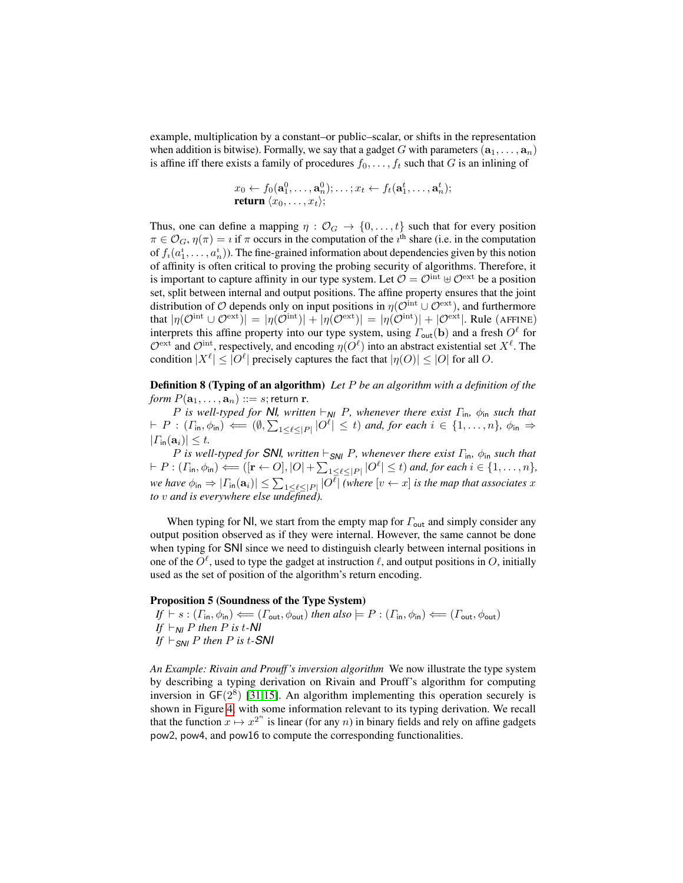example, multiplication by a constant–or public–scalar, or shifts in the representation when addition is bitwise). Formally, we say that a gadget G with parameters  $(a_1, \ldots, a_n)$ is affine iff there exists a family of procedures  $f_0, \ldots, f_t$  such that G is an inlining of

$$
x_0 \leftarrow f_0(\mathbf{a}_1^0, \dots, \mathbf{a}_n^0); \dots; x_t \leftarrow f_t(\mathbf{a}_1^t, \dots, \mathbf{a}_n^t);
$$
  
return  $\langle x_0, \dots, x_t \rangle;$ 

Thus, one can define a mapping  $\eta : \mathcal{O}_G \to \{0, \ldots, t\}$  such that for every position  $\pi \in \mathcal{O}_G$ ,  $\eta(\pi) = i$  if  $\pi$  occurs in the computation of the  $i^{\text{th}}$  share (i.e. in the computation of  $f_i(a_1^i, \ldots, a_n^i)$ ). The fine-grained information about dependencies given by this notion of affinity is often critical to proving the probing security of algorithms. Therefore, it is important to capture affinity in our type system. Let  $\mathcal{O} = \mathcal{O}^{\text{int}} \oplus \mathcal{O}^{\text{ext}}$  be a position set, split between internal and output positions. The affine property ensures that the joint distribution of O depends only on input positions in  $\eta(\mathcal{O}^{\text{int}} \cup \mathcal{O}^{\text{ext}})$ , and furthermore that  $|\eta(\mathcal{O}^{\text{int}} \cup \mathcal{O}^{\text{ext}})| = |\eta(\mathcal{O}^{\text{int}})| + |\eta(\mathcal{O}^{\text{ext}})| = |\eta(\mathcal{O}^{\text{int}})| + |\mathcal{O}^{\text{ext}}|$ . Rule (AFFINE) interprets this affine property into our type system, using  $\Gamma_{\text{out}}(\mathbf{b})$  and a fresh  $O^{\ell}$  for  $\mathcal{O}^{\text{ext}}$  and  $\mathcal{O}^{\text{int}}$ , respectively, and encoding  $\eta(O^{\ell})$  into an abstract existential set  $X^{\ell}$ . The condition  $|X^{\ell}| \le |O^{\ell}|$  precisely captures the fact that  $|\eta(O)| \le |O|$  for all O.

Definition 8 (Typing of an algorithm) *Let* P *be an algorithm with a definition of the form*  $P(\mathbf{a}_1, \dots, \mathbf{a}_n) ::= s$ ; return **r**.

*P* is well-typed for NI, written  $\vdash_{\mathsf{NI}} P$ , whenever there exist  $\Gamma_{\text{in}}$ ,  $\phi_{\text{in}}$  such that  $\vdash P : (F_{\mathsf{in}}, \phi_{\mathsf{in}}) \Longleftarrow (\emptyset, \sum_{1 \leq \ell \leq |P|} |O^{\ell}| \leq t)$  and, for each  $i \in \{1, \ldots, n\}$ ,  $\phi_{\mathsf{in}} \Rightarrow$  $|F_{\text{in}}(\mathbf{a}_i)| \leq t.$ 

*P* is well-typed for **SNI**, written  $\vdash_{SNI} P$ , whenever there exist  $\Gamma_{in}$ ,  $\phi_{in}$  such that  $\vdash P : ( \varGamma_{\mathsf{in}}, \phi_{\mathsf{in}} ) \Longleftarrow ([\mathbf{r} \leftarrow O], |O| + \sum_{1 \leq \ell \leq |P|} |O^{\ell}| \leq t)$  and, for each  $i \in \{1, \ldots, n\},$  $w$ e have  $\phi_{\sf in}\Rightarrow |\varGamma_{\sf in}({\bf a}_i)|\leq \sum_{1\leq\ell\leq |P|}|O^\ell|$  *(where*  $[v\leftarrow x]$  *is the map that associates x to* v *and is everywhere else undefined).*

When typing for NI, we start from the empty map for  $\Gamma_{\text{out}}$  and simply consider any output position observed as if they were internal. However, the same cannot be done when typing for SNI since we need to distinguish clearly between internal positions in one of the  $O^{\ell}$ , used to type the gadget at instruction  $\ell$ , and output positions in O, initially used as the set of position of the algorithm's return encoding.

#### Proposition 5 (Soundness of the Type System)

 $\mathit{If}~\vdash s : (\mathit{\Gamma}_{\mathsf{in}}, \phi_{\mathsf{in}}) \Longleftarrow (\mathit{\Gamma}_{\mathsf{out}}, \phi_{\mathsf{out}}) ~\mathit{then~also} \models P : (\mathit{\Gamma}_{\mathsf{in}}, \phi_{\mathsf{in}}) \Longleftarrow (\mathit{\Gamma}_{\mathsf{out}}, \phi_{\mathsf{out}})$ *If*  $\vdash_{\text{NI}} P$  *then P is t*-*NI If*  $\vdash_{SNI}$  *P then P is t*-*SNI* 

*An Example: Rivain and Prouff 's inversion algorithm* We now illustrate the type system by describing a typing derivation on Rivain and Prouff's algorithm for computing inversion in  $GF(2^8)$  [\[31,](#page-27-3)[15\]](#page-26-5). An algorithm implementing this operation securely is shown in Figure [4,](#page-16-1) with some information relevant to its typing derivation. We recall that the function  $x \mapsto x^{2^n}$  is linear (for any n) in binary fields and rely on affine gadgets pow2, pow4, and pow16 to compute the corresponding functionalities.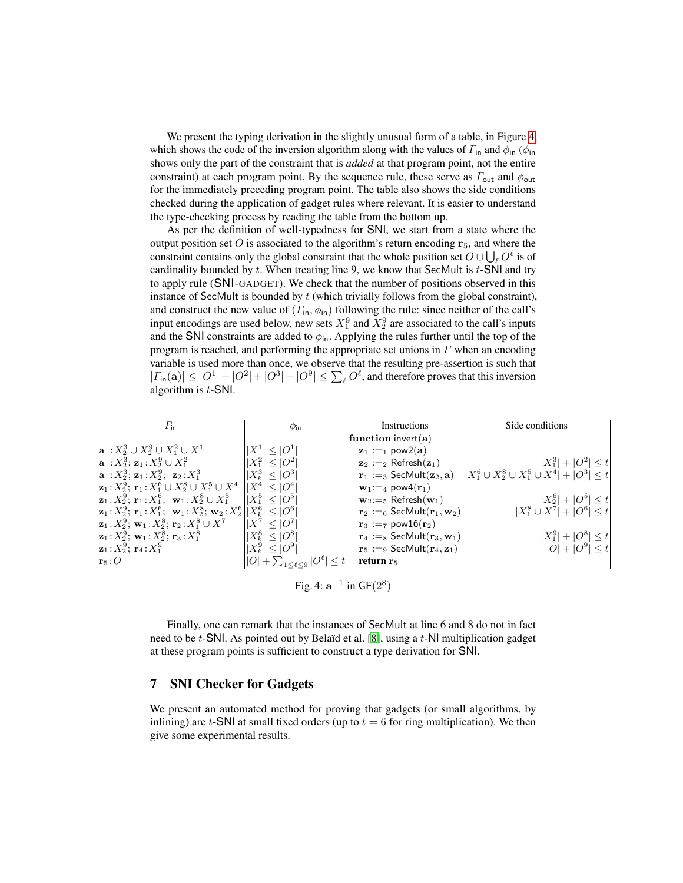We present the typing derivation in the slightly unusual form of a table, in Figure [4,](#page-16-1) which shows the code of the inversion algorithm along with the values of  $\Gamma_{\text{in}}$  and  $\phi_{\text{in}}$  ( $\phi_{\text{in}}$ shows only the part of the constraint that is *added* at that program point, not the entire constraint) at each program point. By the sequence rule, these serve as  $\Gamma_{\text{out}}$  and  $\phi_{\text{out}}$ for the immediately preceding program point. The table also shows the side conditions checked during the application of gadget rules where relevant. It is easier to understand the type-checking process by reading the table from the bottom up.

As per the definition of well-typedness for SNI, we start from a state where the output position set  $O$  is associated to the algorithm's return encoding  $r_5$ , and where the constraint contains only the global constraint that the whole position set  $O\cup\bigcup_{\ell} O^\ell$  is of cardinality bounded by  $t$ . When treating line 9, we know that SecMult is  $t$ -SNI and try to apply rule (SNI-GADGET). We check that the number of positions observed in this instance of SecMult is bounded by  $t$  (which trivially follows from the global constraint), and construct the new value of  $(\Gamma_{\text{in}}, \phi_{\text{in}})$  following the rule: since neither of the call's input encodings are used below, new sets  $X_1^9$  and  $X_2^9$  are associated to the call's inputs and the SNI constraints are added to  $\phi_{\text{in}}$ . Applying the rules further until the top of the program is reached, and performing the appropriate set unions in  $\Gamma$  when an encoding variable is used more than once, we observe that the resulting pre-assertion is such that  $|T_{\text{in}}(a)| \leq |O^1| + |O^2| + |O^3| + |O^9| \leq \sum_{\ell} O^{\ell}$ , and therefore proves that this inversion algorithm is t-SNI.

<span id="page-16-1"></span>

| $\Gamma_{\rm in}$                                                                                | $\varphi$ <sub>in</sub>                             | Instructions                                                     | Side conditions                                                                                    |
|--------------------------------------------------------------------------------------------------|-----------------------------------------------------|------------------------------------------------------------------|----------------------------------------------------------------------------------------------------|
|                                                                                                  |                                                     | function invert(a)                                               |                                                                                                    |
| $ \mathbf{a}: X_2^3 \cup X_2^9 \cup X_1^2 \cup X_1^1$                                            | $ X^1  \leq  O^1 $                                  | $\mathbf{z}_1 :=_1 \text{pow2}(\mathbf{a})$                      |                                                                                                    |
| $ \mathbf{a}:X_2^3;\mathbf{z}_1:X_2^9\cup X_1^2$                                                 | $ X_1^2  \leq  O^2 $                                | $\mathbf{z}_2 :=_2 \text{Refresh}(\mathbf{z}_1)$                 | $ X_1^3 + O^2 \leq t$                                                                              |
| $ \mathbf{a}:X_2^3;\mathbf{z}_1:X_2^9;\mathbf{z}_2:X_1^3$                                        | $ X_k^3  \leq  O^3 $                                | $\mathbf{r}_1 :=_3 \mathsf{SecMult}(\mathbf{z}_2, \mathbf{a})$   | $\left  \left  X_1^6 \cup X_2^8 \cup X_1^5 \cup X_1^4 \right  + \left  O^3 \right  \leq t \right $ |
| $ {\bf z}_1: X_2^9$ ; ${\bf r}_1: X_1^6 \cup X_2^8 \cup X_1^5 \cup X^4    X^4  \leq  O^4 $       |                                                     | $\mathbf{w}_1 :=_4 \text{pow4}(\mathbf{r}_1)$                    |                                                                                                    |
| $ {\bf z}_1:X_2^9;$ ${\bf r}_1:X_1^6;$ ${\bf w}_1:X_2^8\cup X_1^5$                               | $ X_1^5  \leq  O^5 $                                | $\mathbf{w}_2:=_5 \text{ Refresh}(\mathbf{w}_1)$                 | $ X_2^6 + O^5 \leq t$                                                                              |
| $ \mathbf{z}_1:X_2^9;\mathbf{r}_1:X_1^6;\mathbf{w}_1:X_2^8;\mathbf{w}_2:X_2^6  X_k^6 \leq  O^6 $ |                                                     | $\mathbf{r}_2 :=_6 \mathsf{SecMult}(\mathbf{r}_1, \mathbf{w}_2)$ | $ X_1^8 \cup X^7  +  O^6  \le t$                                                                   |
| $ {\bf z}_1: X_2^9$ ; ${\bf w}_1: X_2^8$ ; ${\bf r}_2: X_1^8 \cup X^7$                           | $ X^7  \leq  O^7 $                                  | $r_3 :=_7$ pow16( $r_2$ )                                        |                                                                                                    |
| $ {\bf z}_1:X_2^9;\,{\bf w}_1:X_2^8;\,{\bf r}_3:X_1^8$                                           | $ X_k^8  \leq  O^8 $                                | $\mathbf{r}_4 :=_8 \mathsf{SecMult}(\mathbf{r}_3,\mathbf{w}_1)$  | $ X_1^9  +  O^8  \le t$                                                                            |
| $ {\bf z}_1\!:\!X_2^9; \,{\bf r}_4\!:\!X_1^9 $                                                   | $ X^9_k  \leq  O^9 $                                | $\mathbf{r}_5 :=_9 \mathsf{SecMult}(\mathbf{r}_4, \mathbf{z}_1)$ | $ O  +  O^9  \le t$                                                                                |
| $\mathbf{r}_5$ :0                                                                                | $ O  + \sum_{1 \leq \ell \leq 9}  O^{\ell}  \leq t$ | return $r5$                                                      |                                                                                                    |

Fig. 4:  $a^{-1}$  in  $GF(2^8)$ 

Finally, one can remark that the instances of SecMult at line 6 and 8 do not in fact need to be  $t$ -SNI. As pointed out by Belaïd et al. [\[8\]](#page-26-1), using a  $t$ -NI multiplication gadget at these program points is sufficient to construct a type derivation for SNI.

# <span id="page-16-0"></span>7 SNI Checker for Gadgets

We present an automated method for proving that gadgets (or small algorithms, by inlining) are t-SNI at small fixed orders (up to  $t = 6$  for ring multiplication). We then give some experimental results.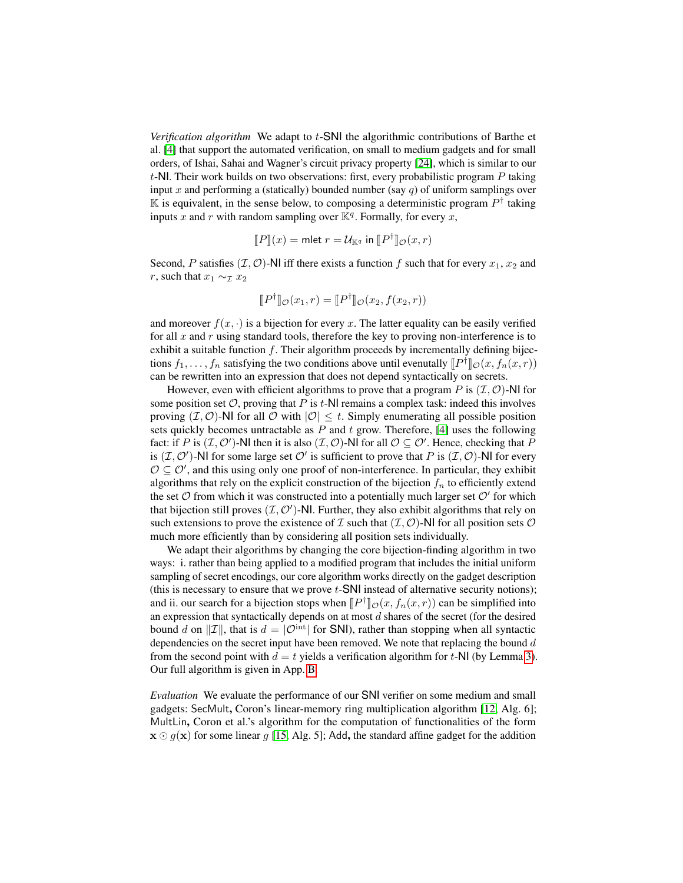*Verification algorithm* We adapt to t-SNI the algorithmic contributions of Barthe et al. [\[4\]](#page-25-0) that support the automated verification, on small to medium gadgets and for small orders, of Ishai, Sahai and Wagner's circuit privacy property [\[24\]](#page-27-8), which is similar to our t-NI. Their work builds on two observations: first, every probabilistic program  $P$  taking input x and performing a (statically) bounded number (say  $q$ ) of uniform samplings over  $\mathbb K$  is equivalent, in the sense below, to composing a deterministic program  $P^{\dagger}$  taking inputs x and r with random sampling over  $\mathbb{K}^q$ . Formally, for every x,

$$
[\![P]\!](x) = \text{mlet } r = \mathcal{U}_{\mathbb{K}^q} \text{ in } [\![P^\dagger]\!]_{\mathcal{O}}(x,r)
$$

Second, P satisfies  $(\mathcal{I}, \mathcal{O})$ -NI iff there exists a function f such that for every  $x_1, x_2$  and r, such that  $x_1 \sim_{\mathcal{I}} x_2$ 

$$
\llbracket P^{\dagger} \rrbracket_{\mathcal{O}}(x_1, r) = \llbracket P^{\dagger} \rrbracket_{\mathcal{O}}(x_2, f(x_2, r))
$$

and moreover  $f(x, \cdot)$  is a bijection for every x. The latter equality can be easily verified for all  $x$  and  $r$  using standard tools, therefore the key to proving non-interference is to exhibit a suitable function  $f$ . Their algorithm proceeds by incrementally defining bijections  $f_1, \ldots, f_n$  satisfying the two conditions above until evenutally  $\llbracket P^{\dagger} \rrbracket_{\mathcal{O}}(x, f_n(x, r))$ can be rewritten into an expression that does not depend syntactically on secrets.

However, even with efficient algorithms to prove that a program P is  $(\mathcal{I}, \mathcal{O})$ -NI for some position set  $O$ , proving that P is t-NI remains a complex task: indeed this involves proving  $(\mathcal{I}, \mathcal{O})$ -NI for all  $\mathcal O$  with  $|\mathcal O| \leq t$ . Simply enumerating all possible position sets quickly becomes untractable as  $P$  and  $t$  grow. Therefore, [\[4\]](#page-25-0) uses the following fact: if P is  $(\mathcal{I}, \mathcal{O}')$ -NI then it is also  $(\mathcal{I}, \mathcal{O})$ -NI for all  $\mathcal{O} \subseteq \mathcal{O}'$ . Hence, checking that P is  $(\mathcal{I}, \mathcal{O}')$ -NI for some large set  $\mathcal{O}'$  is sufficient to prove that P is  $(\mathcal{I}, \mathcal{O})$ -NI for every  $\mathcal{O} \subseteq \mathcal{O}'$ , and this using only one proof of non-interference. In particular, they exhibit algorithms that rely on the explicit construction of the bijection  $f_n$  to efficiently extend the set  $O$  from which it was constructed into a potentially much larger set  $O'$  for which that bijection still proves  $(\mathcal{I}, \mathcal{O}')$ -Nl. Further, they also exhibit algorithms that rely on such extensions to prove the existence of  $\mathcal I$  such that  $(\mathcal I,\mathcal O)$ -NI for all position sets  $\mathcal O$ much more efficiently than by considering all position sets individually.

We adapt their algorithms by changing the core bijection-finding algorithm in two ways: i. rather than being applied to a modified program that includes the initial uniform sampling of secret encodings, our core algorithm works directly on the gadget description (this is necessary to ensure that we prove  $t$ -SNI instead of alternative security notions); and ii. our search for a bijection stops when  $[P^{\dagger}]_{\mathcal{O}}(x, f_n(x, r))$  can be simplified into<br>an expression that syntestically depends on at most depends of the secret (for the desired an expression that syntactically depends on at most  $d$  shares of the secret (for the desired bound d on  $||\mathcal{I}||$ , that is  $d = |O^{\text{int}}|$  for SNI), rather than stopping when all syntactic dependencies on the secret input have been removed. We note that replacing the bound  $d$ from the second point with  $d = t$  yields a verification algorithm for t-NI (by Lemma [3\)](#page-10-1). Our full algorithm is given in App. [B.](#page-28-2)

*Evaluation* We evaluate the performance of our SNI verifier on some medium and small gadgets: SecMult, Coron's linear-memory ring multiplication algorithm [\[12,](#page-26-9) Alg. 6]; MultLin, Coron et al.'s algorithm for the computation of functionalities of the form  $\mathbf{x} \odot g(\mathbf{x})$  for some linear g [\[15,](#page-26-5) Alg. 5]; Add, the standard affine gadget for the addition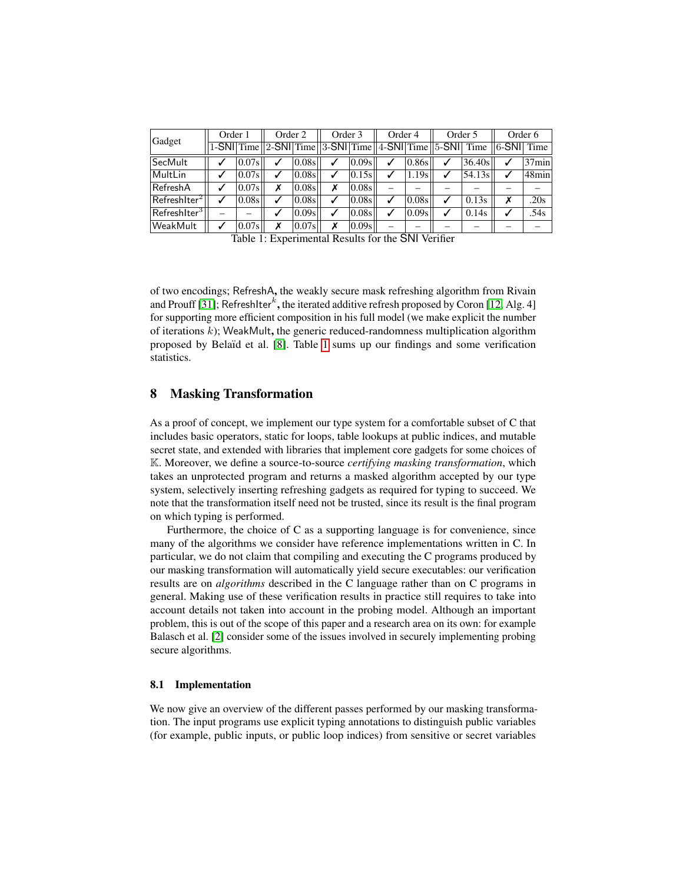<span id="page-18-1"></span>

| Gadget                        | Order 1 |  | Order 2 |   | Order 3 |  | Order 4 |  | Order 5                                                           |   | Order 6  |  |
|-------------------------------|---------|--|---------|---|---------|--|---------|--|-------------------------------------------------------------------|---|----------|--|
|                               |         |  |         |   |         |  |         |  | 1-SNI Time 2-SNI Time 3-SNI Time 4-SNI Time 5-SNI Time 6-SNI Time |   |          |  |
| SecMult                       | 0.07s   |  | 0.08s   |   | 0.09s   |  | 0.86s   |  | 36.40s                                                            |   | $37$ min |  |
| MultLin                       | 0.07s   |  | 0.08s   |   | 0.15s   |  | 1.19s   |  | 54.13s                                                            |   | $48$ min |  |
| RefreshA                      | 0.07s   |  | 0.08s   | Х | 0.08s   |  |         |  |                                                                   |   |          |  |
| $\mathsf{Referesh}$ lter $^2$ | 0.08s   |  | 0.08s   |   | 0.08s   |  | 0.08s   |  | 0.13s                                                             | Х | .20s     |  |
| $\sf {RefreshIter}^3$         |         |  | 0.09s   |   | 0.08s   |  | 0.09s   |  | 0.14s                                                             |   | .54s     |  |
| <b>WeakMult</b>               | 0.07s   |  | 0.07s   | X | 0.09s   |  |         |  |                                                                   |   |          |  |

Table 1: Experimental Results for the SNI Verifier

of two encodings; RefreshA, the weakly secure mask refreshing algorithm from Rivain and Prouff [\[31\]](#page-27-3); RefreshIter<sup>k</sup>, the iterated additive refresh proposed by Coron [\[12,](#page-26-9) Alg. 4] for supporting more efficient composition in his full model (we make explicit the number of iterations  $k$ ); WeakMult, the generic reduced-randomness multiplication algorithm proposed by Belaïd et al. [\[8\]](#page-26-1). Table [1](#page-18-1) sums up our findings and some verification statistics.

## <span id="page-18-0"></span>8 Masking Transformation

As a proof of concept, we implement our type system for a comfortable subset of C that includes basic operators, static for loops, table lookups at public indices, and mutable secret state, and extended with libraries that implement core gadgets for some choices of K. Moreover, we define a source-to-source *certifying masking transformation*, which takes an unprotected program and returns a masked algorithm accepted by our type system, selectively inserting refreshing gadgets as required for typing to succeed. We note that the transformation itself need not be trusted, since its result is the final program on which typing is performed.

Furthermore, the choice of C as a supporting language is for convenience, since many of the algorithms we consider have reference implementations written in C. In particular, we do not claim that compiling and executing the C programs produced by our masking transformation will automatically yield secure executables: our verification results are on *algorithms* described in the C language rather than on C programs in general. Making use of these verification results in practice still requires to take into account details not taken into account in the probing model. Although an important problem, this is out of the scope of this paper and a research area on its own: for example Balasch et al. [\[2\]](#page-25-3) consider some of the issues involved in securely implementing probing secure algorithms.

#### 8.1 Implementation

We now give an overview of the different passes performed by our masking transformation. The input programs use explicit typing annotations to distinguish public variables (for example, public inputs, or public loop indices) from sensitive or secret variables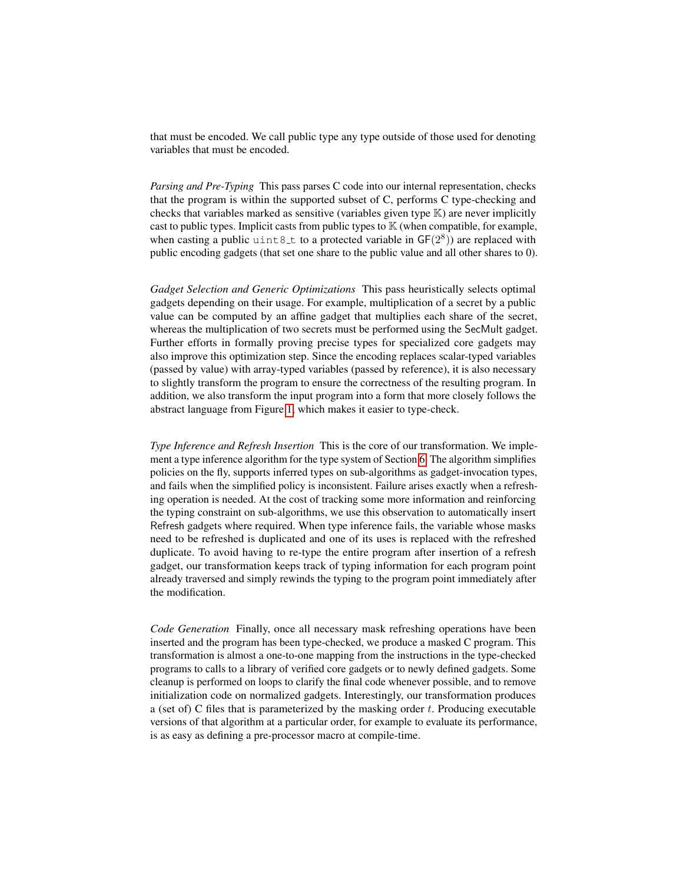that must be encoded. We call public type any type outside of those used for denoting variables that must be encoded.

*Parsing and Pre-Typing* This pass parses C code into our internal representation, checks that the program is within the supported subset of C, performs C type-checking and checks that variables marked as sensitive (variables given type  $K$ ) are never implicitly cast to public types. Implicit casts from public types to  $\mathbb K$  (when compatible, for example, when casting a public uint 8 t to a protected variable in  $GF(2^8)$ ) are replaced with public encoding gadgets (that set one share to the public value and all other shares to 0).

*Gadget Selection and Generic Optimizations* This pass heuristically selects optimal gadgets depending on their usage. For example, multiplication of a secret by a public value can be computed by an affine gadget that multiplies each share of the secret, whereas the multiplication of two secrets must be performed using the SecMult gadget. Further efforts in formally proving precise types for specialized core gadgets may also improve this optimization step. Since the encoding replaces scalar-typed variables (passed by value) with array-typed variables (passed by reference), it is also necessary to slightly transform the program to ensure the correctness of the resulting program. In addition, we also transform the input program into a form that more closely follows the abstract language from Figure [1,](#page-7-0) which makes it easier to type-check.

*Type Inference and Refresh Insertion* This is the core of our transformation. We implement a type inference algorithm for the type system of Section [6.](#page-12-0) The algorithm simplifies policies on the fly, supports inferred types on sub-algorithms as gadget-invocation types, and fails when the simplified policy is inconsistent. Failure arises exactly when a refreshing operation is needed. At the cost of tracking some more information and reinforcing the typing constraint on sub-algorithms, we use this observation to automatically insert Refresh gadgets where required. When type inference fails, the variable whose masks need to be refreshed is duplicated and one of its uses is replaced with the refreshed duplicate. To avoid having to re-type the entire program after insertion of a refresh gadget, our transformation keeps track of typing information for each program point already traversed and simply rewinds the typing to the program point immediately after the modification.

*Code Generation* Finally, once all necessary mask refreshing operations have been inserted and the program has been type-checked, we produce a masked C program. This transformation is almost a one-to-one mapping from the instructions in the type-checked programs to calls to a library of verified core gadgets or to newly defined gadgets. Some cleanup is performed on loops to clarify the final code whenever possible, and to remove initialization code on normalized gadgets. Interestingly, our transformation produces a (set of) C files that is parameterized by the masking order  $t$ . Producing executable versions of that algorithm at a particular order, for example to evaluate its performance, is as easy as defining a pre-processor macro at compile-time.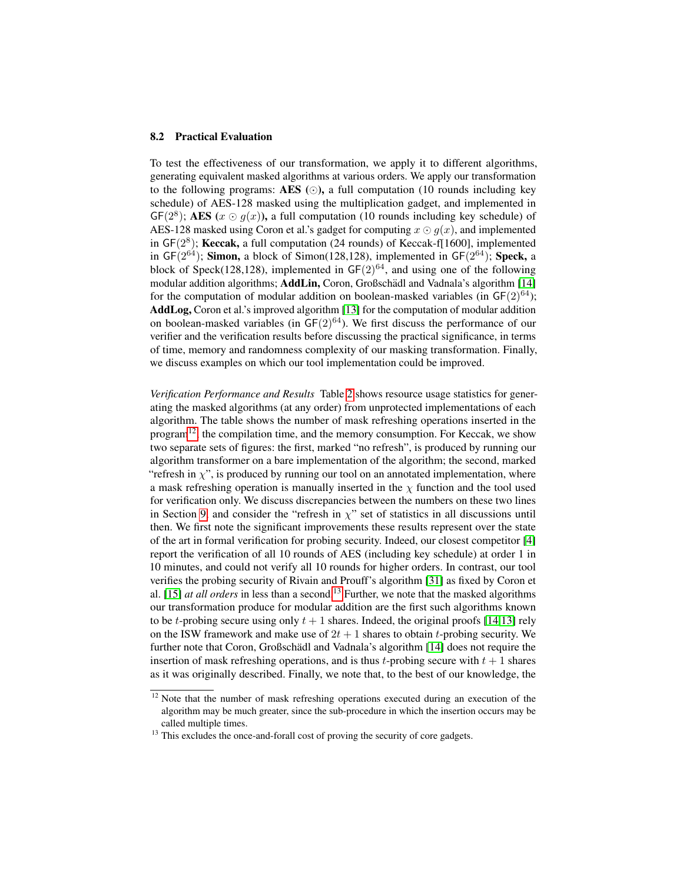#### 8.2 Practical Evaluation

To test the effectiveness of our transformation, we apply it to different algorithms, generating equivalent masked algorithms at various orders. We apply our transformation to the following programs: AES  $(\odot)$ , a full computation (10 rounds including key schedule) of AES-128 masked using the multiplication gadget, and implemented in  $GF(2^8)$ ; AES ( $x \odot g(x)$ ), a full computation (10 rounds including key schedule) of AES-128 masked using Coron et al.'s gadget for computing  $x \odot q(x)$ , and implemented in  $GF(2^8)$ ; Keccak, a full computation (24 rounds) of Keccak-f[1600], implemented in  $GF(2^{64})$ ; Simon, a block of Simon(128,128), implemented in  $GF(2^{64})$ ; Speck, a block of Speck(128,128), implemented in  $GF(2)^{64}$ , and using one of the following modular addition algorithms; AddLin, Coron, Großschädl and Vadnala's algorithm [[14\]](#page-26-10) for the computation of modular addition on boolean-masked variables (in  $GF(2)^{64}$ ); AddLog, Coron et al.'s improved algorithm [\[13\]](#page-26-11) for the computation of modular addition on boolean-masked variables (in  $GF(2)^{64}$ ). We first discuss the performance of our verifier and the verification results before discussing the practical significance, in terms of time, memory and randomness complexity of our masking transformation. Finally, we discuss examples on which our tool implementation could be improved.

*Verification Performance and Results* Table [2](#page-21-0) shows resource usage statistics for generating the masked algorithms (at any order) from unprotected implementations of each algorithm. The table shows the number of mask refreshing operations inserted in the program<sup>[12](#page-20-0)</sup>, the compilation time, and the memory consumption. For Keccak, we show two separate sets of figures: the first, marked "no refresh", is produced by running our algorithm transformer on a bare implementation of the algorithm; the second, marked "refresh in  $\chi$ ", is produced by running our tool on an annotated implementation, where a mask refreshing operation is manually inserted in the  $\chi$  function and the tool used for verification only. We discuss discrepancies between the numbers on these two lines in Section [9,](#page-24-0) and consider the "refresh in  $\chi$ " set of statistics in all discussions until then. We first note the significant improvements these results represent over the state of the art in formal verification for probing security. Indeed, our closest competitor [\[4\]](#page-25-0) report the verification of all 10 rounds of AES (including key schedule) at order 1 in 10 minutes, and could not verify all 10 rounds for higher orders. In contrast, our tool verifies the probing security of Rivain and Prouff's algorithm [\[31\]](#page-27-3) as fixed by Coron et al.  $[15]$  *at all orders* in less than a second.<sup>[13](#page-20-1)</sup> Further, we note that the masked algorithms our transformation produce for modular addition are the first such algorithms known to be t-probing secure using only  $t + 1$  shares. Indeed, the original proofs [\[14](#page-26-10)[,13\]](#page-26-11) rely on the ISW framework and make use of  $2t + 1$  shares to obtain *t*-probing security. We further note that Coron, Großschädl and Vadnala's algorithm [[14\]](#page-26-10) does not require the insertion of mask refreshing operations, and is thus t-probing secure with  $t + 1$  shares as it was originally described. Finally, we note that, to the best of our knowledge, the

<span id="page-20-0"></span><sup>&</sup>lt;sup>12</sup> Note that the number of mask refreshing operations executed during an execution of the algorithm may be much greater, since the sub-procedure in which the insertion occurs may be called multiple times.

<span id="page-20-1"></span><sup>&</sup>lt;sup>13</sup> This excludes the once-and-forall cost of proving the security of core gadgets.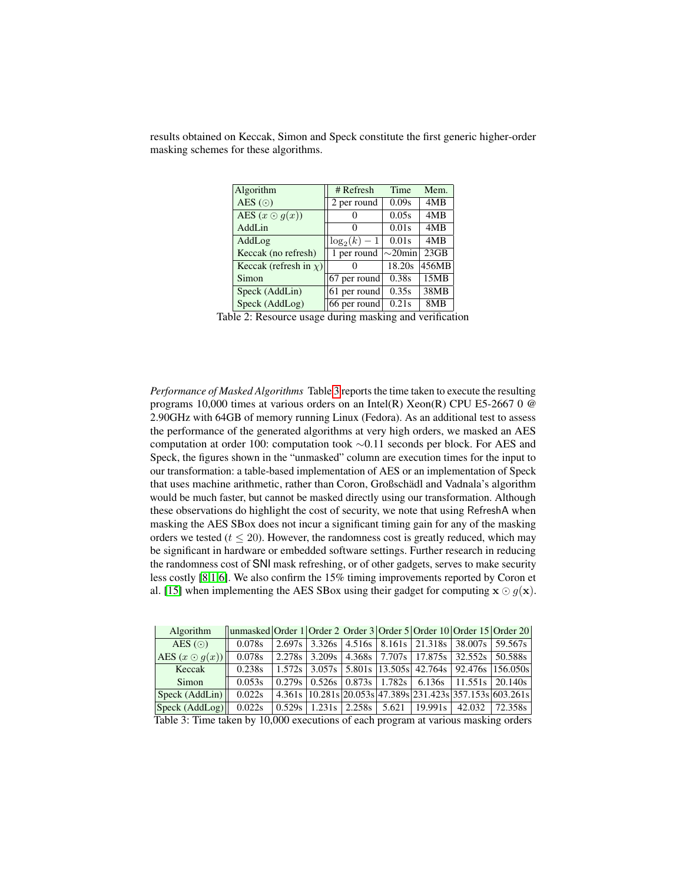| Algorithm                   | # Refresh       | Time         | Mem.  |
|-----------------------------|-----------------|--------------|-------|
| AES $(\odot)$               | 2 per round     | 0.09s        | 4MB   |
| AES $(x \odot g(x))$        |                 | 0.05s        | 4MB   |
| AddLin                      |                 | 0.01s        | 4MB   |
| AddLog                      | $\log_2(k) - 1$ | 0.01s        | 4MB   |
| Keccak (no refresh)         | per round<br>1  | $\sim$ 20min | 23GB  |
| Keccak (refresh in $\chi$ ) |                 | 18.20s       | 456MB |
| Simon                       | 67 per round    | 0.38s        | 15MB  |
| Speck (AddLin)              | 61 per round    | 0.35s        | 38MB  |
| Speck (AddLog)              | 66 per round    | 0.21s        | 8MB   |

<span id="page-21-0"></span>results obtained on Keccak, Simon and Speck constitute the first generic higher-order masking schemes for these algorithms.

Table 2: Resource usage during masking and verification

*Performance of Masked Algorithms* Table [3](#page-21-1) reports the time taken to execute the resulting programs 10,000 times at various orders on an Intel(R) Xeon(R) CPU E5-2667 0 @ 2.90GHz with 64GB of memory running Linux (Fedora). As an additional test to assess the performance of the generated algorithms at very high orders, we masked an AES computation at order 100: computation took ∼0.11 seconds per block. For AES and Speck, the figures shown in the "unmasked" column are execution times for the input to our transformation: a table-based implementation of AES or an implementation of Speck that uses machine arithmetic, rather than Coron, Großschädl and Vadnala's algorithm would be much faster, but cannot be masked directly using our transformation. Although these observations do highlight the cost of security, we note that using RefreshA when masking the AES SBox does not incur a significant timing gain for any of the masking orders we tested ( $t \leq 20$ ). However, the randomness cost is greatly reduced, which may be significant in hardware or embedded software settings. Further research in reducing the randomness cost of SNI mask refreshing, or of other gadgets, serves to make security less costly [\[8](#page-26-1)[,1](#page-25-4)[,6\]](#page-26-6). We also confirm the 15% timing improvements reported by Coron et al. [\[15\]](#page-26-5) when implementing the AES SBox using their gadget for computing  $x \odot q(x)$ .

<span id="page-21-1"></span>

| Algorithm                                                                                                                                                                                                                                                                | unmasked Order 1 Order 2 Order 3 Order 5 Order 10 Order 15 Order 20 |  |  |  |  |  |                                                                              |
|--------------------------------------------------------------------------------------------------------------------------------------------------------------------------------------------------------------------------------------------------------------------------|---------------------------------------------------------------------|--|--|--|--|--|------------------------------------------------------------------------------|
| AES $(\odot)$                                                                                                                                                                                                                                                            | 0.078s                                                              |  |  |  |  |  | $2.697s$   3.326s   4.516s   8.161s   21.318s   38.007s   59.567s            |
| AES $(x \odot g(x))$                                                                                                                                                                                                                                                     | 0.078s                                                              |  |  |  |  |  | 2.278s   3.209s   4.368s   7.707s   17.875s   32.552s   50.588s              |
| Keccak                                                                                                                                                                                                                                                                   | 0.238s                                                              |  |  |  |  |  | 1.572s   3.057s   5.801s   13.505s   42.764s   92.476s   156.050s            |
| Simon                                                                                                                                                                                                                                                                    | 0.053s                                                              |  |  |  |  |  | $0.279s$   $0.526s$   $0.873s$   $1.782s$   $6.136s$   $11.551s$   $20.140s$ |
| $\left  \text{Speck} \left( \text{AddLin} \right) \right $                                                                                                                                                                                                               | 0.022s                                                              |  |  |  |  |  | 4.361s   10.281s   20.053s   47.389s   231.423s   357.153s   603.261s        |
| $\left  \text{Speck} \left( \text{AddLog} \right) \right $                                                                                                                                                                                                               | 0.022s                                                              |  |  |  |  |  | $0.529s$   1.231s   2.258s   5.621   19.991s   42.032   72.358s              |
| $T = 1.1$ , $T = 1.1$ , $T = 1.1$ , $T = 10.000$ , $T = 1.1$ , $T = 1.1$ , $T = 1.1$ , $T = 1.1$ , $T = 1.1$ , $T = 1.1$ , $T = 1.1$ , $T = 1.1$ , $T = 1.1$ , $T = 1.1$ , $T = 1.1$ , $T = 1.1$ , $T = 1.1$ , $T = 1.1$ , $T = 1.1$ , $T = 1.1$ , $T = 1.1$ , $T = 1.1$ |                                                                     |  |  |  |  |  |                                                                              |

Table 3: Time taken by 10,000 executions of each program at various masking orders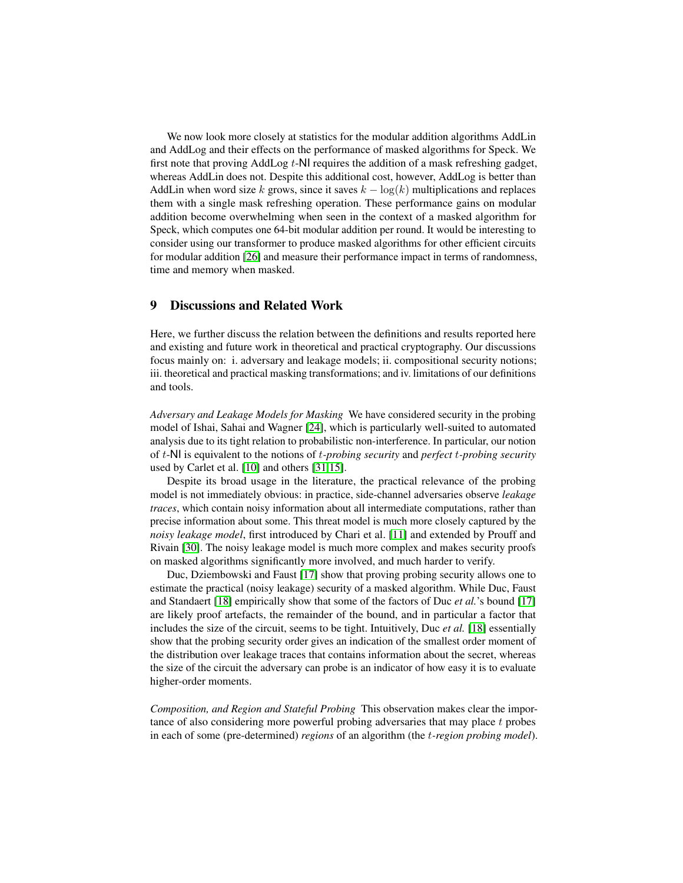We now look more closely at statistics for the modular addition algorithms AddLin and AddLog and their effects on the performance of masked algorithms for Speck. We first note that proving AddLog t-NI requires the addition of a mask refreshing gadget, whereas AddLin does not. Despite this additional cost, however, AddLog is better than AddLin when word size k grows, since it saves  $k - log(k)$  multiplications and replaces them with a single mask refreshing operation. These performance gains on modular addition become overwhelming when seen in the context of a masked algorithm for Speck, which computes one 64-bit modular addition per round. It would be interesting to consider using our transformer to produce masked algorithms for other efficient circuits for modular addition [\[26\]](#page-27-9) and measure their performance impact in terms of randomness, time and memory when masked.

# <span id="page-22-0"></span>9 Discussions and Related Work

Here, we further discuss the relation between the definitions and results reported here and existing and future work in theoretical and practical cryptography. Our discussions focus mainly on: i. adversary and leakage models; ii. compositional security notions; iii. theoretical and practical masking transformations; and iv. limitations of our definitions and tools.

*Adversary and Leakage Models for Masking* We have considered security in the probing model of Ishai, Sahai and Wagner [\[24\]](#page-27-8), which is particularly well-suited to automated analysis due to its tight relation to probabilistic non-interference. In particular, our notion of t-NI is equivalent to the notions of t*-probing security* and *perfect* t*-probing security* used by Carlet et al. [\[10\]](#page-26-8) and others [\[31,](#page-27-3)[15\]](#page-26-5).

Despite its broad usage in the literature, the practical relevance of the probing model is not immediately obvious: in practice, side-channel adversaries observe *leakage traces*, which contain noisy information about all intermediate computations, rather than precise information about some. This threat model is much more closely captured by the *noisy leakage model*, first introduced by Chari et al. [\[11\]](#page-26-0) and extended by Prouff and Rivain [\[30\]](#page-27-10). The noisy leakage model is much more complex and makes security proofs on masked algorithms significantly more involved, and much harder to verify.

Duc, Dziembowski and Faust [\[17\]](#page-26-12) show that proving probing security allows one to estimate the practical (noisy leakage) security of a masked algorithm. While Duc, Faust and Standaert [\[18\]](#page-26-13) empirically show that some of the factors of Duc *et al.*'s bound [\[17\]](#page-26-12) are likely proof artefacts, the remainder of the bound, and in particular a factor that includes the size of the circuit, seems to be tight. Intuitively, Duc *et al.* [\[18\]](#page-26-13) essentially show that the probing security order gives an indication of the smallest order moment of the distribution over leakage traces that contains information about the secret, whereas the size of the circuit the adversary can probe is an indicator of how easy it is to evaluate higher-order moments.

*Composition, and Region and Stateful Probing* This observation makes clear the importance of also considering more powerful probing adversaries that may place  $t$  probes in each of some (pre-determined) *regions* of an algorithm (the t*-region probing model*).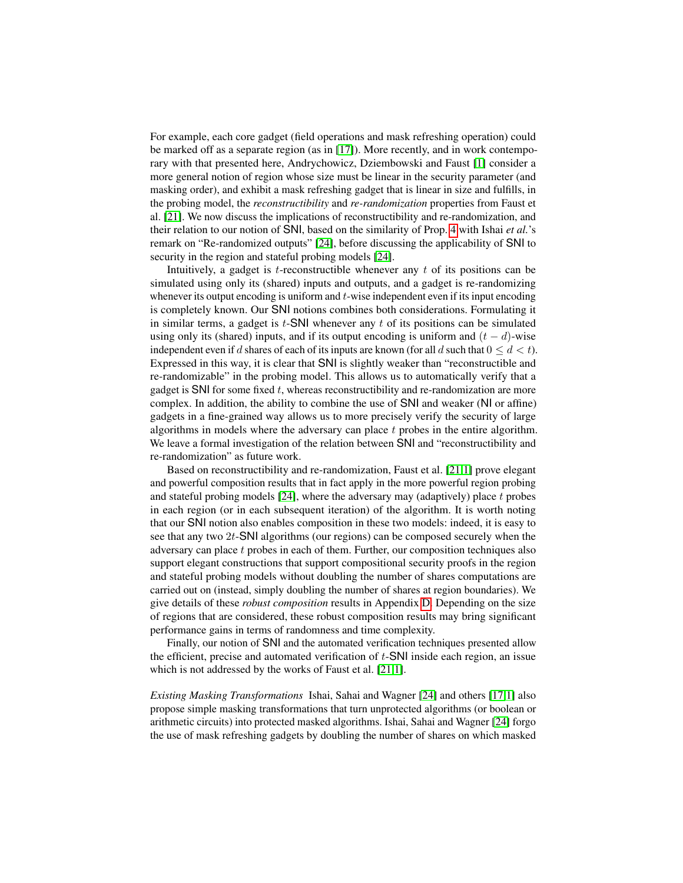For example, each core gadget (field operations and mask refreshing operation) could be marked off as a separate region (as in [\[17\]](#page-26-12)). More recently, and in work contemporary with that presented here, Andrychowicz, Dziembowski and Faust [\[1\]](#page-25-4) consider a more general notion of region whose size must be linear in the security parameter (and masking order), and exhibit a mask refreshing gadget that is linear in size and fulfills, in the probing model, the *reconstructibility* and *re-randomization* properties from Faust et al. [\[21\]](#page-27-11). We now discuss the implications of reconstructibility and re-randomization, and their relation to our notion of SNI, based on the similarity of Prop. [4](#page-12-5) with Ishai *et al.*'s remark on "Re-randomized outputs" [\[24\]](#page-27-8), before discussing the applicability of SNI to security in the region and stateful probing models [\[24\]](#page-27-8).

Intuitively, a gadget is  $t$ -reconstructible whenever any  $t$  of its positions can be simulated using only its (shared) inputs and outputs, and a gadget is re-randomizing whenever its output encoding is uniform and  $t$ -wise independent even if its input encoding is completely known. Our SNI notions combines both considerations. Formulating it in similar terms, a gadget is  $t$ -SNI whenever any  $t$  of its positions can be simulated using only its (shared) inputs, and if its output encoding is uniform and  $(t - d)$ -wise independent even if d shares of each of its inputs are known (for all d such that  $0 \le d \le t$ ). Expressed in this way, it is clear that SNI is slightly weaker than "reconstructible and re-randomizable" in the probing model. This allows us to automatically verify that a gadget is SNI for some fixed  $t$ , whereas reconstructibility and re-randomization are more complex. In addition, the ability to combine the use of SNI and weaker (NI or affine) gadgets in a fine-grained way allows us to more precisely verify the security of large algorithms in models where the adversary can place  $t$  probes in the entire algorithm. We leave a formal investigation of the relation between SNI and "reconstructibility and re-randomization" as future work.

Based on reconstructibility and re-randomization, Faust et al. [\[21](#page-27-11)[,1\]](#page-25-4) prove elegant and powerful composition results that in fact apply in the more powerful region probing and stateful probing models  $[24]$ , where the adversary may (adaptively) place  $t$  probes in each region (or in each subsequent iteration) of the algorithm. It is worth noting that our SNI notion also enables composition in these two models: indeed, it is easy to see that any two 2t-SNI algorithms (our regions) can be composed securely when the adversary can place  $t$  probes in each of them. Further, our composition techniques also support elegant constructions that support compositional security proofs in the region and stateful probing models without doubling the number of shares computations are carried out on (instead, simply doubling the number of shares at region boundaries). We give details of these *robust composition* results in Appendix [D.](#page-37-0) Depending on the size of regions that are considered, these robust composition results may bring significant performance gains in terms of randomness and time complexity.

Finally, our notion of SNI and the automated verification techniques presented allow the efficient, precise and automated verification of  $t$ -SNI inside each region, an issue which is not addressed by the works of Faust et al. [\[21,](#page-27-11)[1\]](#page-25-4).

*Existing Masking Transformations* Ishai, Sahai and Wagner [\[24\]](#page-27-8) and others [\[17](#page-26-12)[,1\]](#page-25-4) also propose simple masking transformations that turn unprotected algorithms (or boolean or arithmetic circuits) into protected masked algorithms. Ishai, Sahai and Wagner [\[24\]](#page-27-8) forgo the use of mask refreshing gadgets by doubling the number of shares on which masked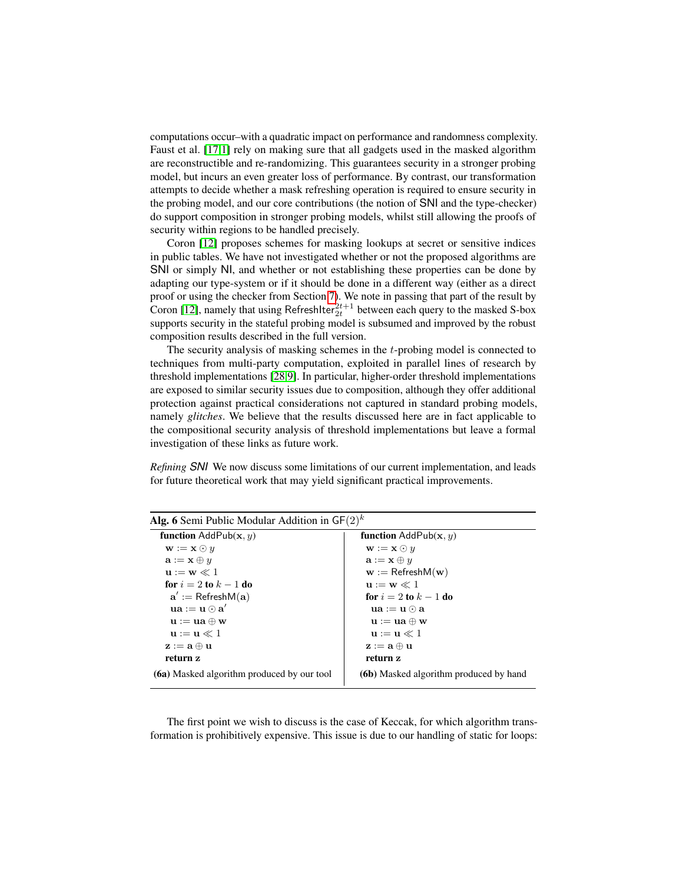computations occur–with a quadratic impact on performance and randomness complexity. Faust et al. [\[17](#page-26-12)[,1\]](#page-25-4) rely on making sure that all gadgets used in the masked algorithm are reconstructible and re-randomizing. This guarantees security in a stronger probing model, but incurs an even greater loss of performance. By contrast, our transformation attempts to decide whether a mask refreshing operation is required to ensure security in the probing model, and our core contributions (the notion of SNI and the type-checker) do support composition in stronger probing models, whilst still allowing the proofs of security within regions to be handled precisely.

Coron [\[12\]](#page-26-9) proposes schemes for masking lookups at secret or sensitive indices in public tables. We have not investigated whether or not the proposed algorithms are SNI or simply NI, and whether or not establishing these properties can be done by adapting our type-system or if it should be done in a different way (either as a direct proof or using the checker from Section [7\)](#page-16-0). We note in passing that part of the result by Coron [\[12\]](#page-26-9), namely that using RefreshIter $2t^{2t+1}$  between each query to the masked S-box supports security in the stateful probing model is subsumed and improved by the robust composition results described in the full version.

The security analysis of masking schemes in the t-probing model is connected to techniques from multi-party computation, exploited in parallel lines of research by threshold implementations [\[28](#page-27-12)[,9\]](#page-26-14). In particular, higher-order threshold implementations are exposed to similar security issues due to composition, although they offer additional protection against practical considerations not captured in standard probing models, namely *glitches*. We believe that the results discussed here are in fact applicable to the compositional security analysis of threshold implementations but leave a formal investigation of these links as future work.

<span id="page-24-0"></span>*Refining SNI* We now discuss some limitations of our current implementation, and leads for future theoretical work that may yield significant practical improvements.

| <b>Alg. 6</b> Semi Public Modular Addition in $GF(2)^k$ |                                               |
|---------------------------------------------------------|-----------------------------------------------|
| <b>function</b> AddPub $(x, y)$                         | <b>function</b> AddPub $(x, y)$               |
| $\mathbf{w} := \mathbf{x} \odot y$                      | $\mathbf{w} := \mathbf{x} \odot y$            |
| $\mathbf{a} := \mathbf{x} \oplus u$                     | $\mathbf{a} := \mathbf{x} \oplus u$           |
| $\mathbf{u} := \mathbf{w} \ll 1$                        | $\mathbf{w} := \mathsf{RefreshM}(\mathbf{w})$ |
| for $i = 2$ to $k - 1$ do                               | $\mathbf{u} := \mathbf{w} \ll 1$              |
| $\mathbf{a}' := \mathsf{RefreshM}(\mathbf{a})$          | for $i = 2$ to $k - 1$ do                     |
| $ua := u \odot a'$                                      | $ua := u \odot a$                             |
| $u := ua \oplus w$                                      | $u := ua \oplus w$                            |
| $\mathbf{u} := \mathbf{u} \ll 1$                        | $\mathbf{u} := \mathbf{u} \ll 1$              |
| $z := a \oplus u$                                       | $z := a \oplus u$                             |
| return z                                                | return z                                      |
| (6a) Masked algorithm produced by our tool              | <b>(6b)</b> Masked algorithm produced by hand |

<span id="page-24-2"></span><span id="page-24-1"></span>The first point we wish to discuss is the case of Keccak, for which algorithm transformation is prohibitively expensive. This issue is due to our handling of static for loops: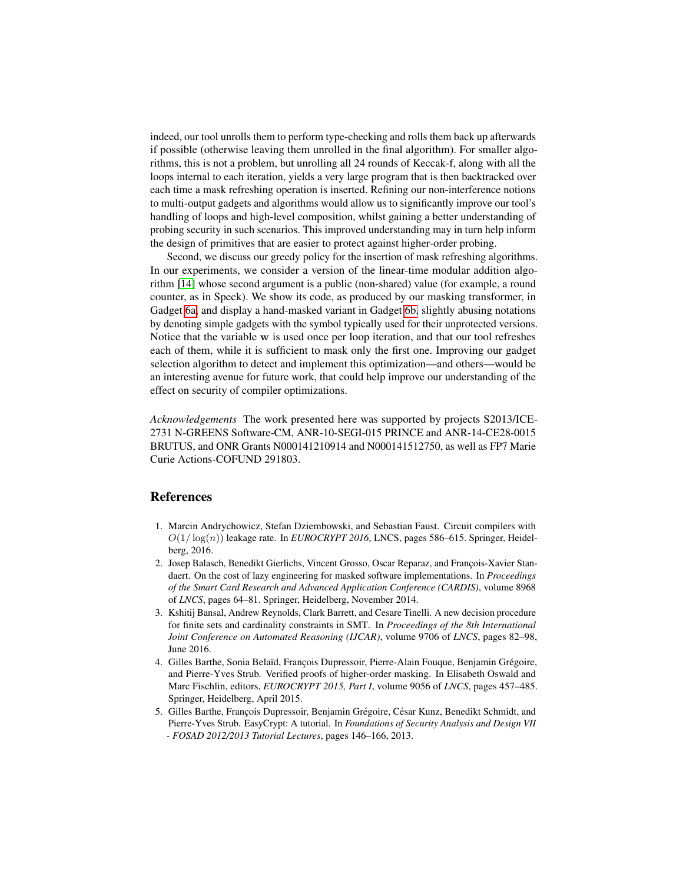indeed, our tool unrolls them to perform type-checking and rolls them back up afterwards if possible (otherwise leaving them unrolled in the final algorithm). For smaller algorithms, this is not a problem, but unrolling all 24 rounds of Keccak-f, along with all the loops internal to each iteration, yields a very large program that is then backtracked over each time a mask refreshing operation is inserted. Refining our non-interference notions to multi-output gadgets and algorithms would allow us to significantly improve our tool's handling of loops and high-level composition, whilst gaining a better understanding of probing security in such scenarios. This improved understanding may in turn help inform the design of primitives that are easier to protect against higher-order probing.

Second, we discuss our greedy policy for the insertion of mask refreshing algorithms. In our experiments, we consider a version of the linear-time modular addition algorithm [\[14\]](#page-26-10) whose second argument is a public (non-shared) value (for example, a round counter, as in Speck). We show its code, as produced by our masking transformer, in Gadget [6a,](#page-24-1) and display a hand-masked variant in Gadget [6b,](#page-24-2) slightly abusing notations by denoting simple gadgets with the symbol typically used for their unprotected versions. Notice that the variable w is used once per loop iteration, and that our tool refreshes each of them, while it is sufficient to mask only the first one. Improving our gadget selection algorithm to detect and implement this optimization—and others—would be an interesting avenue for future work, that could help improve our understanding of the effect on security of compiler optimizations.

*Acknowledgements* The work presented here was supported by projects S2013/ICE-2731 N-GREENS Software-CM, ANR-10-SEGI-015 PRINCE and ANR-14-CE28-0015 BRUTUS, and ONR Grants N000141210914 and N000141512750, as well as FP7 Marie Curie Actions-COFUND 291803.

# References

- <span id="page-25-4"></span>1. Marcin Andrychowicz, Stefan Dziembowski, and Sebastian Faust. Circuit compilers with  $O(1/\log(n))$  leakage rate. In *EUROCRYPT 2016*, LNCS, pages 586-615. Springer, Heidelberg, 2016.
- <span id="page-25-3"></span>2. Josep Balasch, Benedikt Gierlichs, Vincent Grosso, Oscar Reparaz, and François-Xavier Standaert. On the cost of lazy engineering for masked software implementations. In *Proceedings of the Smart Card Research and Advanced Application Conference (CARDIS)*, volume 8968 of *LNCS*, pages 64–81. Springer, Heidelberg, November 2014.
- <span id="page-25-2"></span>3. Kshitij Bansal, Andrew Reynolds, Clark Barrett, and Cesare Tinelli. A new decision procedure for finite sets and cardinality constraints in SMT. In *Proceedings of the 8th International Joint Conference on Automated Reasoning (IJCAR)*, volume 9706 of *LNCS*, pages 82–98, June 2016.
- <span id="page-25-0"></span>4. Gilles Barthe, Sonia Belaïd, François Dupressoir, Pierre-Alain Fouque, Benjamin Grégoire, and Pierre-Yves Strub. Verified proofs of higher-order masking. In Elisabeth Oswald and Marc Fischlin, editors, *EUROCRYPT 2015, Part I*, volume 9056 of *LNCS*, pages 457–485. Springer, Heidelberg, April 2015.
- <span id="page-25-1"></span>5. Gilles Barthe, François Dupressoir, Benjamin Grégoire, César Kunz, Benedikt Schmidt, and Pierre-Yves Strub. EasyCrypt: A tutorial. In *Foundations of Security Analysis and Design VII - FOSAD 2012/2013 Tutorial Lectures*, pages 146–166, 2013.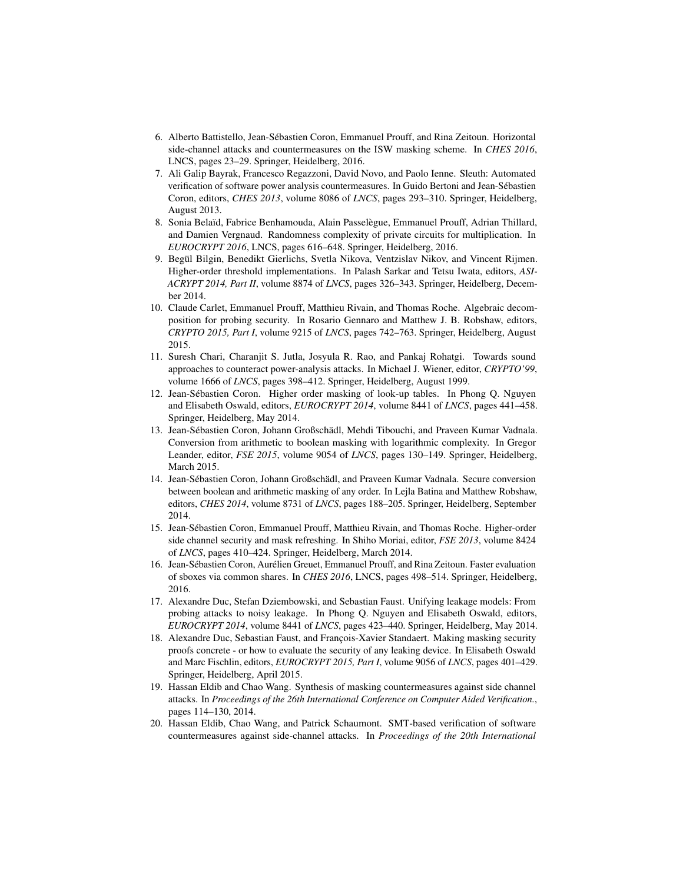- <span id="page-26-6"></span>6. Alberto Battistello, Jean-Sebastien Coron, Emmanuel Prouff, and Rina Zeitoun. Horizontal ´ side-channel attacks and countermeasures on the ISW masking scheme. In *CHES 2016*, LNCS, pages 23–29. Springer, Heidelberg, 2016.
- <span id="page-26-2"></span>7. Ali Galip Bayrak, Francesco Regazzoni, David Novo, and Paolo Ienne. Sleuth: Automated verification of software power analysis countermeasures. In Guido Bertoni and Jean-Sebastien ´ Coron, editors, *CHES 2013*, volume 8086 of *LNCS*, pages 293–310. Springer, Heidelberg, August 2013.
- <span id="page-26-1"></span>8. Sonia Belaïd, Fabrice Benhamouda, Alain Passelègue, Emmanuel Prouff, Adrian Thillard, and Damien Vergnaud. Randomness complexity of private circuits for multiplication. In *EUROCRYPT 2016*, LNCS, pages 616–648. Springer, Heidelberg, 2016.
- <span id="page-26-14"></span>9. Begül Bilgin, Benedikt Gierlichs, Svetla Nikova, Ventzislav Nikov, and Vincent Rijmen. Higher-order threshold implementations. In Palash Sarkar and Tetsu Iwata, editors, *ASI-ACRYPT 2014, Part II*, volume 8874 of *LNCS*, pages 326–343. Springer, Heidelberg, December 2014.
- <span id="page-26-8"></span>10. Claude Carlet, Emmanuel Prouff, Matthieu Rivain, and Thomas Roche. Algebraic decomposition for probing security. In Rosario Gennaro and Matthew J. B. Robshaw, editors, *CRYPTO 2015, Part I*, volume 9215 of *LNCS*, pages 742–763. Springer, Heidelberg, August 2015.
- <span id="page-26-0"></span>11. Suresh Chari, Charanjit S. Jutla, Josyula R. Rao, and Pankaj Rohatgi. Towards sound approaches to counteract power-analysis attacks. In Michael J. Wiener, editor, *CRYPTO'99*, volume 1666 of *LNCS*, pages 398–412. Springer, Heidelberg, August 1999.
- <span id="page-26-9"></span>12. Jean-Sebastien Coron. Higher order masking of look-up tables. In Phong Q. Nguyen ´ and Elisabeth Oswald, editors, *EUROCRYPT 2014*, volume 8441 of *LNCS*, pages 441–458. Springer, Heidelberg, May 2014.
- <span id="page-26-11"></span>13. Jean-Sébastien Coron, Johann Großschädl, Mehdi Tibouchi, and Praveen Kumar Vadnala. Conversion from arithmetic to boolean masking with logarithmic complexity. In Gregor Leander, editor, *FSE 2015*, volume 9054 of *LNCS*, pages 130–149. Springer, Heidelberg, March 2015.
- <span id="page-26-10"></span>14. Jean-Sébastien Coron, Johann Großschädl, and Praveen Kumar Vadnala. Secure conversion between boolean and arithmetic masking of any order. In Lejla Batina and Matthew Robshaw, editors, *CHES 2014*, volume 8731 of *LNCS*, pages 188–205. Springer, Heidelberg, September 2014.
- <span id="page-26-5"></span>15. Jean-Sebastien Coron, Emmanuel Prouff, Matthieu Rivain, and Thomas Roche. Higher-order ´ side channel security and mask refreshing. In Shiho Moriai, editor, *FSE 2013*, volume 8424 of *LNCS*, pages 410–424. Springer, Heidelberg, March 2014.
- <span id="page-26-7"></span>16. Jean-Sébastien Coron, Aurélien Greuet, Emmanuel Prouff, and Rina Zeitoun. Faster evaluation of sboxes via common shares. In *CHES 2016*, LNCS, pages 498–514. Springer, Heidelberg, 2016.
- <span id="page-26-12"></span>17. Alexandre Duc, Stefan Dziembowski, and Sebastian Faust. Unifying leakage models: From probing attacks to noisy leakage. In Phong Q. Nguyen and Elisabeth Oswald, editors, *EUROCRYPT 2014*, volume 8441 of *LNCS*, pages 423–440. Springer, Heidelberg, May 2014.
- <span id="page-26-13"></span>18. Alexandre Duc, Sebastian Faust, and François-Xavier Standaert. Making masking security proofs concrete - or how to evaluate the security of any leaking device. In Elisabeth Oswald and Marc Fischlin, editors, *EUROCRYPT 2015, Part I*, volume 9056 of *LNCS*, pages 401–429. Springer, Heidelberg, April 2015.
- <span id="page-26-4"></span>19. Hassan Eldib and Chao Wang. Synthesis of masking countermeasures against side channel attacks. In *Proceedings of the 26th International Conference on Computer Aided Verification.*, pages 114–130, 2014.
- <span id="page-26-3"></span>20. Hassan Eldib, Chao Wang, and Patrick Schaumont. SMT-based verification of software countermeasures against side-channel attacks. In *Proceedings of the 20th International*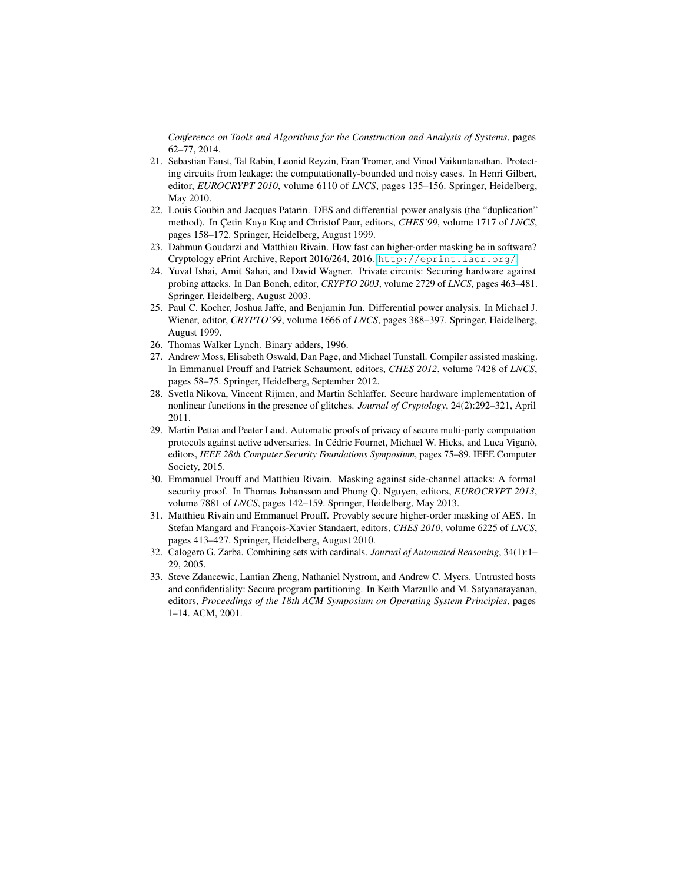*Conference on Tools and Algorithms for the Construction and Analysis of Systems*, pages 62–77, 2014.

- <span id="page-27-11"></span>21. Sebastian Faust, Tal Rabin, Leonid Reyzin, Eran Tromer, and Vinod Vaikuntanathan. Protecting circuits from leakage: the computationally-bounded and noisy cases. In Henri Gilbert, editor, *EUROCRYPT 2010*, volume 6110 of *LNCS*, pages 135–156. Springer, Heidelberg, May 2010.
- <span id="page-27-1"></span>22. Louis Goubin and Jacques Patarin. DES and differential power analysis (the "duplication" method). In Cetin Kaya Koc and Christof Paar, editors, *CHES'99*, volume 1717 of *LNCS*, pages 158–172. Springer, Heidelberg, August 1999.
- <span id="page-27-7"></span>23. Dahmun Goudarzi and Matthieu Rivain. How fast can higher-order masking be in software? Cryptology ePrint Archive, Report 2016/264, 2016. <http://eprint.iacr.org/>.
- <span id="page-27-8"></span>24. Yuval Ishai, Amit Sahai, and David Wagner. Private circuits: Securing hardware against probing attacks. In Dan Boneh, editor, *CRYPTO 2003*, volume 2729 of *LNCS*, pages 463–481. Springer, Heidelberg, August 2003.
- <span id="page-27-0"></span>25. Paul C. Kocher, Joshua Jaffe, and Benjamin Jun. Differential power analysis. In Michael J. Wiener, editor, *CRYPTO'99*, volume 1666 of *LNCS*, pages 388–397. Springer, Heidelberg, August 1999.
- <span id="page-27-9"></span>26. Thomas Walker Lynch. Binary adders, 1996.
- <span id="page-27-2"></span>27. Andrew Moss, Elisabeth Oswald, Dan Page, and Michael Tunstall. Compiler assisted masking. In Emmanuel Prouff and Patrick Schaumont, editors, *CHES 2012*, volume 7428 of *LNCS*, pages 58–75. Springer, Heidelberg, September 2012.
- <span id="page-27-12"></span>28. Svetla Nikova, Vincent Rijmen, and Martin Schläffer. Secure hardware implementation of nonlinear functions in the presence of glitches. *Journal of Cryptology*, 24(2):292–321, April 2011.
- <span id="page-27-5"></span>29. Martin Pettai and Peeter Laud. Automatic proofs of privacy of secure multi-party computation protocols against active adversaries. In Cédric Fournet, Michael W. Hicks, and Luca Viganò, editors, *IEEE 28th Computer Security Foundations Symposium*, pages 75–89. IEEE Computer Society, 2015.
- <span id="page-27-10"></span>30. Emmanuel Prouff and Matthieu Rivain. Masking against side-channel attacks: A formal security proof. In Thomas Johansson and Phong Q. Nguyen, editors, *EUROCRYPT 2013*, volume 7881 of *LNCS*, pages 142–159. Springer, Heidelberg, May 2013.
- <span id="page-27-3"></span>31. Matthieu Rivain and Emmanuel Prouff. Provably secure higher-order masking of AES. In Stefan Mangard and François-Xavier Standaert, editors, *CHES 2010*, volume 6225 of *LNCS*, pages 413–427. Springer, Heidelberg, August 2010.
- <span id="page-27-4"></span>32. Calogero G. Zarba. Combining sets with cardinals. *Journal of Automated Reasoning*, 34(1):1– 29, 2005.
- <span id="page-27-6"></span>33. Steve Zdancewic, Lantian Zheng, Nathaniel Nystrom, and Andrew C. Myers. Untrusted hosts and confidentiality: Secure program partitioning. In Keith Marzullo and M. Satyanarayanan, editors, *Proceedings of the 18th ACM Symposium on Operating System Principles*, pages 1–14. ACM, 2001.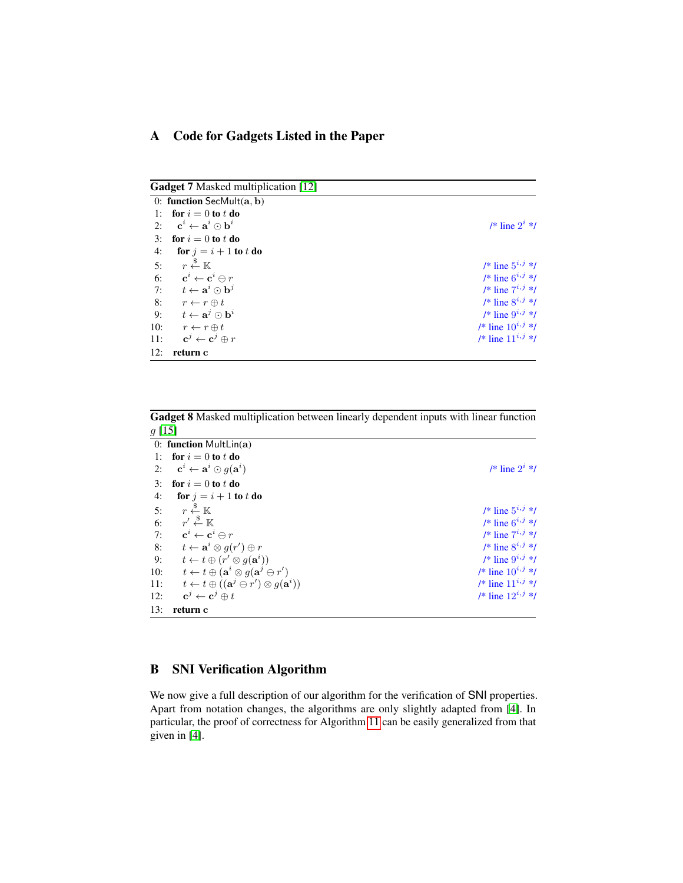# A Code for Gadgets Listed in the Paper

<span id="page-28-0"></span>Gadget 7 Masked multiplication [\[12\]](#page-26-9)

|     | 0: function SecMult $(a, b)$                                  |                       |
|-----|---------------------------------------------------------------|-----------------------|
|     | 1: for $i=0$ to t do                                          |                       |
|     | 2: $\mathbf{c}^i \leftarrow \mathbf{a}^i \odot \mathbf{b}^i$  | $/*$ line $2^i$ */    |
|     | 3: for $i=0$ to t do                                          |                       |
| 4:  | for $i = i + 1$ to t do                                       |                       |
| 5:  | $r \stackrel{\mathcal{S}}{\leftarrow} \mathbb{K}$             | /* line $5^{i,j}$ */  |
|     | 6: $\mathbf{c}^i \leftarrow \mathbf{c}^i \ominus r$           | /* line $6^{i,j}$ */  |
| 7:  | $t \leftarrow \mathbf{a}^i \odot \mathbf{b}^j$                | /* line $7^{i,j}$ */  |
| 8:  | $r \leftarrow r \oplus t$                                     | /* line $8^{i,j}$ */  |
| 9:  | $t \leftarrow \mathbf{a}^{\jmath} \odot \mathbf{b}^{\imath}$  | /* line $9^{i,j}$ */  |
| 10: | $r \leftarrow r \oplus t$                                     | /* line $10^{i,j}$ */ |
| 11: | $\mathbf{c}^{\jmath} \leftarrow \mathbf{c}^{\jmath} \oplus r$ | /* line $11^{i,j}$ */ |
| 12: | return c                                                      |                       |

<span id="page-28-1"></span>

|          | <b>Gadget 8</b> Masked multiplication between linearly dependent inputs with linear function |                        |
|----------|----------------------------------------------------------------------------------------------|------------------------|
| $g$ [15] |                                                                                              |                        |
|          | 0: function MultLin(a)                                                                       |                        |
| 1:       | for $i=0$ to t do                                                                            |                        |
|          | 2: $\mathbf{c}^i \leftarrow \mathbf{a}^i \odot g(\mathbf{a}^i)$                              | /* line $2^{i}$ */     |
|          | 3: for $i=0$ to t do                                                                         |                        |
| 4:       | for $i = i + 1$ to t do                                                                      |                        |
| 5:       | $r \stackrel{\$}{\leftarrow} \mathbb{K}$                                                     | /* line $5^{i,j}$ */   |
|          | 6: $r' \stackrel{\$}{\leftarrow} \mathbb{K}$                                                 | /* line $6^{i,j}$ */   |
|          | 7: $\mathbf{c}^i \leftarrow \mathbf{c}^i \ominus r$                                          | $/*$ line $7^{i,j}$ */ |
| 8:       | $t \leftarrow \mathbf{a}^i \otimes g(r') \oplus r$                                           | /* line $8^{i,j}$ */   |
| 9:       | $t \leftarrow t \oplus (r' \otimes q(\mathbf{a}^i))$                                         | /* line $9^{i,j}$ */   |
| 10:      | $t \leftarrow t \oplus (\mathbf{a}^i \otimes g(\mathbf{a}^j \ominus r'))$                    | /* line $10^{i,j}$ */  |
| 11:      | $t \leftarrow t \oplus ((\mathbf{a}^j \ominus r') \otimes g(\mathbf{a}^i))$                  | /* line $11^{i,j}$ */  |
| 12:      | $\mathbf{c}^j \leftarrow \mathbf{c}^j \oplus t$                                              | /* line $12^{i,j}$ */  |
| 13:      | return c                                                                                     |                        |

# <span id="page-28-2"></span>B SNI Verification Algorithm

We now give a full description of our algorithm for the verification of SNI properties. Apart from notation changes, the algorithms are only slightly adapted from [\[4\]](#page-25-0). In particular, the proof of correctness for Algorithm [11](#page-30-0) can be easily generalized from that given in [\[4\]](#page-25-0).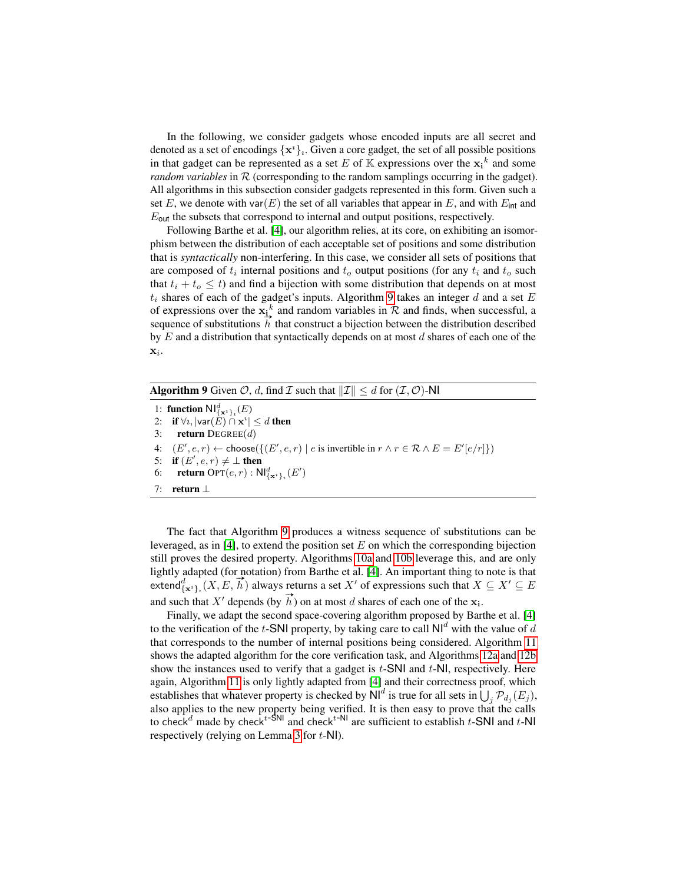In the following, we consider gadgets whose encoded inputs are all secret and denoted as a set of encodings  $\{x^i\}_i$ . Given a core gadget, the set of all possible positions in that gadget can be represented as a set E of  $\mathbb K$  expressions over the  $x_i^k$  and some *random variables* in  $R$  (corresponding to the random samplings occurring in the gadget). All algorithms in this subsection consider gadgets represented in this form. Given such a set E, we denote with var $(E)$  the set of all variables that appear in E, and with  $E_{int}$  and  $E_{\text{out}}$  the subsets that correspond to internal and output positions, respectively.

Following Barthe et al. [\[4\]](#page-25-0), our algorithm relies, at its core, on exhibiting an isomorphism between the distribution of each acceptable set of positions and some distribution that is *syntactically* non-interfering. In this case, we consider all sets of positions that are composed of  $t_i$  internal positions and  $t_o$  output positions (for any  $t_i$  and  $t_o$  such that  $t_i + t_o \leq t$ ) and find a bijection with some distribution that depends on at most  $t_i$  shares of each of the gadget's inputs. Algorithm [9](#page-29-0) takes an integer  $d$  and a set  $E$ of expressions over the  $x_1^k$  and random variables in  $R$  and finds, when successful, a sequence of substitutions  $\hat{h}$  that construct a bijection between the distribution described by  $E$  and a distribution that syntactically depends on at most  $d$  shares of each one of the  $\mathbf{x}_i$ .

<span id="page-29-0"></span>**Algorithm 9** Given  $\mathcal{O}$ , d, find  $\mathcal{I}$  such that  $\|\mathcal{I}\| \leq d$  for  $(\mathcal{I}, \mathcal{O})$ -NI

1: function  $\mathsf{NI}_{\{\mathbf{x}^i\}_i}^d(E)$ 2: if  $\forall i,$   $|\mathsf{var}(\dot{E}) \cap \mathbf{x}^i| \le d$  then 3: **return**  $\text{DEGREE}(d)$ 4:  $(E', e, r) \leftarrow \text{choose}(\{E', e, r) \mid e \text{ is invertible in } r \land r \in \mathcal{R} \land E = E'[e/r]\})$ 5: if  $(E', e, r) \neq \bot$  then 6: **return**  $\text{OPT}(e, r)$  :  $\text{NI}_{\{\mathbf{x}^i\}_i}^d(E')$ 7: return ⊥

The fact that Algorithm [9](#page-29-0) produces a witness sequence of substitutions can be leveraged, as in [\[4\]](#page-25-0), to extend the position set  $E$  on which the corresponding bijection still proves the desired property. Algorithms [10a](#page-30-1) and [10b](#page-30-2) leverage this, and are only lightly adapted (for notation) from Barthe et al. [\[4\]](#page-25-0). An important thing to note is that lightly adapted (for notation) from Barthe et al. [4]. An important thing to note is that extend $\binom{d}{k}$ ,  $(X, E, \overline{h})$  always returns a set X' of expressions such that  $X \subseteq X' \subseteq E$ and such that X' depends (by  $\vec{h}$ ) on at most d shares of each one of the  $\mathbf{x}_i$ .

Finally, we adapt the second space-covering algorithm proposed by Barthe et al. [\[4\]](#page-25-0) to the verification of the t-SNI property, by taking care to call  $\mathbb{N}^d$  with the value of d that corresponds to the number of internal positions being considered. Algorithm [11](#page-30-0) shows the adapted algorithm for the core verification task, and Algorithms [12a](#page-30-3) and [12b](#page-30-4) show the instances used to verify that a gadget is  $t$ -SNI and  $t$ -NI, respectively. Here again, Algorithm [11](#page-30-0) is only lightly adapted from [\[4\]](#page-25-0) and their correctness proof, which establishes that whatever property is checked by  $\mathsf{N} \mathsf{I}^d$  is true for all sets in  $\bigcup_j \mathcal{P}_{d_j}(E_j)$ , also applies to the new property being verified. It is then easy to prove that the calls<br>to check<sup>d</sup> made by check<sup>t-SNI</sup> and check<sup>t-NI</sup> are sufficient to establish t-SNI and t-NI respectively (relying on Lemma [3](#page-10-1) for t-NI).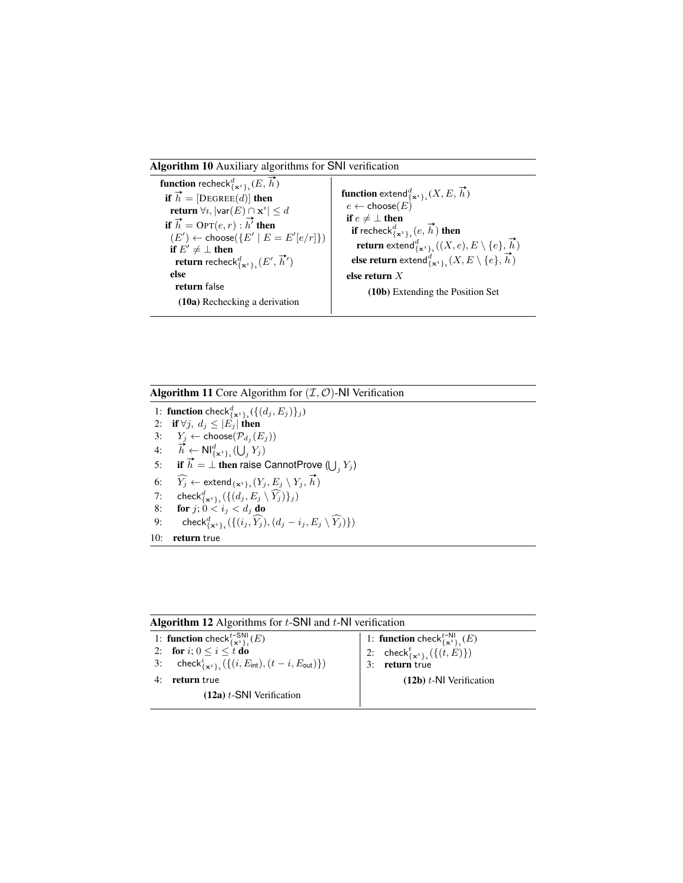# Algorithm 10 Auxiliary algorithms for SNI verification

<span id="page-30-2"></span>function recheck $\frac{d}{\{x^i\}_i}(E, \overrightarrow{h})$ if  $\vec{h} = [\text{DEGREE}(d)]$  then return  $\forall i, |\mathsf{var}(E) \cap \mathbf{x}^i| \leq d$ if  $\vec{h} = \text{OPT}(e, r) : \vec{h}'$  $\vec{h'}$  then  $(E') \leftarrow \text{choose}(\{E' \mid E = E'[e/r]\})$ if  $E' \neq \bot$  then  $\mathcal{L} \neq \bot$  then<br>return recheck $\{x^i\}_i(E', \overrightarrow{h}')$ else return false (10a) Rechecking a derivation  ${\bf function \; extend}_{{\{\mathbf{x}^{i}\}_i}^{d}(X,E,\overrightarrow{h})}$  $e \leftarrow \textsf{choose}(E)$ if  $e\neq \bot$  then if recheck ${}_{\{\mathbf{x}^i\}_i}^d(e,\overrightarrow{h})$  then return extend $\det_{\{\mathbf{x}^i\}_i}^d ((X, e), E \setminus \{e\}, \vec{h})$ **else return** extend $\{x_i\}_i$  ((x, e),  $E \setminus \{e\}$ ,  $\vec{h}$ ) else return $\boldsymbol{X}$ (10b) Extending the Position Set

<span id="page-30-1"></span><span id="page-30-0"></span>

|  |  |  |  | <b>Algorithm 11</b> Core Algorithm for $(\mathcal{I}, \mathcal{O})$ -NI Verification |
|--|--|--|--|--------------------------------------------------------------------------------------|
|--|--|--|--|--------------------------------------------------------------------------------------|

1: **function** check ${d_{\{\mathbf{x}^i\}_i}(\{(d_j, E_j)\}_j)}$ 2: if  $\forall j, d_j \leq |E_j|$  then 3: Y<sub>j</sub> ← choose $(\mathcal{P}_{d_j}(E_j))$ 4:  $\overrightarrow{h} \leftarrow \text{NI}_{\{\mathbf{x}^i\}_i}^d(\bigcup_j Y_j)$ 5: if  $\vec{h} = \perp$  then raise CannotProve ( $\bigcup_j Y_j$ ) 6:  $\widehat{Y}_j \leftarrow \text{extend}_{\{\mathbf{x}^i\}_i}(Y_j, E_j \setminus Y_j, \overrightarrow{h})$ 7: check ${}_{\{\mathbf{x}^i\}_i}^d (\{(d_j, E_j \setminus \widehat{Y}_j)\}_j)$ <br>8: for  $j; 0 < i_j < d_j$  do 9: check $\frac{d}{\{\mathbf{x}^i\}_i}(\{(i_j, \widehat{Y}_j), (d_j - i_j, E_j \setminus \widehat{Y}_j)\})$ 

10: return true

<span id="page-30-5"></span><span id="page-30-4"></span><span id="page-30-3"></span>

| <b>Algorithm 12</b> Algorithms for $t$ -SNI and $t$ -NI verification                                         |                                                                                                                           |  |  |  |
|--------------------------------------------------------------------------------------------------------------|---------------------------------------------------------------------------------------------------------------------------|--|--|--|
| 1: <b>function</b> check <sup>t-SNI</sup> <sub>{<math>\mathbf{x}^i</math>}<sub>i</sub><math>(E)</math></sub> |                                                                                                                           |  |  |  |
| 2: for $i$ ; $0 \le i \le t$ do                                                                              | 1: <b>function</b> check ${}_{\{x^i\}_i}^{t-N}$ ( <i>E</i> )<br>2: check ${}_{\{x^i\}_i}^{t}$ ({( <i>t</i> , <i>E</i> )}) |  |  |  |
| 3: check ${}_{\{x_i\}}^{i} (\{(i, E_{\text{int}}), (t - i, E_{\text{out}})\})$                               | return true<br>3:                                                                                                         |  |  |  |
| return true                                                                                                  | $(12b)$ t-NI Verification                                                                                                 |  |  |  |
| $(12a) t$ -SNI Verification                                                                                  |                                                                                                                           |  |  |  |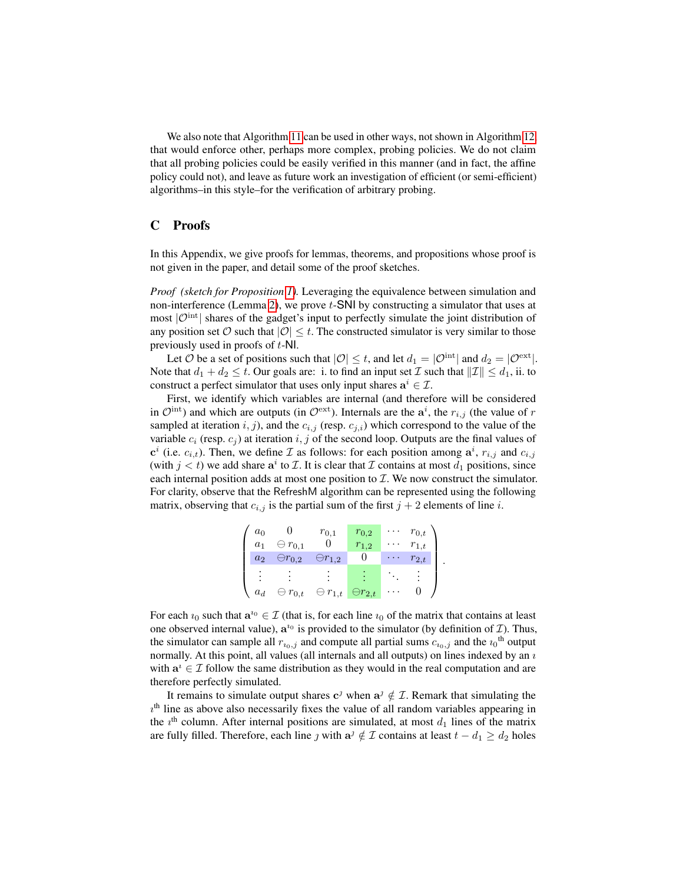We also note that Algorithm [11](#page-30-0) can be used in other ways, not shown in Algorithm [12,](#page-30-5) that would enforce other, perhaps more complex, probing policies. We do not claim that all probing policies could be easily verified in this manner (and in fact, the affine policy could not), and leave as future work an investigation of efficient (or semi-efficient) algorithms–in this style–for the verification of arbitrary probing.

# <span id="page-31-0"></span>C Proofs

In this Appendix, we give proofs for lemmas, theorems, and propositions whose proof is not given in the paper, and detail some of the proof sketches.

*Proof (sketch for Proposition [1\)](#page-10-2).* Leveraging the equivalence between simulation and non-interference (Lemma [2\)](#page-9-1), we prove t-SNI by constructing a simulator that uses at most  $|\mathcal{O}^{\text{int}}|$  shares of the gadget's input to perfectly simulate the joint distribution of any position set  $\mathcal O$  such that  $|\mathcal O|\leq t$ . The constructed simulator is very similar to those previously used in proofs of  $t$ -NI.

Let O be a set of positions such that  $|O| \le t$ , and let  $d_1 = |O^{\text{int}}|$  and  $d_2 = |O^{\text{ext}}|$ . Note that  $d_1 + d_2 \leq t$ . Our goals are: i. to find an input set  $\mathcal I$  such that  $\|\mathcal I\| \leq d_1$ , ii. to construct a perfect simulator that uses only input shares  $a^i \in \mathcal{I}$ .

First, we identify which variables are internal (and therefore will be considered in  $\mathcal{O}^{\text{int}}$ ) and which are outputs (in  $\mathcal{O}^{\text{ext}}$ ). Internals are the  $a^i$ , the  $r_{i,j}$  (the value of r sampled at iteration i, j), and the  $c_{i,j}$  (resp.  $c_{i,i}$ ) which correspond to the value of the variable  $c_i$  (resp.  $c_j$ ) at iteration i, j of the second loop. Outputs are the final values of  $c^i$  (i.e.  $c_{i,t}$ ). Then, we define  $\mathcal I$  as follows: for each position among  $a^i$ ,  $r_{i,j}$  and  $c_{i,j}$ (with  $j < t$ ) we add share  $a^i$  to  $\mathcal I$ . It is clear that  $\mathcal I$  contains at most  $d_1$  positions, since each internal position adds at most one position to  $\mathcal I$ . We now construct the simulator. For clarity, observe that the RefreshM algorithm can be represented using the following matrix, observing that  $c_{i,j}$  is the partial sum of the first  $j + 2$  elements of line i.

| a <sub>0</sub> |                   | $r_{0,1}$         | $r_{0,2}$         | $r_{0,t}$ |  |
|----------------|-------------------|-------------------|-------------------|-----------|--|
| a <sub>1</sub> | $\ominus r_{0,1}$ |                   | $r_{1,2}$         | $r_{1.t}$ |  |
| a <sub>2</sub> | $\ominus r_{0,2}$ | $\ominus r_{1,2}$ |                   | $r_{2,t}$ |  |
|                |                   |                   |                   |           |  |
| $a_d$          | $\ominus r_{0,t}$ | $\ominus r_{1,t}$ | $\ominus r_{2,t}$ |           |  |

For each  $i_0$  such that  $\mathbf{a}^{i_0} \in \mathcal{I}$  (that is, for each line  $i_0$  of the matrix that contains at least one observed internal value),  $a^{i_0}$  is provided to the simulator (by definition of  $\mathcal{I}$ ). Thus, the simulator can sample all  $r_{i_0,j}$  and compute all partial sums  $c_{i_0,j}$  and the  $i_0$ <sup>th</sup> output normally. At this point, all values (all internals and all outputs) on lines indexed by an  $\nu$ with  $a^i \in \mathcal{I}$  follow the same distribution as they would in the real computation and are therefore perfectly simulated.

It remains to simulate output shares  $c^j$  when  $a^j \notin \mathcal{I}$ . Remark that simulating the  $u<sup>th</sup>$  line as above also necessarily fixes the value of all random variables appearing in the  $i^{\text{th}}$  column. After internal positions are simulated, at most  $d_1$  lines of the matrix are fully filled. Therefore, each line  $\jmath$  with  $\mathbf{a}^j \notin \mathcal{I}$  contains at least  $t - d_1 \geq d_2$  holes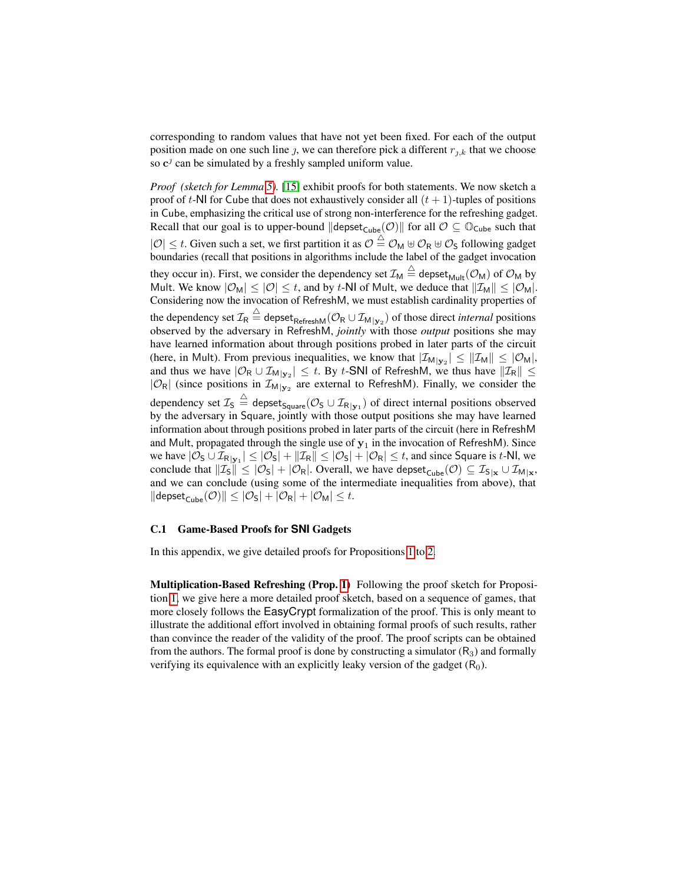corresponding to random values that have not yet been fixed. For each of the output position made on one such line *j*, we can therefore pick a different  $r_{j,k}$  that we choose so  $c^j$  can be simulated by a freshly sampled uniform value.

*Proof (sketch for Lemma [5\)](#page-12-4).* [\[15\]](#page-26-5) exhibit proofs for both statements. We now sketch a proof of t-NI for Cube that does not exhaustively consider all  $(t + 1)$ -tuples of positions in Cube, emphasizing the critical use of strong non-interference for the refreshing gadget. Recall that our goal is to upper-bound  $\|\text{deposit}_{Cube}(\mathcal{O})\|$  for all  $\mathcal{O} \subseteq \mathbb{O}_{Cube}$  such that  $|O| \le t$ . Given such a set, we first partition it as  $O \stackrel{\triangle}{=} O_M \oplus O_R \oplus O_S$  following gadget boundaries (recall that positions in algorithms include the label of the gadget invocation they occur in). First, we consider the dependency set  $\mathcal{I}_M \stackrel{\triangle}{=}$  depset<sub>Mult</sub> $(\mathcal{O}_M)$  of  $\mathcal{O}_M$  by Mult. We know  $|O_M| \leq |O| \leq t$ , and by t-NI of Mult, we deduce that  $||\mathcal{I}_M|| \leq |O_M|$ . Considering now the invocation of RefreshM, we must establish cardinality properties of the dependency set  $\mathcal{I}_R \stackrel{\triangle}{=}$  depset<sub>RefreshM</sub>( $\mathcal{O}_R \cup \mathcal{I}_{M|\mathbf{y}_2}$ ) of those direct *internal* positions observed by the adversary in RefreshM, *jointly* with those *output* positions she may have learned information about through positions probed in later parts of the circuit (here, in Mult). From previous inequalities, we know that  $|\mathcal{I}_{M|y_2}| \leq ||\mathcal{I}_M|| \leq |\mathcal{O}_M|$ , and thus we have  $|\mathcal{O}_R\cup \mathcal{I}_{\mathsf{M}|\mathbf{y}_2}|\leq t.$  By t-SNI of RefreshM, we thus have  $\|\mathcal{I}_R\|\leq t$  $|\mathcal{O}_R|$  (since positions in  $\mathcal{I}_{M|y_2}$  are external to RefreshM). Finally, we consider the dependency set  $\mathcal{I}_S \stackrel{\triangle}{=}$  depset<sub>Square</sub>( $\mathcal{O}_S \cup \mathcal{I}_{R|\mathbf{y}_1}$ ) of direct internal positions observed by the adversary in Square, jointly with those output positions she may have learned information about through positions probed in later parts of the circuit (here in RefreshM and Mult, propagated through the single use of  $y_1$  in the invocation of RefreshM). Since we have  $|\mathcal{O}_\mathsf{S} \cup \mathcal{I}_{\mathsf{R}|\mathbf{y}_1}|\leq |\mathcal{O}_\mathsf{S}|+ \|\mathcal{I}_\mathsf{R}\|\leq |\mathcal{O}_\mathsf{S}|+|\mathcal{O}_\mathsf{R}|\leq t,$  and since Square is  $t$ -NI, we conclude that  $||\mathcal{I}_S|| \leq |\mathcal{O}_S| + |\mathcal{O}_R|$ . Overall, we have depset<sub>Cube</sub>( $\mathcal{O} \subseteq \mathcal{I}_{S|X} \cup \mathcal{I}_{M|X}$ , and we can conclude (using some of the intermediate inequalities from above), that  $\|\mathsf{deposit}_{\mathsf{Cube}}(\mathcal{O})\| \leq |\mathcal{O}_\mathsf{S}| + |\mathcal{O}_\mathsf{R}| + |\mathcal{O}_\mathsf{M}| \leq t.$ 

#### C.1 Game-Based Proofs for **SNI** Gadgets

In this appendix, we give detailed proofs for Propositions [1](#page-10-2) to [2.](#page-11-3)

Multiplication-Based Refreshing (Prop. [1\)](#page-10-2) Following the proof sketch for Proposition [1,](#page-10-2) we give here a more detailed proof sketch, based on a sequence of games, that more closely follows the EasyCrypt formalization of the proof. This is only meant to illustrate the additional effort involved in obtaining formal proofs of such results, rather than convince the reader of the validity of the proof. The proof scripts can be obtained from the authors. The formal proof is done by constructing a simulator  $(R_3)$  and formally verifying its equivalence with an explicitly leaky version of the gadget  $(R_0)$ .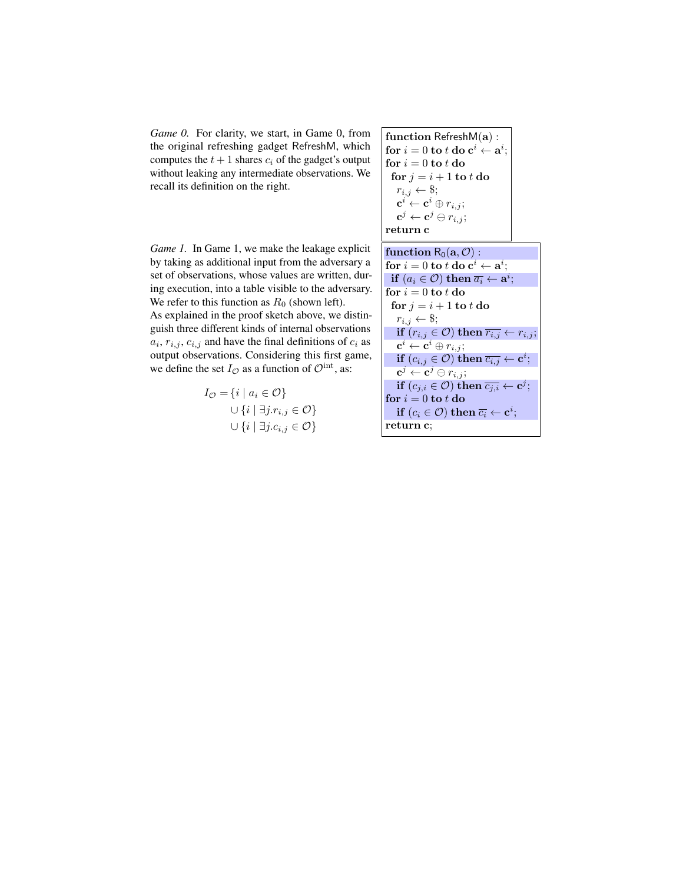*Game 0.* For clarity, we start, in Game 0, from the original refreshing gadget RefreshM, which computes the  $t + 1$  shares  $c_i$  of the gadget's output without leaking any intermediate observations. We recall its definition on the right.

*Game 1.* In Game 1, we make the leakage explicit by taking as additional input from the adversary a set of observations, whose values are written, during execution, into a table visible to the adversary. We refer to this function as  $R_0$  (shown left).

As explained in the proof sketch above, we distinguish three different kinds of internal observations  $a_i, r_{i,j}, c_{i,j}$  and have the final definitions of  $c_i$  as output observations. Considering this first game, we define the set  $I_{\mathcal{O}}$  as a function of  $\mathcal{O}^{\text{int}}$ , as:

$$
I_{\mathcal{O}} = \{i \mid a_i \in \mathcal{O}\}
$$

$$
\cup \{i \mid \exists j.r_{i,j} \in \mathcal{O}\}
$$

$$
\cup \{i \mid \exists j.c_{i,j} \in \mathcal{O}\}
$$

$$
\begin{array}{l} \textbf{function } \mathsf{RefreshM}(\mathbf{a}): \\ \textbf{for } i=0 \textbf{ to } t \textbf{ do } \mathbf{c}^i \leftarrow \mathbf{a}^i; \\ \textbf{for } i=0 \textbf{ to } t \textbf{ do} \\ \textbf{for } j=i+1 \textbf{ to } t \textbf{ do} \\ r_{i,j} \leftarrow \$; \\ \mathbf{c}^i \leftarrow \mathbf{c}^i \oplus r_{i,j}; \\ \mathbf{c}^j \leftarrow \mathbf{c}^j \ominus r_{i,j}; \\ \textbf{return } \mathbf{c} \end{array}
$$

function  $R_0(a, 0)$ :  ${\bf for} \ i=0 \ {\bf to} \ t \ {\bf do} \ {\bf c}^i \leftarrow {\bf a}^i;$  $\mathbf{if} \; (a_i \in \mathcal{O}) \; \mathbf{then} \; \overline{a_i} \leftarrow \mathbf{a}^i;$ for  $i=0$  to  $t$  do for  $j=i+1$  to  $t$  do  $r_{i,j} \leftarrow$  \$; if  $(r_{i,j} \in \mathcal{O})$  then  $\overline{r_{i,j}} \leftarrow r_{i,j}$ ;  $\mathbf{c}^i \leftarrow \mathbf{c}^i \oplus r_{i,j};$  $\textbf{if}~ (c_{i,j} \in \mathcal{O}) \textbf{ then } \overline{c_{i,j}} \leftarrow \textbf{c}^i;$  $\mathbf{c}^j \leftarrow \mathbf{c}^j \ominus r_{i,j};$  $\textbf{if}~(c_{j,i}\in \mathcal{O})~\textbf{then}~\overline{c_{j,i}}\leftarrow \textbf{c}^j;$ for  $i = 0$  to t do  $\mathbf{if}\ (c_i \in \mathcal{O}) \ \mathbf{then} \ \overline{c_i} \leftarrow \mathbf{c}^i;$ return c;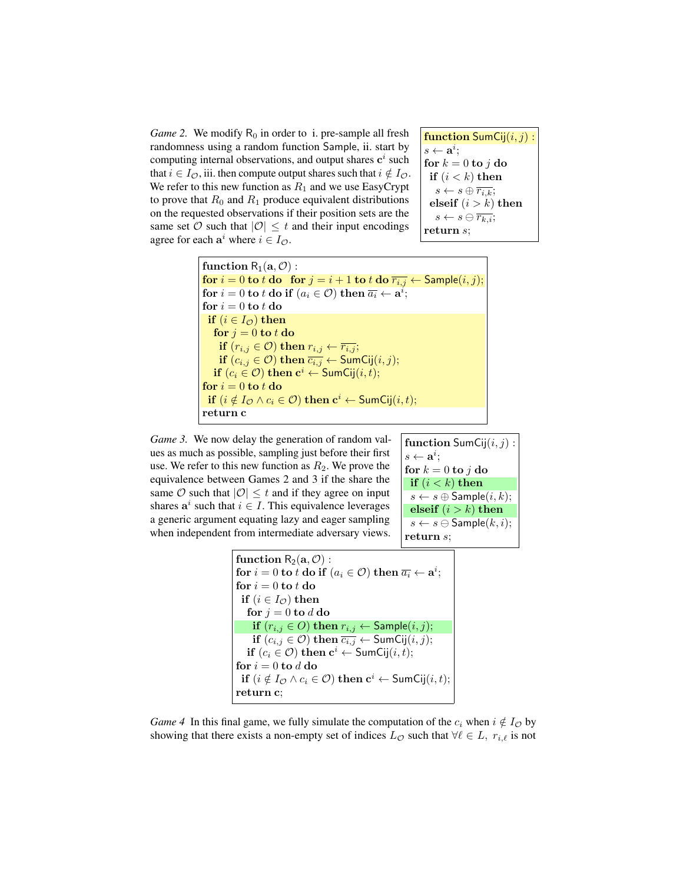*Game 2.* We modify  $R_0$  in order to i. pre-sample all fresh randomness using a random function Sample, ii. start by computing internal observations, and output shares  $c^i$  such that  $i \in I_{\mathcal{O}}$ , iii. then compute output shares such that  $i \notin I_{\mathcal{O}}$ . We refer to this new function as  $R_1$  and we use EasyCrypt to prove that  $R_0$  and  $R_1$  produce equivalent distributions on the requested observations if their position sets are the same set  $\mathcal O$  such that  $|\mathcal O| \leq t$  and their input encodings agree for each  $a^i$  where  $i \in I_{\mathcal{O}}$ .

function  $SumCij(i, j)$  $s \leftarrow \mathbf{a}^i;$ for  $k = 0$  to j do if  $(i < k)$  then  $s \leftarrow s \oplus \overline{r_{i,k}};$ elseif  $(i > k)$  then  $s \leftarrow s \ominus \overline{r_{k,i}}$ ; return s;

function  $SumCij(i, j)$ 

for  $k = 0$  to  $j$  do if  $(i < k)$  then  $s \leftarrow s \oplus$  Sample $(i, k)$ ; elseif  $(i > k)$  then  $s \leftarrow s \ominus$  Sample $(k, i)$ ;

 $s \leftarrow \mathbf{a}^i;$ 

return s;

function 
$$
R_1(a, O)
$$
:\nFor  $i = 0$  to  $t$  do\nfor  $j = i + 1$  to  $t$  do\n $\overline{r_{i,j}} \leftarrow \text{Sample}(i, j);$ \nfor  $i = 0$  to  $t$  do\nif  $(a_i \in O)$  then\n $\overline{a_i} \leftarrow a^i;$ \nfor  $i = 0$  to  $t$  do\nif  $(i \in I_O)$  then\nfor  $j = 0$  to  $t$  do\nif  $(r_{i,j} \in O)$  then\n $r_{i,j} \leftarrow \overline{r_{i,j}};$ \nif  $(c_{i,j} \in O)$  then\n $\overline{c_{i,j}} \leftarrow \text{SumCij}(i, j);$ \nif  $(c_i \in O)$  then\n $c^i \leftarrow \text{SumCij}(i, t);$ \nfor  $i = 0$  to  $t$  do\nif  $(i \notin I_O \land c_i \in O)$  then\n $c^i \leftarrow \text{SumCij}(i, t);$ \nreturn  $c$ 

*Game 3.* We now delay the generation of random values as much as possible, sampling just before their first use. We refer to this new function as  $R_2$ . We prove the equivalence between Games 2 and 3 if the share the same  $\mathcal O$  such that  $|\mathcal O| \leq t$  and if they agree on input shares  $a^i$  such that  $i \in I$ . This equivalence leverages a generic argument equating lazy and eager sampling when independent from intermediate adversary views.

> function  $R_2(a, 0)$ :  $\textbf{for } i = 0 \textbf{ to } t \textbf{ do if } (a_i \in \mathcal{O}) \textbf{ then } \overline{a_i} \leftarrow \textbf{a}^i;$ for  $i = 0$  to t do if  $(i \in I_{\mathcal{O}})$  then for  $j = 0$  to  $d$  do **if**  $(r_{i,j} \in O)$  then  $r_{i,j}$  ← Sample $(i, j)$ ; **if**  $(c_{i,j} \in \mathcal{O})$  then  $\overline{c_{i,j}}$  ← SumCij $(i,j)$ ; **if** ( $c_i$  ∈  $\mathcal{O}$ ) then **c**<sup>*i*</sup> ← SumCij(*i*, *t*); for  $i=0$  to  $d$  do **if** (*i* ∉ *I*<sub>*O*</sub> ∧ *c*<sub>*i*</sub> ∈ *O*) then **c**<sup>*i*</sup> ← SumCij(*i*, *t*); return c;

*Game 4* In this final game, we fully simulate the computation of the  $c_i$  when  $i \notin I_{\mathcal{O}}$  by showing that there exists a non-empty set of indices  $L_{\mathcal{O}}$  such that  $\forall \ell \in L$ ,  $r_{i,\ell}$  is not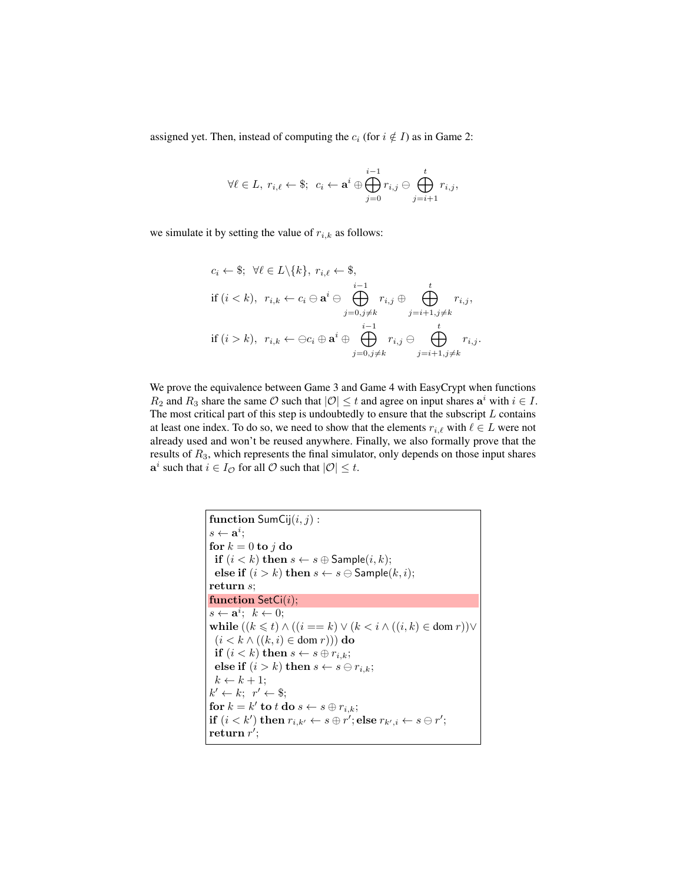assigned yet. Then, instead of computing the  $c_i$  (for  $i \notin I$ ) as in Game 2:

$$
\forall \ell \in L, r_{i,\ell} \leftarrow \text{\$}; \ c_i \leftarrow \mathbf{a}^i \oplus \bigoplus_{j=0}^{i-1} r_{i,j} \ominus \bigoplus_{j=i+1}^t r_{i,j},
$$

we simulate it by setting the value of  $r_{i,k}$  as follows:

$$
c_i \leftarrow \$; \ \forall \ell \in L \setminus \{k\}, \ r_{i,\ell} \leftarrow \$,
$$
  
\nif  $(i < k), \ r_{i,k} \leftarrow c_i \ominus \mathbf{a}^i \ominus \bigoplus_{j=0, j \neq k}^{i-1} r_{i,j} \oplus \bigoplus_{j=i+1, j \neq k}^{t} r_{i,j},$   
\nif  $(i > k), \ r_{i,k} \leftarrow \ominus c_i \oplus \mathbf{a}^i \oplus \bigoplus_{j=0, j \neq k}^{i-1} r_{i,j} \ominus \bigoplus_{j=i+1, j \neq k}^{t} r_{i,j}.$ 

We prove the equivalence between Game 3 and Game 4 with EasyCrypt when functions  $R_2$  and  $R_3$  share the same  $\mathcal O$  such that  $|\mathcal O|\leq t$  and agree on input shares  $\mathbf a^i$  with  $i\in I$ . The most critical part of this step is undoubtedly to ensure that the subscript  $L$  contains at least one index. To do so, we need to show that the elements  $r_{i,\ell}$  with  $\ell \in L$  were not already used and won't be reused anywhere. Finally, we also formally prove that the results of  $R_3$ , which represents the final simulator, only depends on those input shares  $a^i$  such that  $i \in I_{\mathcal{O}}$  for all  $\mathcal{O}$  such that  $|\mathcal{O}| \leq t$ .

```
function SumCij(i, j):
s \leftarrow \mathbf{a}^i;for k = 0 to j do
 if (i < k) then s \leftarrow s \oplus Sample(i, k);
 else if (i > k) then s \leftarrow s \ominus Sample(k, i);
return s;
function \mathsf{SetCi}(i);s \leftarrow \mathbf{a}^i; \ \ k \leftarrow 0;while ((k \leq t) \wedge ((i == k) \vee (k < i \wedge ((i, k) \in \text{dom } r)) \vee(i < k \wedge ((k, i) \in \text{dom } r))) do
 if (i < k) then s \leftarrow s \oplus r_{i,k};
 else if (i > k) then s \leftarrow s \ominus r_{i,k};k \leftarrow k + 1;
k' \leftarrow k; \; r' \leftarrow \$;for k = k' to t do s \leftarrow s \oplus r_{i,k};\textbf{if} \; (i < k') \; \textbf{then} \; r_{i,k'} \leftarrow s \oplus r'; \textbf{else} \; r_{k',i} \leftarrow s \ominus r';return r';
```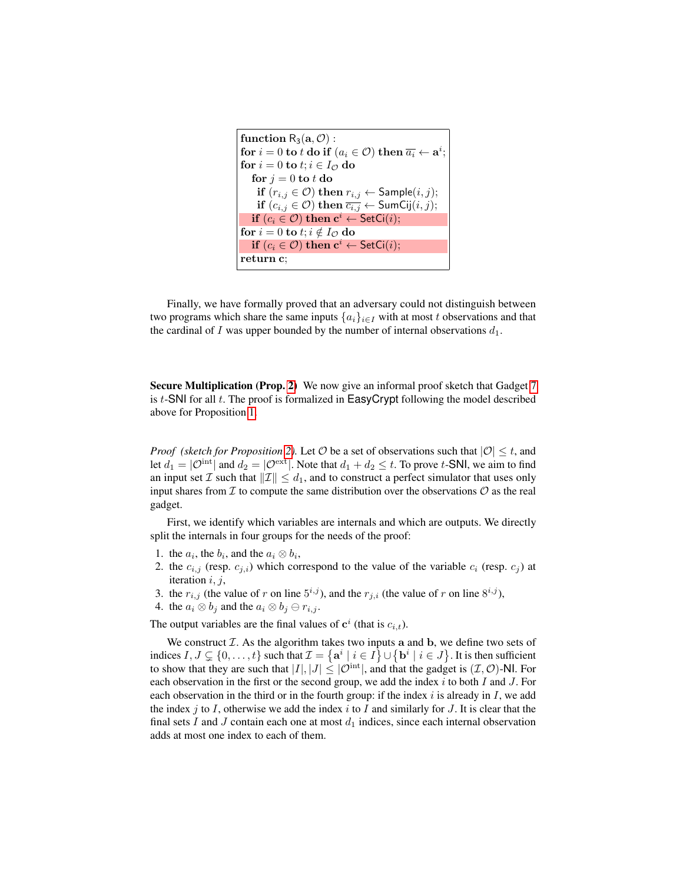

Finally, we have formally proved that an adversary could not distinguish between two programs which share the same inputs  $\{a_i\}_{i\in I}$  with at most t observations and that the cardinal of I was upper bounded by the number of internal observations  $d_1$ .

Secure Multiplication (Prop. [2\)](#page-11-3) We now give an informal proof sketch that Gadget [7](#page-28-0) is t-SNI for all t. The proof is formalized in EasyCrypt following the model described above for Proposition [1.](#page-10-2)

*Proof* (sketch for Proposition [2\)](#page-11-3). Let  $O$  be a set of observations such that  $|O| \le t$ , and let  $d_1 = |{\mathcal{O}}^{\text{int}}|$  and  $d_2 = |{\mathcal{O}}^{\text{ext}}|$ . Note that  $d_1 + d_2 \le t$ . To prove t-SNI, we aim to find an input set  $\mathcal I$  such that  $\|\mathcal I\|\leq d_1$ , and to construct a perfect simulator that uses only input shares from  $\mathcal I$  to compute the same distribution over the observations  $\mathcal O$  as the real gadget.

First, we identify which variables are internals and which are outputs. We directly split the internals in four groups for the needs of the proof:

- 1. the  $a_i$ , the  $b_i$ , and the  $a_i \otimes b_i$ ,
- 2. the  $c_{i,j}$  (resp.  $c_{j,i}$ ) which correspond to the value of the variable  $c_i$  (resp.  $c_j$ ) at iteration  $i, j$ ,
- 3. the  $r_{i,j}$  (the value of r on line  $5^{i,j}$ ), and the  $r_{j,i}$  (the value of r on line  $8^{i,j}$ ),
- 4. the  $a_i \otimes b_j$  and the  $a_i \otimes b_j \ominus r_{i,j}$ .

The output variables are the final values of  $\mathbf{c}^i$  (that is  $c_{i,t}$ ).

We construct  $I$ . As the algorithm takes two inputs a and b, we define two sets of indices  $I, J \subsetneq \{0, \ldots, t\}$  such that  $\mathcal{I} = \{\mathbf{a}^i \mid i \in I\} \cup \{\mathbf{b}^i \mid i \in J\}$ . It is then sufficient to show that they are such that  $|I|, |J| \leq |\mathcal{O}^{\text{int}}|$ , and that the gadget is  $(\mathcal{I}, \mathcal{O})$ -NI. For each observation in the first or the second group, we add the index i to both I and J. For each observation in the third or in the fourth group: if the index  $i$  is already in  $I$ , we add the index j to I, otherwise we add the index i to I and similarly for J. It is clear that the final sets I and J contain each one at most  $d_1$  indices, since each internal observation adds at most one index to each of them.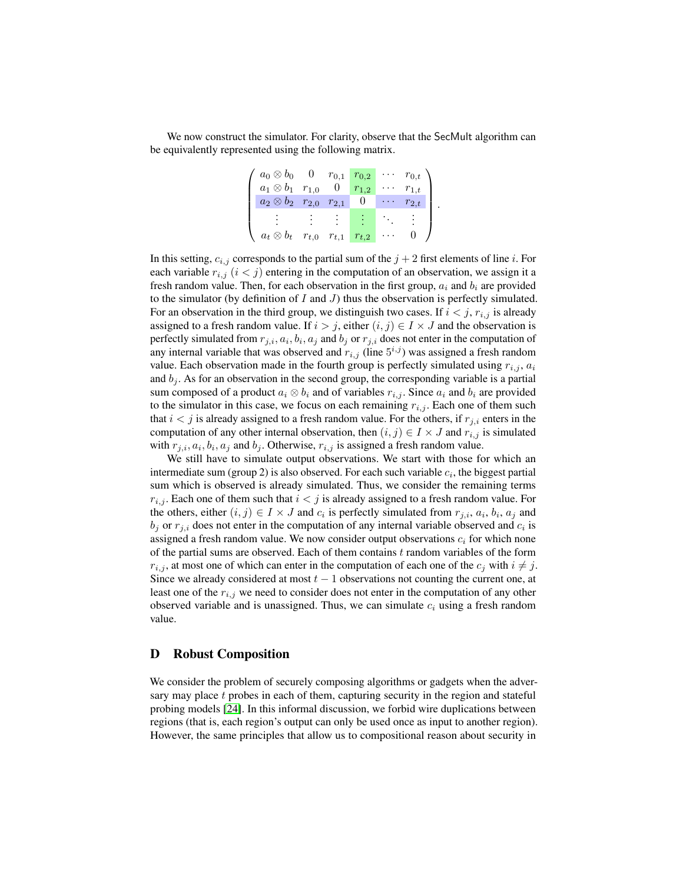We now construct the simulator. For clarity, observe that the SecMult algorithm can be equivalently represented using the following matrix.

| $a_0\otimes b_0$                      | 0 $r_{0,1}$ | $r_{0,2}$ | $\cdots$ $r_{0,t}$ |  |
|---------------------------------------|-------------|-----------|--------------------|--|
| $a_1 \otimes b_1 \quad r_{1,0}$       |             | $r_{1,2}$ | $r_{1,t}$          |  |
| $a_2 \otimes b_2$ $r_{2,0}$ $r_{2,1}$ |             |           | $r_{2,t}$          |  |
|                                       |             |           |                    |  |
| $a_t \otimes b_t$ $r_{t,0}$ $r_{t,1}$ |             | $r_{t,2}$ |                    |  |

.

In this setting,  $c_{i,j}$  corresponds to the partial sum of the  $j + 2$  first elements of line i. For each variable  $r_{i,j}$  ( $i < j$ ) entering in the computation of an observation, we assign it a fresh random value. Then, for each observation in the first group,  $a_i$  and  $b_i$  are provided to the simulator (by definition of  $I$  and  $J$ ) thus the observation is perfectly simulated. For an observation in the third group, we distinguish two cases. If  $i < j$ ,  $r_{i,j}$  is already assigned to a fresh random value. If  $i > j$ , either  $(i, j) \in I \times J$  and the observation is perfectly simulated from  $r_{j,i}$ ,  $a_i$ ,  $b_i$ ,  $a_j$  and  $b_j$  or  $r_{j,i}$  does not enter in the computation of any internal variable that was observed and  $r_{i,j}$  (line  $5^{i,j}$ ) was assigned a fresh random value. Each observation made in the fourth group is perfectly simulated using  $r_{i,j}$ ,  $a_i$ and  $b_i$ . As for an observation in the second group, the corresponding variable is a partial sum composed of a product  $a_i \otimes b_i$  and of variables  $r_{i,j}$ . Since  $a_i$  and  $b_i$  are provided to the simulator in this case, we focus on each remaining  $r_{i,j}$ . Each one of them such that  $i < j$  is already assigned to a fresh random value. For the others, if  $r_{j,i}$  enters in the computation of any other internal observation, then  $(i, j) \in I \times J$  and  $r_{i,j}$  is simulated with  $r_{j,i}, a_i, b_i, a_j$  and  $b_j$ . Otherwise,  $r_{i,j}$  is assigned a fresh random value.

We still have to simulate output observations. We start with those for which an intermediate sum (group 2) is also observed. For each such variable  $c_i$ , the biggest partial sum which is observed is already simulated. Thus, we consider the remaining terms  $r_{i,j}$ . Each one of them such that  $i < j$  is already assigned to a fresh random value. For the others, either  $(i, j) \in I \times J$  and  $c_i$  is perfectly simulated from  $r_{j,i}$ ,  $a_i$ ,  $b_i$ ,  $a_j$  and  $b_j$  or  $r_{j,i}$  does not enter in the computation of any internal variable observed and  $c_i$  is assigned a fresh random value. We now consider output observations  $c_i$  for which none of the partial sums are observed. Each of them contains  $t$  random variables of the form  $r_{i,j}$ , at most one of which can enter in the computation of each one of the  $c_j$  with  $i \neq j$ . Since we already considered at most  $t - 1$  observations not counting the current one, at least one of the  $r_{i,j}$  we need to consider does not enter in the computation of any other observed variable and is unassigned. Thus, we can simulate  $c_i$  using a fresh random value.

# <span id="page-37-0"></span>D Robust Composition

We consider the problem of securely composing algorithms or gadgets when the adversary may place  $t$  probes in each of them, capturing security in the region and stateful probing models [\[24\]](#page-27-8). In this informal discussion, we forbid wire duplications between regions (that is, each region's output can only be used once as input to another region). However, the same principles that allow us to compositional reason about security in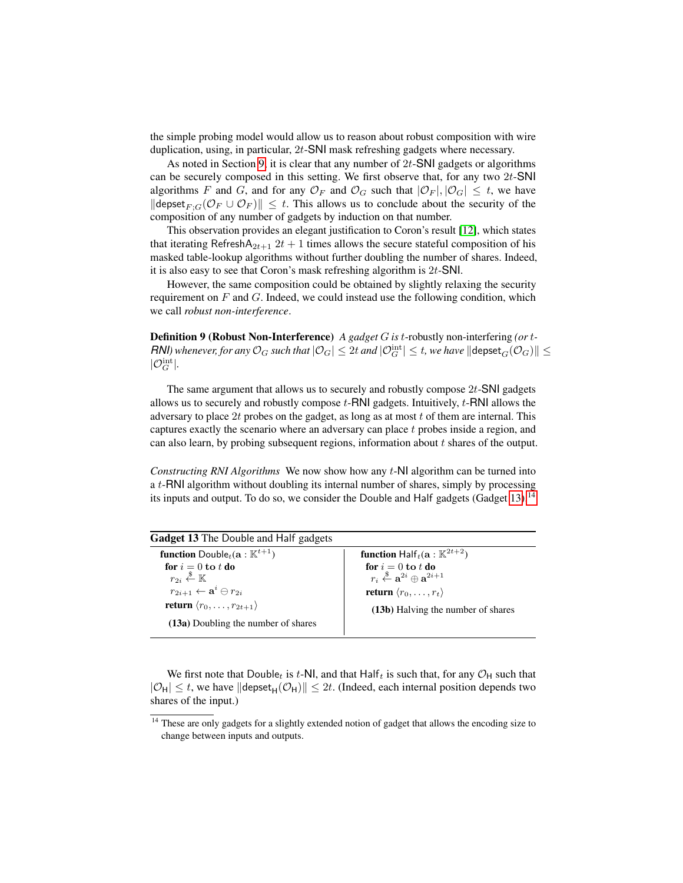the simple probing model would allow us to reason about robust composition with wire duplication, using, in particular, 2t-SNI mask refreshing gadgets where necessary.

As noted in Section [9,](#page-22-0) it is clear that any number of  $2t$ -SNI gadgets or algorithms can be securely composed in this setting. We first observe that, for any two  $2t$ -SNI algorithms F and G, and for any  $\mathcal{O}_F$  and  $\mathcal{O}_G$  such that  $|\mathcal{O}_F|, |\mathcal{O}_G| \leq t$ , we have  $\|\mathsf{deposit}_{F \cdot G}(\mathcal{O}_F \cup \mathcal{O}_F)\| \leq t$ . This allows us to conclude about the security of the composition of any number of gadgets by induction on that number.

This observation provides an elegant justification to Coron's result [\[12\]](#page-26-9), which states that iterating Refresh $A_{2t+1}$   $2t + 1$  times allows the secure stateful composition of his masked table-lookup algorithms without further doubling the number of shares. Indeed, it is also easy to see that Coron's mask refreshing algorithm is 2t-SNI.

However, the same composition could be obtained by slightly relaxing the security requirement on  $F$  and  $G$ . Indeed, we could instead use the following condition, which we call *robust non-interference*.

Definition 9 (Robust Non-Interference) *A gadget* G *is* t-robustly non-interfering *(or* t*-* $R$ *NI)* whenever, for any  $\mathcal{O}_G$  such that  $|\mathcal{O}_G| \leq 2t$  and  $|\mathcal{O}_G^{\rm int}| \leq t$ , we have  $\|\text{deposit}_G(\mathcal{O}_G)\| \leq t$  $|\mathcal{O}_G^{\mathrm{int}}|.$ 

The same argument that allows us to securely and robustly compose  $2t$ -SNI gadgets allows us to securely and robustly compose  $t$ -RNI gadgets. Intuitively,  $t$ -RNI allows the adversary to place  $2t$  probes on the gadget, as long as at most  $t$  of them are internal. This captures exactly the scenario where an adversary can place t probes inside a region, and can also learn, by probing subsequent regions, information about t shares of the output.

*Constructing RNI Algorithms* We now show how any t-NI algorithm can be turned into a t-RNI algorithm without doubling its internal number of shares, simply by processing its inputs and output. To do so, we consider the Double and Half gadgets (Gadget [13\)](#page-38-0).<sup>[14](#page-38-1)</sup>

<span id="page-38-0"></span>

| <b>Gadget 13</b> The Double and Half gadgets                            |                                                                         |
|-------------------------------------------------------------------------|-------------------------------------------------------------------------|
| <b>function</b> Double <sub>t</sub> ( $\mathbf{a} : \mathbb{K}^{t+1}$ ) | <b>function</b> Half <sub>t</sub> ( $\mathbf{a} : \mathbb{K}^{2t+2}$ )  |
| for $i=0$ to t do                                                       | for $i=0$ to t do                                                       |
| $r_{2i} \stackrel{\$}{\leftarrow} \mathbb{K}$                           | $r_i \overset{\$}{\leftarrow} \mathbf{a}^{2i} \oplus \mathbf{a}^{2i+1}$ |
| $r_{2i+1} \leftarrow \mathbf{a}^i \ominus r_{2i}$                       | <b>return</b> $\langle r_0, \ldots, r_t \rangle$                        |
| <b>return</b> $\langle r_0, \ldots, r_{2t+1} \rangle$                   | (13b) Halving the number of shares                                      |
| (13a) Doubling the number of shares                                     |                                                                         |

We first note that Double<sub>t</sub> is t-NI, and that Half<sub>t</sub> is such that, for any  $\mathcal{O}_H$  such that  $|\mathcal{O}_H| \leq t$ , we have  $\|\text{deposit}_H(\mathcal{O}_H)\| \leq 2t$ . (Indeed, each internal position depends two shares of the input.)

<span id="page-38-1"></span><sup>&</sup>lt;sup>14</sup> These are only gadgets for a slightly extended notion of gadget that allows the encoding size to change between inputs and outputs.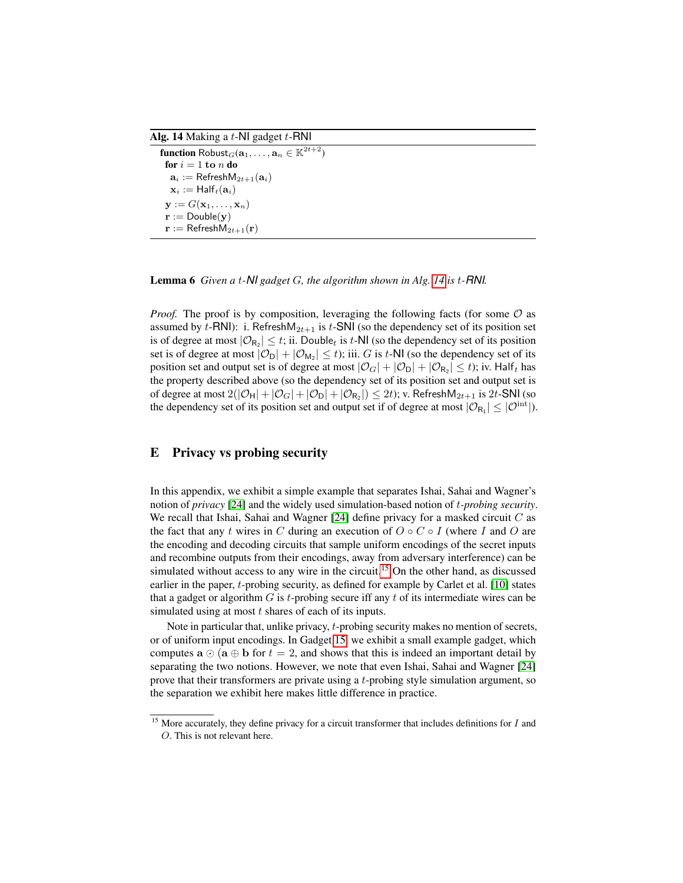<span id="page-39-0"></span>Alg. 14 Making a  $t$ -NI gadget  $t$ -RNI

 $\mathbf{function} \ \mathsf{Robust}_G(\mathbf{a}_1, \dots, \mathbf{a}_n \in \mathbb{K}^{2t+2})$ for  $i = 1$  to n do  $\mathbf{a}_i := \mathsf{RefreshM}_{2t+1}(\mathbf{a}_i)$  $\mathbf{x}_i := \mathsf{Half}_t(\mathbf{a}_i)$  $\mathbf{y} := G(\mathbf{x}_1, \dots, \mathbf{x}_n)$  $\mathbf{r} := \mathsf{Double}(\mathbf{y})$  $\mathbf{r} := \mathsf{RefreshM}_{2t+1}(\mathbf{r})$ 

Lemma 6 *Given a* t*-NI gadget* G*, the algorithm shown in Alg. [14](#page-39-0) is* t*-RNI.*

*Proof.* The proof is by composition, leveraging the following facts (for some  $\mathcal O$  as assumed by  $t$ -RNI): i. Refresh $M_{2t+1}$  is  $t$ -SNI (so the dependency set of its position set is of degree at most  $|\mathcal{O}_{R_2}| \leq t$ ; ii. Double<sub>t</sub> is t-NI (so the dependency set of its position set is of degree at most  $|\mathcal{O}_D| + |\mathcal{O}_{M_2}| \le t$ ); iii. G is t-NI (so the dependency set of its position set and output set is of degree at most  $|\mathcal{O}_G| + |\mathcal{O}_D| + |\mathcal{O}_{R_2}| \le t$ ); iv. Half<sub>t</sub> has the property described above (so the dependency set of its position set and output set is of degree at most  $2(|\mathcal{O}_H|+|\mathcal{O}_G|+|\mathcal{O}_D|+|\mathcal{O}_{R_2}|)\leq 2t$ ); v. Refresh $\mathsf{M}_{2t+1}$  is  $2t$ -SNI (so the dependency set of its position set and output set if of degree at most  $|\mathcal{O}_{R_1}| \leq |\mathcal{O}^{\rm int}|$ ).

# E Privacy vs probing security

In this appendix, we exhibit a simple example that separates Ishai, Sahai and Wagner's notion of *privacy* [\[24\]](#page-27-8) and the widely used simulation-based notion of t*-probing security*. We recall that Ishai, Sahai and Wagner  $[24]$  define privacy for a masked circuit C as the fact that any t wires in C during an execution of  $O \circ C \circ I$  (where I and O are the encoding and decoding circuits that sample uniform encodings of the secret inputs and recombine outputs from their encodings, away from adversary interference) can be simulated without access to any wire in the circuit.<sup>[15](#page-39-1)</sup> On the other hand, as discussed earlier in the paper, t-probing security, as defined for example by Carlet et al. [\[10\]](#page-26-8) states that a gadget or algorithm  $G$  is t-probing secure iff any t of its intermediate wires can be simulated using at most  $t$  shares of each of its inputs.

Note in particular that, unlike privacy, t-probing security makes no mention of secrets, or of uniform input encodings. In Gadget [15,](#page-40-0) we exhibit a small example gadget, which computes  $\mathbf{a} \odot (\mathbf{a} \oplus \mathbf{b})$  for  $t = 2$ , and shows that this is indeed an important detail by separating the two notions. However, we note that even Ishai, Sahai and Wagner [\[24\]](#page-27-8) prove that their transformers are private using a t-probing style simulation argument, so the separation we exhibit here makes little difference in practice.

<span id="page-39-1"></span><sup>&</sup>lt;sup>15</sup> More accurately, they define privacy for a circuit transformer that includes definitions for  $I$  and O. This is not relevant here.